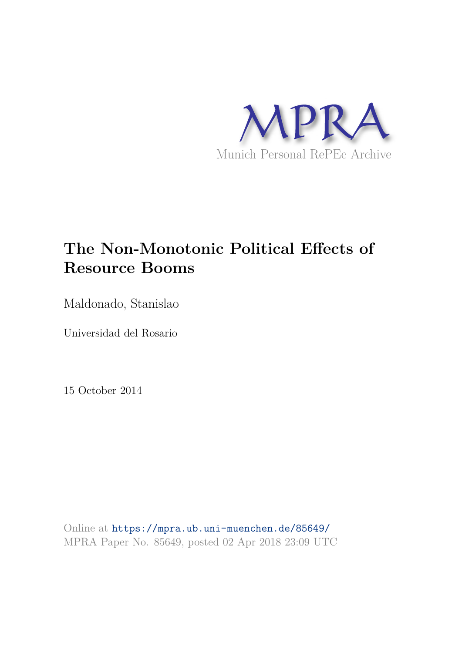

# **The Non-Monotonic Political Effects of Resource Booms**

Maldonado, Stanislao

Universidad del Rosario

15 October 2014

Online at https://mpra.ub.uni-muenchen.de/85649/ MPRA Paper No. 85649, posted 02 Apr 2018 23:09 UTC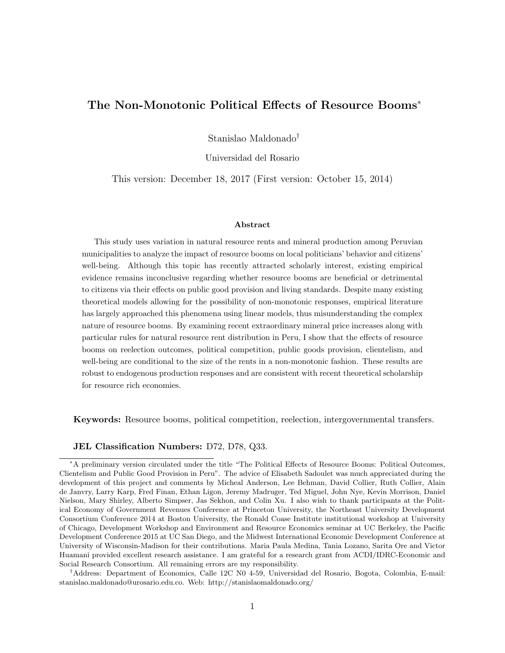# The Non-Monotonic Political Effects of Resource Booms<sup>∗</sup>

Stanislao Maldonado†

Universidad del Rosario

This version: December 18, 2017 (First version: October 15, 2014)

#### Abstract

This study uses variation in natural resource rents and mineral production among Peruvian municipalities to analyze the impact of resource booms on local politicians' behavior and citizens' well-being. Although this topic has recently attracted scholarly interest, existing empirical evidence remains inconclusive regarding whether resource booms are beneficial or detrimental to citizens via their effects on public good provision and living standards. Despite many existing theoretical models allowing for the possibility of non-monotonic responses, empirical literature has largely approached this phenomena using linear models, thus misunderstanding the complex nature of resource booms. By examining recent extraordinary mineral price increases along with particular rules for natural resource rent distribution in Peru, I show that the effects of resource booms on reelection outcomes, political competition, public goods provision, clientelism, and well-being are conditional to the size of the rents in a non-monotonic fashion. These results are robust to endogenous production responses and are consistent with recent theoretical scholarship for resource rich economies.

Keywords: Resource booms, political competition, reelection, intergovernmental transfers.

JEL Classification Numbers: D72, D78, Q33.

†Address: Department of Economics, Calle 12C N0 4-59, Universidad del Rosario, Bogota, Colombia, E-mail: stanislao.maldonado@urosario.edu.co. Web: http://stanislaomaldonado.org/

<sup>∗</sup>A preliminary version circulated under the title "The Political Effects of Resource Booms: Political Outcomes, Clientelism and Public Good Provision in Peru". The advice of Elisabeth Sadoulet was much appreciated during the development of this project and comments by Micheal Anderson, Lee Behman, David Collier, Ruth Collier, Alain de Janvry, Larry Karp, Fred Finan, Ethan Ligon, Jeremy Madruger, Ted Miguel, John Nye, Kevin Morrison, Daniel Nielson, Mary Shirley, Alberto Simpser, Jas Sekhon, and Colin Xu. I also wish to thank participants at the Political Economy of Government Revenues Conference at Princeton University, the Northeast University Development Consortium Conference 2014 at Boston University, the Ronald Coase Institute institutional workshop at University of Chicago, Development Workshop and Environment and Resource Economics seminar at UC Berkeley, the Pacific Development Conference 2015 at UC San Diego, and the Midwest International Economic Development Conference at University of Wisconsin-Madison for their contributions. Maria Paula Medina, Tania Lozano, Sarita Ore and Victor Huamani provided excellent research assistance. I am grateful for a research grant from ACDI/IDRC-Economic and Social Research Consortium. All remaining errors are my responsibility.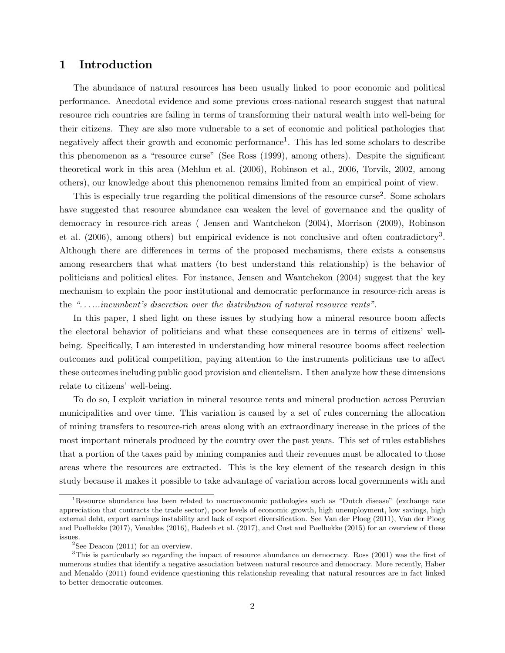# 1 Introduction

The abundance of natural resources has been usually linked to poor economic and political performance. Anecdotal evidence and some previous cross-national research suggest that natural resource rich countries are failing in terms of transforming their natural wealth into well-being for their citizens. They are also more vulnerable to a set of economic and political pathologies that negatively affect their growth and economic performance<sup>1</sup>. This has led some scholars to describe this phenomenon as a "resource curse" (See Ross (1999), among others). Despite the significant theoretical work in this area (Mehlun et al. (2006), Robinson et al., 2006, Torvik, 2002, among others), our knowledge about this phenomenon remains limited from an empirical point of view.

This is especially true regarding the political dimensions of the resource curse<sup>2</sup>. Some scholars have suggested that resource abundance can weaken the level of governance and the quality of democracy in resource-rich areas ( Jensen and Wantchekon (2004), Morrison (2009), Robinson et al. (2006), among others) but empirical evidence is not conclusive and often contradictory<sup>3</sup>. Although there are differences in terms of the proposed mechanisms, there exists a consensus among researchers that what matters (to best understand this relationship) is the behavior of politicians and political elites. For instance, Jensen and Wantchekon (2004) suggest that the key mechanism to explain the poor institutional and democratic performance in resource-rich areas is the *". . . ...incumbent's discretion over the distribution of natural resource rents"*.

In this paper, I shed light on these issues by studying how a mineral resource boom affects the electoral behavior of politicians and what these consequences are in terms of citizens' wellbeing. Specifically, I am interested in understanding how mineral resource booms affect reelection outcomes and political competition, paying attention to the instruments politicians use to affect these outcomes including public good provision and clientelism. I then analyze how these dimensions relate to citizens' well-being.

To do so, I exploit variation in mineral resource rents and mineral production across Peruvian municipalities and over time. This variation is caused by a set of rules concerning the allocation of mining transfers to resource-rich areas along with an extraordinary increase in the prices of the most important minerals produced by the country over the past years. This set of rules establishes that a portion of the taxes paid by mining companies and their revenues must be allocated to those areas where the resources are extracted. This is the key element of the research design in this study because it makes it possible to take advantage of variation across local governments with and

<sup>1</sup>Resource abundance has been related to macroeconomic pathologies such as "Dutch disease" (exchange rate appreciation that contracts the trade sector), poor levels of economic growth, high unemployment, low savings, high external debt, export earnings instability and lack of export diversification. See Van der Ploeg (2011), Van der Ploeg and Poelhekke (2017), Venables (2016), Badeeb et al. (2017), and Cust and Poelhekke (2015) for an overview of these issues.

 $2$ See Deacon (2011) for an overview.

<sup>&</sup>lt;sup>3</sup>This is particularly so regarding the impact of resource abundance on democracy. Ross (2001) was the first of numerous studies that identify a negative association between natural resource and democracy. More recently, Haber and Menaldo (2011) found evidence questioning this relationship revealing that natural resources are in fact linked to better democratic outcomes.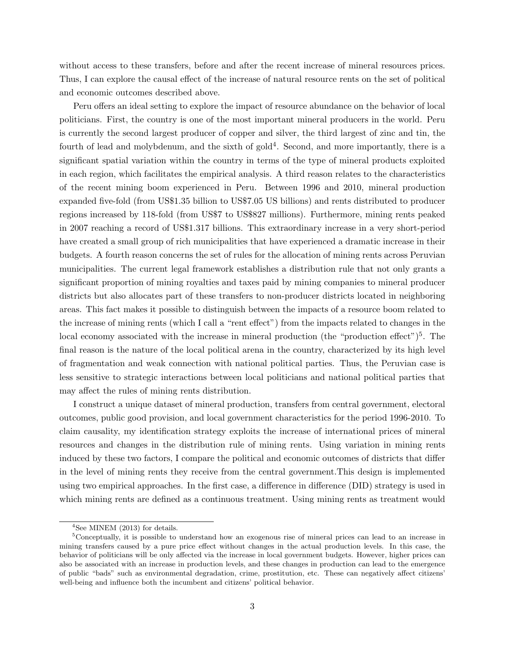without access to these transfers, before and after the recent increase of mineral resources prices. Thus, I can explore the causal effect of the increase of natural resource rents on the set of political and economic outcomes described above.

Peru offers an ideal setting to explore the impact of resource abundance on the behavior of local politicians. First, the country is one of the most important mineral producers in the world. Peru is currently the second largest producer of copper and silver, the third largest of zinc and tin, the fourth of lead and molybdenum, and the sixth of gold<sup>4</sup>. Second, and more importantly, there is a significant spatial variation within the country in terms of the type of mineral products exploited in each region, which facilitates the empirical analysis. A third reason relates to the characteristics of the recent mining boom experienced in Peru. Between 1996 and 2010, mineral production expanded five-fold (from US\$1.35 billion to US\$7.05 US billions) and rents distributed to producer regions increased by 118-fold (from US\$7 to US\$827 millions). Furthermore, mining rents peaked in 2007 reaching a record of US\$1.317 billions. This extraordinary increase in a very short-period have created a small group of rich municipalities that have experienced a dramatic increase in their budgets. A fourth reason concerns the set of rules for the allocation of mining rents across Peruvian municipalities. The current legal framework establishes a distribution rule that not only grants a significant proportion of mining royalties and taxes paid by mining companies to mineral producer districts but also allocates part of these transfers to non-producer districts located in neighboring areas. This fact makes it possible to distinguish between the impacts of a resource boom related to the increase of mining rents (which I call a "rent effect") from the impacts related to changes in the local economy associated with the increase in mineral production (the "production effect")<sup>5</sup>. The final reason is the nature of the local political arena in the country, characterized by its high level of fragmentation and weak connection with national political parties. Thus, the Peruvian case is less sensitive to strategic interactions between local politicians and national political parties that may affect the rules of mining rents distribution.

I construct a unique dataset of mineral production, transfers from central government, electoral outcomes, public good provision, and local government characteristics for the period 1996-2010. To claim causality, my identification strategy exploits the increase of international prices of mineral resources and changes in the distribution rule of mining rents. Using variation in mining rents induced by these two factors, I compare the political and economic outcomes of districts that differ in the level of mining rents they receive from the central government.This design is implemented using two empirical approaches. In the first case, a difference in difference (DID) strategy is used in which mining rents are defined as a continuous treatment. Using mining rents as treatment would

 $4$ See MINEM (2013) for details.

<sup>&</sup>lt;sup>5</sup>Conceptually, it is possible to understand how an exogenous rise of mineral prices can lead to an increase in mining transfers caused by a pure price effect without changes in the actual production levels. In this case, the behavior of politicians will be only affected via the increase in local government budgets. However, higher prices can also be associated with an increase in production levels, and these changes in production can lead to the emergence of public "bads" such as environmental degradation, crime, prostitution, etc. These can negatively affect citizens' well-being and influence both the incumbent and citizens' political behavior.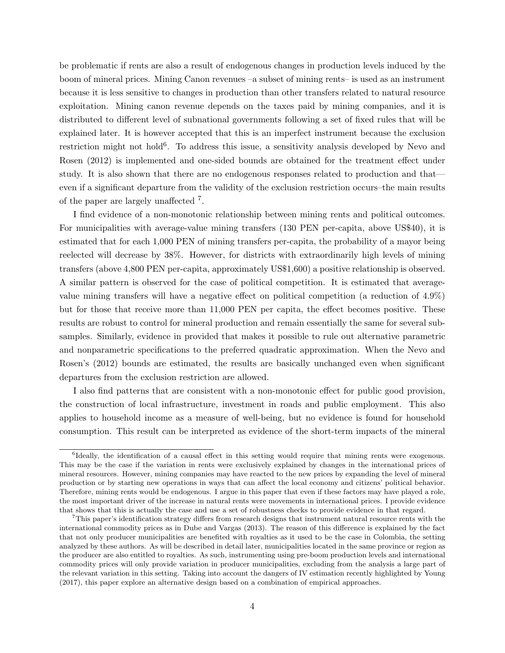be problematic if rents are also a result of endogenous changes in production levels induced by the boom of mineral prices. Mining Canon revenues –a subset of mining rents– is used as an instrument because it is less sensitive to changes in production than other transfers related to natural resource exploitation. Mining canon revenue depends on the taxes paid by mining companies, and it is distributed to different level of subnational governments following a set of fixed rules that will be explained later. It is however accepted that this is an imperfect instrument because the exclusion restriction might not hold<sup>6</sup>. To address this issue, a sensitivity analysis developed by Nevo and Rosen (2012) is implemented and one-sided bounds are obtained for the treatment effect under study. It is also shown that there are no endogenous responses related to production and that even if a significant departure from the validity of the exclusion restriction occurs–the main results of the paper are largely unaffected <sup>7</sup> .

I find evidence of a non-monotonic relationship between mining rents and political outcomes. For municipalities with average-value mining transfers (130 PEN per-capita, above US\$40), it is estimated that for each 1,000 PEN of mining transfers per-capita, the probability of a mayor being reelected will decrease by 38%. However, for districts with extraordinarily high levels of mining transfers (above 4,800 PEN per-capita, approximately US\$1,600) a positive relationship is observed. A similar pattern is observed for the case of political competition. It is estimated that averagevalue mining transfers will have a negative effect on political competition (a reduction of 4.9%) but for those that receive more than 11,000 PEN per capita, the effect becomes positive. These results are robust to control for mineral production and remain essentially the same for several subsamples. Similarly, evidence in provided that makes it possible to rule out alternative parametric and nonparametric specifications to the preferred quadratic approximation. When the Nevo and Rosen's (2012) bounds are estimated, the results are basically unchanged even when significant departures from the exclusion restriction are allowed.

I also find patterns that are consistent with a non-monotonic effect for public good provision, the construction of local infrastructure, investment in roads and public employment. This also applies to household income as a measure of well-being, but no evidence is found for household consumption. This result can be interpreted as evidence of the short-term impacts of the mineral

<sup>&</sup>lt;sup>6</sup>Ideally, the identification of a causal effect in this setting would require that mining rents were exogenous. This may be the case if the variation in rents were exclusively explained by changes in the international prices of mineral resources. However, mining companies may have reacted to the new prices by expanding the level of mineral production or by starting new operations in ways that can affect the local economy and citizens' political behavior. Therefore, mining rents would be endogenous. I argue in this paper that even if these factors may have played a role, the most important driver of the increase in natural rents were movements in international prices. I provide evidence that shows that this is actually the case and use a set of robustness checks to provide evidence in that regard.

 $7$ This paper's identification strategy differs from research designs that instrument natural resource rents with the international commodity prices as in Dube and Vargas (2013). The reason of this difference is explained by the fact that not only producer municipalities are benefited with royalties as it used to be the case in Colombia, the setting analyzed by these authors. As will be described in detail later, municipalities located in the same province or region as the producer are also entitled to royalties. As such, instrumenting using pre-boom production levels and international commodity prices will only provide variation in producer municipalities, excluding from the analysis a large part of the relevant variation in this setting. Taking into account the dangers of IV estimation recently highlighted by Young (2017), this paper explore an alternative design based on a combination of empirical approaches.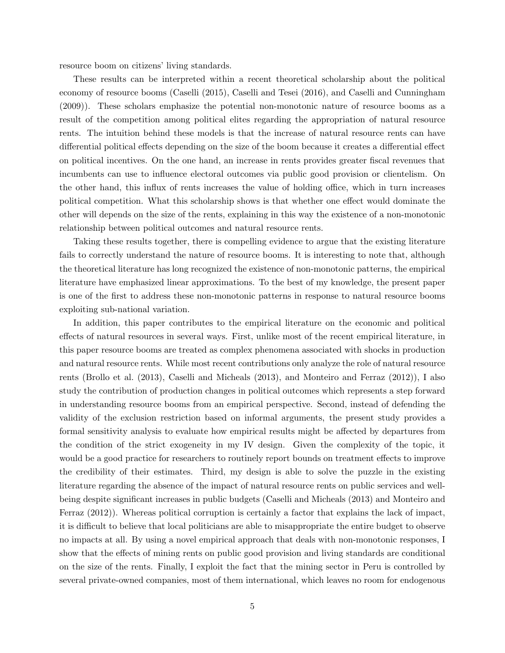resource boom on citizens' living standards.

These results can be interpreted within a recent theoretical scholarship about the political economy of resource booms (Caselli (2015), Caselli and Tesei (2016), and Caselli and Cunningham (2009)). These scholars emphasize the potential non-monotonic nature of resource booms as a result of the competition among political elites regarding the appropriation of natural resource rents. The intuition behind these models is that the increase of natural resource rents can have differential political effects depending on the size of the boom because it creates a differential effect on political incentives. On the one hand, an increase in rents provides greater fiscal revenues that incumbents can use to influence electoral outcomes via public good provision or clientelism. On the other hand, this influx of rents increases the value of holding office, which in turn increases political competition. What this scholarship shows is that whether one effect would dominate the other will depends on the size of the rents, explaining in this way the existence of a non-monotonic relationship between political outcomes and natural resource rents.

Taking these results together, there is compelling evidence to argue that the existing literature fails to correctly understand the nature of resource booms. It is interesting to note that, although the theoretical literature has long recognized the existence of non-monotonic patterns, the empirical literature have emphasized linear approximations. To the best of my knowledge, the present paper is one of the first to address these non-monotonic patterns in response to natural resource booms exploiting sub-national variation.

In addition, this paper contributes to the empirical literature on the economic and political effects of natural resources in several ways. First, unlike most of the recent empirical literature, in this paper resource booms are treated as complex phenomena associated with shocks in production and natural resource rents. While most recent contributions only analyze the role of natural resource rents (Brollo et al. (2013), Caselli and Micheals (2013), and Monteiro and Ferraz (2012)), I also study the contribution of production changes in political outcomes which represents a step forward in understanding resource booms from an empirical perspective. Second, instead of defending the validity of the exclusion restriction based on informal arguments, the present study provides a formal sensitivity analysis to evaluate how empirical results might be affected by departures from the condition of the strict exogeneity in my IV design. Given the complexity of the topic, it would be a good practice for researchers to routinely report bounds on treatment effects to improve the credibility of their estimates. Third, my design is able to solve the puzzle in the existing literature regarding the absence of the impact of natural resource rents on public services and wellbeing despite significant increases in public budgets (Caselli and Micheals (2013) and Monteiro and Ferraz (2012)). Whereas political corruption is certainly a factor that explains the lack of impact, it is difficult to believe that local politicians are able to misappropriate the entire budget to observe no impacts at all. By using a novel empirical approach that deals with non-monotonic responses, I show that the effects of mining rents on public good provision and living standards are conditional on the size of the rents. Finally, I exploit the fact that the mining sector in Peru is controlled by several private-owned companies, most of them international, which leaves no room for endogenous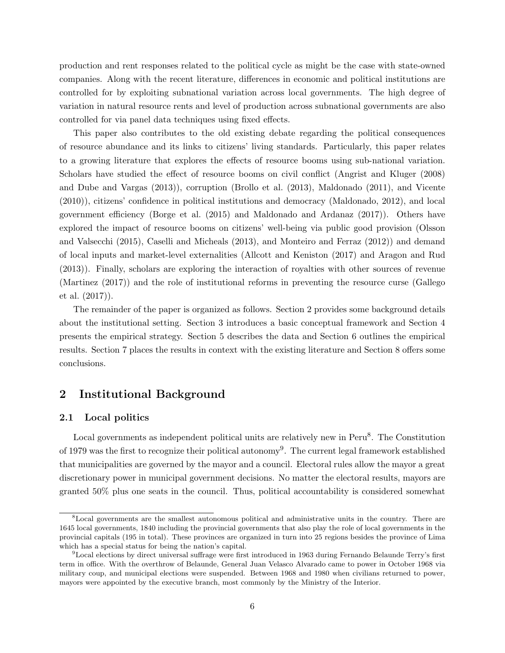production and rent responses related to the political cycle as might be the case with state-owned companies. Along with the recent literature, differences in economic and political institutions are controlled for by exploiting subnational variation across local governments. The high degree of variation in natural resource rents and level of production across subnational governments are also controlled for via panel data techniques using fixed effects.

This paper also contributes to the old existing debate regarding the political consequences of resource abundance and its links to citizens' living standards. Particularly, this paper relates to a growing literature that explores the effects of resource booms using sub-national variation. Scholars have studied the effect of resource booms on civil conflict (Angrist and Kluger (2008) and Dube and Vargas (2013)), corruption (Brollo et al. (2013), Maldonado (2011), and Vicente (2010)), citizens' confidence in political institutions and democracy (Maldonado, 2012), and local government efficiency (Borge et al. (2015) and Maldonado and Ardanaz (2017)). Others have explored the impact of resource booms on citizens' well-being via public good provision (Olsson and Valsecchi (2015), Caselli and Micheals (2013), and Monteiro and Ferraz (2012)) and demand of local inputs and market-level externalities (Allcott and Keniston (2017) and Aragon and Rud (2013)). Finally, scholars are exploring the interaction of royalties with other sources of revenue (Martinez (2017)) and the role of institutional reforms in preventing the resource curse (Gallego et al. (2017)).

The remainder of the paper is organized as follows. Section 2 provides some background details about the institutional setting. Section 3 introduces a basic conceptual framework and Section 4 presents the empirical strategy. Section 5 describes the data and Section 6 outlines the empirical results. Section 7 places the results in context with the existing literature and Section 8 offers some conclusions.

# 2 Institutional Background

## 2.1 Local politics

Local governments as independent political units are relatively new in Peru<sup>8</sup>. The Constitution of 1979 was the first to recognize their political autonomy<sup>9</sup>. The current legal framework established that municipalities are governed by the mayor and a council. Electoral rules allow the mayor a great discretionary power in municipal government decisions. No matter the electoral results, mayors are granted 50% plus one seats in the council. Thus, political accountability is considered somewhat

<sup>&</sup>lt;sup>8</sup>Local governments are the smallest autonomous political and administrative units in the country. There are 1645 local governments, 1840 including the provincial governments that also play the role of local governments in the provincial capitals (195 in total). These provinces are organized in turn into 25 regions besides the province of Lima which has a special status for being the nation's capital.

 $9$ Local elections by direct universal suffrage were first introduced in 1963 during Fernando Belaunde Terry's first term in office. With the overthrow of Belaunde, General Juan Velasco Alvarado came to power in October 1968 via military coup, and municipal elections were suspended. Between 1968 and 1980 when civilians returned to power, mayors were appointed by the executive branch, most commonly by the Ministry of the Interior.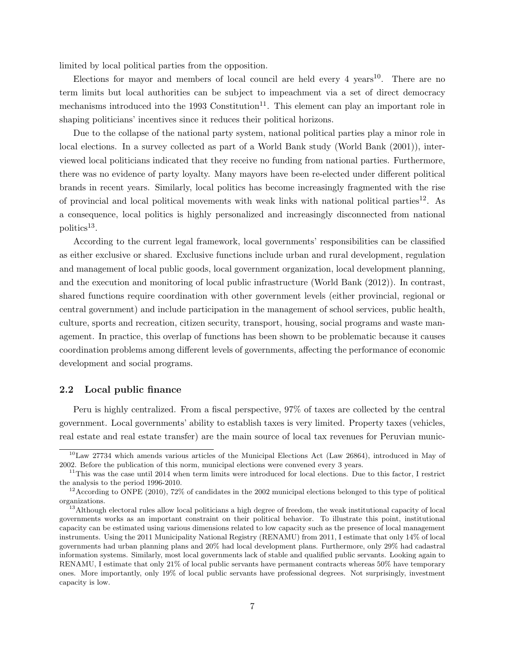limited by local political parties from the opposition.

Elections for mayor and members of local council are held every  $4 \text{ years}^{10}$ . There are no term limits but local authorities can be subject to impeachment via a set of direct democracy mechanisms introduced into the 1993 Constitution<sup>11</sup>. This element can play an important role in shaping politicians' incentives since it reduces their political horizons.

Due to the collapse of the national party system, national political parties play a minor role in local elections. In a survey collected as part of a World Bank study (World Bank (2001)), interviewed local politicians indicated that they receive no funding from national parties. Furthermore, there was no evidence of party loyalty. Many mayors have been re-elected under different political brands in recent years. Similarly, local politics has become increasingly fragmented with the rise of provincial and local political movements with weak links with national political parties<sup>12</sup>. As a consequence, local politics is highly personalized and increasingly disconnected from national politics<sup>13</sup>.

According to the current legal framework, local governments' responsibilities can be classified as either exclusive or shared. Exclusive functions include urban and rural development, regulation and management of local public goods, local government organization, local development planning, and the execution and monitoring of local public infrastructure (World Bank (2012)). In contrast, shared functions require coordination with other government levels (either provincial, regional or central government) and include participation in the management of school services, public health, culture, sports and recreation, citizen security, transport, housing, social programs and waste management. In practice, this overlap of functions has been shown to be problematic because it causes coordination problems among different levels of governments, affecting the performance of economic development and social programs.

## 2.2 Local public finance

Peru is highly centralized. From a fiscal perspective, 97% of taxes are collected by the central government. Local governments' ability to establish taxes is very limited. Property taxes (vehicles, real estate and real estate transfer) are the main source of local tax revenues for Peruvian munic-

 $10$ Law 27734 which amends various articles of the Municipal Elections Act (Law 26864), introduced in May of 2002. Before the publication of this norm, municipal elections were convened every 3 years.

 $11$ This was the case until 2014 when term limits were introduced for local elections. Due to this factor, I restrict the analysis to the period 1996-2010.

 $12$ According to ONPE (2010), 72% of candidates in the 2002 municipal elections belonged to this type of political organizations.

<sup>&</sup>lt;sup>13</sup>Although electoral rules allow local politicians a high degree of freedom, the weak institutional capacity of local governments works as an important constraint on their political behavior. To illustrate this point, institutional capacity can be estimated using various dimensions related to low capacity such as the presence of local management instruments. Using the 2011 Municipality National Registry (RENAMU) from 2011, I estimate that only 14% of local governments had urban planning plans and 20% had local development plans. Furthermore, only 29% had cadastral information systems. Similarly, most local governments lack of stable and qualified public servants. Looking again to RENAMU, I estimate that only 21% of local public servants have permanent contracts whereas 50% have temporary ones. More importantly, only 19% of local public servants have professional degrees. Not surprisingly, investment capacity is low.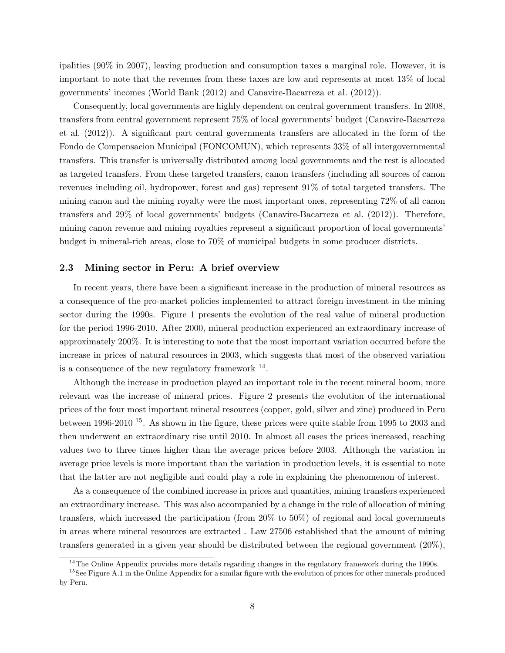ipalities (90% in 2007), leaving production and consumption taxes a marginal role. However, it is important to note that the revenues from these taxes are low and represents at most 13% of local governments' incomes (World Bank (2012) and Canavire-Bacarreza et al. (2012)).

Consequently, local governments are highly dependent on central government transfers. In 2008, transfers from central government represent 75% of local governments' budget (Canavire-Bacarreza et al. (2012)). A significant part central governments transfers are allocated in the form of the Fondo de Compensacion Municipal (FONCOMUN), which represents 33% of all intergovernmental transfers. This transfer is universally distributed among local governments and the rest is allocated as targeted transfers. From these targeted transfers, canon transfers (including all sources of canon revenues including oil, hydropower, forest and gas) represent 91% of total targeted transfers. The mining canon and the mining royalty were the most important ones, representing 72% of all canon transfers and 29% of local governments' budgets (Canavire-Bacarreza et al. (2012)). Therefore, mining canon revenue and mining royalties represent a significant proportion of local governments' budget in mineral-rich areas, close to 70% of municipal budgets in some producer districts.

## 2.3 Mining sector in Peru: A brief overview

In recent years, there have been a significant increase in the production of mineral resources as a consequence of the pro-market policies implemented to attract foreign investment in the mining sector during the 1990s. Figure 1 presents the evolution of the real value of mineral production for the period 1996-2010. After 2000, mineral production experienced an extraordinary increase of approximately 200%. It is interesting to note that the most important variation occurred before the increase in prices of natural resources in 2003, which suggests that most of the observed variation is a consequence of the new regulatory framework  $^{14}$ .

Although the increase in production played an important role in the recent mineral boom, more relevant was the increase of mineral prices. Figure 2 presents the evolution of the international prices of the four most important mineral resources (copper, gold, silver and zinc) produced in Peru between 1996-2010 <sup>15</sup>. As shown in the figure, these prices were quite stable from 1995 to 2003 and then underwent an extraordinary rise until 2010. In almost all cases the prices increased, reaching values two to three times higher than the average prices before 2003. Although the variation in average price levels is more important than the variation in production levels, it is essential to note that the latter are not negligible and could play a role in explaining the phenomenon of interest.

As a consequence of the combined increase in prices and quantities, mining transfers experienced an extraordinary increase. This was also accompanied by a change in the rule of allocation of mining transfers, which increased the participation (from 20% to 50%) of regional and local governments in areas where mineral resources are extracted . Law 27506 established that the amount of mining transfers generated in a given year should be distributed between the regional government (20%),

 $14$ The Online Appendix provides more details regarding changes in the regulatory framework during the 1990s.

<sup>&</sup>lt;sup>15</sup>See Figure A.1 in the Online Appendix for a similar figure with the evolution of prices for other minerals produced by Peru.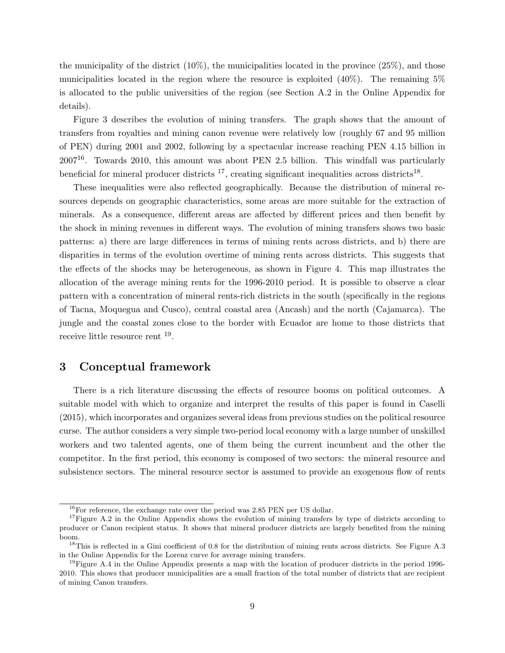the municipality of the district  $(10\%)$ , the municipalities located in the province  $(25\%)$ , and those municipalities located in the region where the resource is exploited  $(40\%)$ . The remaining 5% is allocated to the public universities of the region (see Section A.2 in the Online Appendix for details).

Figure 3 describes the evolution of mining transfers. The graph shows that the amount of transfers from royalties and mining canon revenue were relatively low (roughly 67 and 95 million of PEN) during 2001 and 2002, following by a spectacular increase reaching PEN 4.15 billion in  $2007^{16}$ . Towards 2010, this amount was about PEN 2.5 billion. This windfall was particularly beneficial for mineral producer districts  $^{17}$ , creating significant inequalities across districts<sup>18</sup>.

These inequalities were also reflected geographically. Because the distribution of mineral resources depends on geographic characteristics, some areas are more suitable for the extraction of minerals. As a consequence, different areas are affected by different prices and then benefit by the shock in mining revenues in different ways. The evolution of mining transfers shows two basic patterns: a) there are large differences in terms of mining rents across districts, and b) there are disparities in terms of the evolution overtime of mining rents across districts. This suggests that the effects of the shocks may be heterogeneous, as shown in Figure 4. This map illustrates the allocation of the average mining rents for the 1996-2010 period. It is possible to observe a clear pattern with a concentration of mineral rents-rich districts in the south (specifically in the regions of Tacna, Moquegua and Cusco), central coastal area (Ancash) and the north (Cajamarca). The jungle and the coastal zones close to the border with Ecuador are home to those districts that receive little resource rent <sup>19</sup>.

# 3 Conceptual framework

There is a rich literature discussing the effects of resource booms on political outcomes. A suitable model with which to organize and interpret the results of this paper is found in Caselli (2015), which incorporates and organizes several ideas from previous studies on the political resource curse. The author considers a very simple two-period local economy with a large number of unskilled workers and two talented agents, one of them being the current incumbent and the other the competitor. In the first period, this economy is composed of two sectors: the mineral resource and subsistence sectors. The mineral resource sector is assumed to provide an exogenous flow of rents

 $^{16}$ For reference, the exchange rate over the period was 2.85 PEN per US dollar.

<sup>&</sup>lt;sup>17</sup>Figure A.2 in the Online Appendix shows the evolution of mining transfers by type of districts according to producer or Canon recipient status. It shows that mineral producer districts are largely benefited from the mining boom.

 $18$ This is reflected in a Gini coefficient of 0.8 for the distribution of mining rents across districts. See Figure A.3 in the Online Appendix for the Lorenz curve for average mining transfers.

<sup>&</sup>lt;sup>19</sup>Figure A.4 in the Online Appendix presents a map with the location of producer districts in the period 1996-2010. This shows that producer municipalities are a small fraction of the total number of districts that are recipient of mining Canon transfers.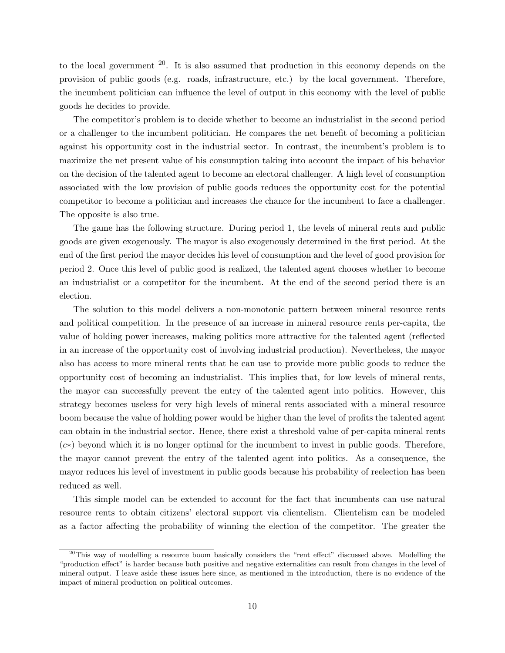to the local government  $2^0$ . It is also assumed that production in this economy depends on the provision of public goods (e.g. roads, infrastructure, etc.) by the local government. Therefore, the incumbent politician can influence the level of output in this economy with the level of public goods he decides to provide.

The competitor's problem is to decide whether to become an industrialist in the second period or a challenger to the incumbent politician. He compares the net benefit of becoming a politician against his opportunity cost in the industrial sector. In contrast, the incumbent's problem is to maximize the net present value of his consumption taking into account the impact of his behavior on the decision of the talented agent to become an electoral challenger. A high level of consumption associated with the low provision of public goods reduces the opportunity cost for the potential competitor to become a politician and increases the chance for the incumbent to face a challenger. The opposite is also true.

The game has the following structure. During period 1, the levels of mineral rents and public goods are given exogenously. The mayor is also exogenously determined in the first period. At the end of the first period the mayor decides his level of consumption and the level of good provision for period 2. Once this level of public good is realized, the talented agent chooses whether to become an industrialist or a competitor for the incumbent. At the end of the second period there is an election.

The solution to this model delivers a non-monotonic pattern between mineral resource rents and political competition. In the presence of an increase in mineral resource rents per-capita, the value of holding power increases, making politics more attractive for the talented agent (reflected in an increase of the opportunity cost of involving industrial production). Nevertheless, the mayor also has access to more mineral rents that he can use to provide more public goods to reduce the opportunity cost of becoming an industrialist. This implies that, for low levels of mineral rents, the mayor can successfully prevent the entry of the talented agent into politics. However, this strategy becomes useless for very high levels of mineral rents associated with a mineral resource boom because the value of holding power would be higher than the level of profits the talented agent can obtain in the industrial sector. Hence, there exist a threshold value of per-capita mineral rents (c∗) beyond which it is no longer optimal for the incumbent to invest in public goods. Therefore, the mayor cannot prevent the entry of the talented agent into politics. As a consequence, the mayor reduces his level of investment in public goods because his probability of reelection has been reduced as well.

This simple model can be extended to account for the fact that incumbents can use natural resource rents to obtain citizens' electoral support via clientelism. Clientelism can be modeled as a factor affecting the probability of winning the election of the competitor. The greater the

 $^{20}$ This way of modelling a resource boom basically considers the "rent effect" discussed above. Modelling the "production effect" is harder because both positive and negative externalities can result from changes in the level of mineral output. I leave aside these issues here since, as mentioned in the introduction, there is no evidence of the impact of mineral production on political outcomes.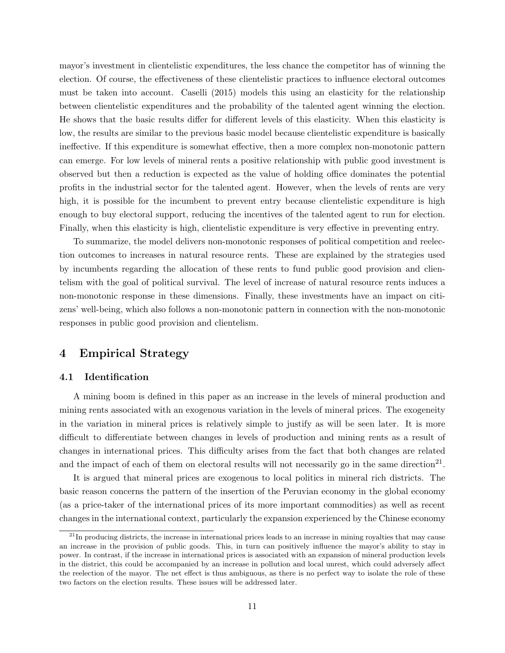mayor's investment in clientelistic expenditures, the less chance the competitor has of winning the election. Of course, the effectiveness of these clientelistic practices to influence electoral outcomes must be taken into account. Caselli (2015) models this using an elasticity for the relationship between clientelistic expenditures and the probability of the talented agent winning the election. He shows that the basic results differ for different levels of this elasticity. When this elasticity is low, the results are similar to the previous basic model because clientelistic expenditure is basically ineffective. If this expenditure is somewhat effective, then a more complex non-monotonic pattern can emerge. For low levels of mineral rents a positive relationship with public good investment is observed but then a reduction is expected as the value of holding office dominates the potential profits in the industrial sector for the talented agent. However, when the levels of rents are very high, it is possible for the incumbent to prevent entry because clientelistic expenditure is high enough to buy electoral support, reducing the incentives of the talented agent to run for election. Finally, when this elasticity is high, clientelistic expenditure is very effective in preventing entry.

To summarize, the model delivers non-monotonic responses of political competition and reelection outcomes to increases in natural resource rents. These are explained by the strategies used by incumbents regarding the allocation of these rents to fund public good provision and clientelism with the goal of political survival. The level of increase of natural resource rents induces a non-monotonic response in these dimensions. Finally, these investments have an impact on citizens' well-being, which also follows a non-monotonic pattern in connection with the non-monotonic responses in public good provision and clientelism.

# 4 Empirical Strategy

# 4.1 Identification

A mining boom is defined in this paper as an increase in the levels of mineral production and mining rents associated with an exogenous variation in the levels of mineral prices. The exogeneity in the variation in mineral prices is relatively simple to justify as will be seen later. It is more difficult to differentiate between changes in levels of production and mining rents as a result of changes in international prices. This difficulty arises from the fact that both changes are related and the impact of each of them on electoral results will not necessarily go in the same direction<sup>21</sup>.

It is argued that mineral prices are exogenous to local politics in mineral rich districts. The basic reason concerns the pattern of the insertion of the Peruvian economy in the global economy (as a price-taker of the international prices of its more important commodities) as well as recent changes in the international context, particularly the expansion experienced by the Chinese economy

 $21$ In producing districts, the increase in international prices leads to an increase in mining royalties that may cause an increase in the provision of public goods. This, in turn can positively influence the mayor's ability to stay in power. In contrast, if the increase in international prices is associated with an expansion of mineral production levels in the district, this could be accompanied by an increase in pollution and local unrest, which could adversely affect the reelection of the mayor. The net effect is thus ambiguous, as there is no perfect way to isolate the role of these two factors on the election results. These issues will be addressed later.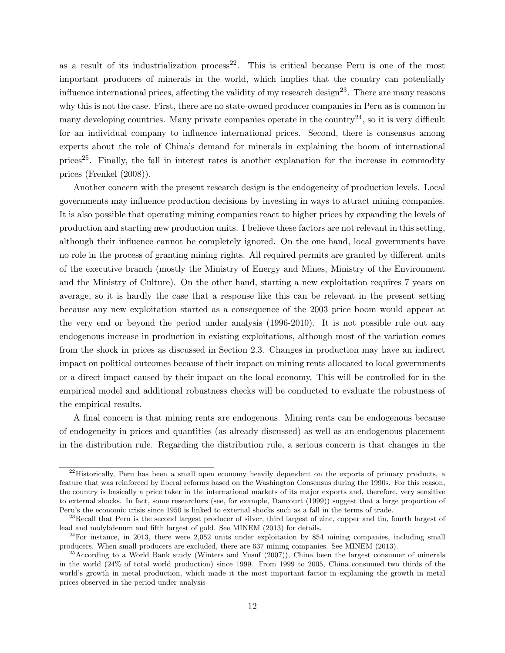as a result of its industrialization process<sup>22</sup>. This is critical because Peru is one of the most important producers of minerals in the world, which implies that the country can potentially influence international prices, affecting the validity of my research design<sup>23</sup>. There are many reasons why this is not the case. First, there are no state-owned producer companies in Peru as is common in many developing countries. Many private companies operate in the country<sup>24</sup>, so it is very difficult for an individual company to influence international prices. Second, there is consensus among experts about the role of China's demand for minerals in explaining the boom of international prices<sup>25</sup>. Finally, the fall in interest rates is another explanation for the increase in commodity prices (Frenkel (2008)).

Another concern with the present research design is the endogeneity of production levels. Local governments may influence production decisions by investing in ways to attract mining companies. It is also possible that operating mining companies react to higher prices by expanding the levels of production and starting new production units. I believe these factors are not relevant in this setting, although their influence cannot be completely ignored. On the one hand, local governments have no role in the process of granting mining rights. All required permits are granted by different units of the executive branch (mostly the Ministry of Energy and Mines, Ministry of the Environment and the Ministry of Culture). On the other hand, starting a new exploitation requires 7 years on average, so it is hardly the case that a response like this can be relevant in the present setting because any new exploitation started as a consequence of the 2003 price boom would appear at the very end or beyond the period under analysis (1996-2010). It is not possible rule out any endogenous increase in production in existing exploitations, although most of the variation comes from the shock in prices as discussed in Section 2.3. Changes in production may have an indirect impact on political outcomes because of their impact on mining rents allocated to local governments or a direct impact caused by their impact on the local economy. This will be controlled for in the empirical model and additional robustness checks will be conducted to evaluate the robustness of the empirical results.

A final concern is that mining rents are endogenous. Mining rents can be endogenous because of endogeneity in prices and quantities (as already discussed) as well as an endogenous placement in the distribution rule. Regarding the distribution rule, a serious concern is that changes in the

 $^{22}$ Historically, Peru has been a small open economy heavily dependent on the exports of primary products, a feature that was reinforced by liberal reforms based on the Washington Consensus during the 1990s. For this reason, the country is basically a price taker in the international markets of its major exports and, therefore, very sensitive to external shocks. In fact, some researchers (see, for example, Dancourt (1999)) suggest that a large proportion of Peru's the economic crisis since 1950 is linked to external shocks such as a fall in the terms of trade.

 $^{23}$ Recall that Peru is the second largest producer of silver, third largest of zinc, copper and tin, fourth largest of lead and molybdenum and fifth largest of gold. See MINEM (2013) for details.

 $24$ For instance, in 2013, there were 2,052 units under exploitation by 854 mining companies, including small producers. When small producers are excluded, there are 637 mining companies. See MINEM (2013).

<sup>&</sup>lt;sup>25</sup>According to a World Bank study (Winters and Yusuf  $(2007)$ ). China been the largest consumer of minerals in the world (24% of total world production) since 1999. From 1999 to 2005, China consumed two thirds of the world's growth in metal production, which made it the most important factor in explaining the growth in metal prices observed in the period under analysis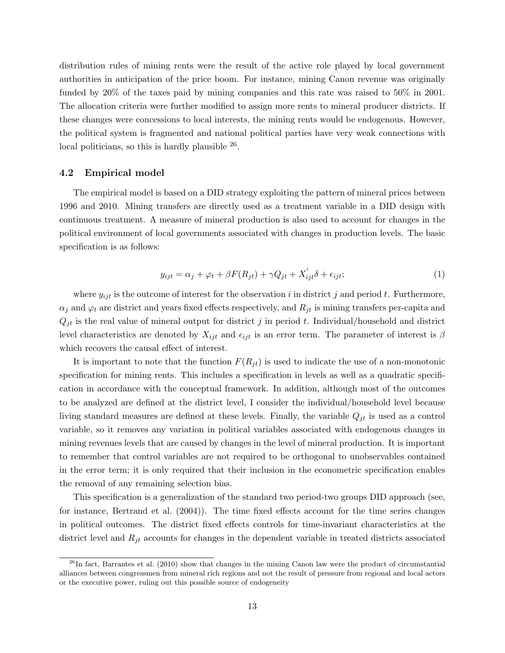distribution rules of mining rents were the result of the active role played by local government authorities in anticipation of the price boom. For instance, mining Canon revenue was originally funded by 20% of the taxes paid by mining companies and this rate was raised to 50% in 2001. The allocation criteria were further modified to assign more rents to mineral producer districts. If these changes were concessions to local interests, the mining rents would be endogenous. However, the political system is fragmented and national political parties have very weak connections with local politicians, so this is hardly plausible  $^{26}$ .

#### 4.2 Empirical model

The empirical model is based on a DID strategy exploiting the pattern of mineral prices between 1996 and 2010. Mining transfers are directly used as a treatment variable in a DID design with continuous treatment. A measure of mineral production is also used to account for changes in the political environment of local governments associated with changes in production levels. The basic specification is as follows:

$$
y_{ijt} = \alpha_j + \varphi_t + \beta F(R_{jt}) + \gamma Q_{jt} + X'_{ijt}\delta + \epsilon_{ijt};
$$
\n(1)

where  $y_{ijt}$  is the outcome of interest for the observation i in district j and period t. Furthermore,  $\alpha_j$  and  $\varphi_t$  are district and years fixed effects respectively, and  $R_{jt}$  is mining transfers per-capita and  $Q_{it}$  is the real value of mineral output for district j in period t. Individual/household and district level characteristics are denoted by  $X_{ijt}$  and  $\epsilon_{ijt}$  is an error term. The parameter of interest is  $\beta$ which recovers the causal effect of interest.

It is important to note that the function  $F(R_{jt})$  is used to indicate the use of a non-monotonic specification for mining rents. This includes a specification in levels as well as a quadratic specification in accordance with the conceptual framework. In addition, although most of the outcomes to be analyzed are defined at the district level, I consider the individual/household level because living standard measures are defined at these levels. Finally, the variable  $Q_{jt}$  is used as a control variable, so it removes any variation in political variables associated with endogenous changes in mining revenues levels that are caused by changes in the level of mineral production. It is important to remember that control variables are not required to be orthogonal to unobservables contained in the error term; it is only required that their inclusion in the econometric specification enables the removal of any remaining selection bias.

This specification is a generalization of the standard two period-two groups DID approach (see, for instance, Bertrand et al. (2004)). The time fixed effects account for the time series changes in political outcomes. The district fixed effects controls for time-invariant characteristics at the district level and  $R_{jt}$  accounts for changes in the dependent variable in treated districts associated

 $^{26}$ In fact, Barrantes et al. (2010) show that changes in the mining Canon law were the product of circumstantial alliances between congressmen from mineral rich regions and not the result of pressure from regional and local actors or the executive power, ruling out this possible source of endogeneity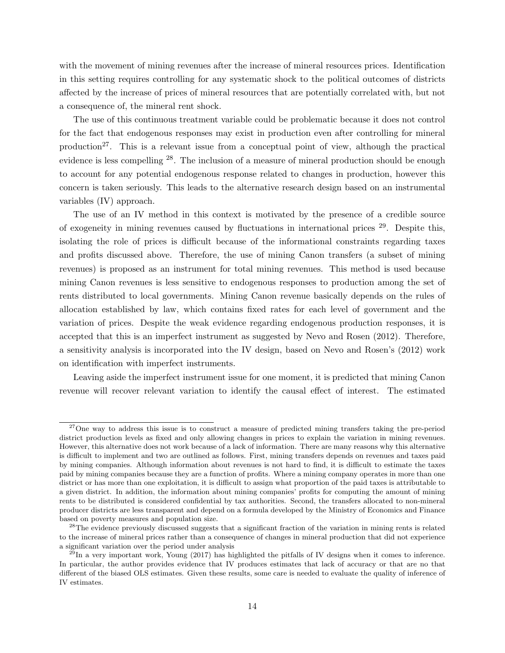with the movement of mining revenues after the increase of mineral resources prices. Identification in this setting requires controlling for any systematic shock to the political outcomes of districts affected by the increase of prices of mineral resources that are potentially correlated with, but not a consequence of, the mineral rent shock.

The use of this continuous treatment variable could be problematic because it does not control for the fact that endogenous responses may exist in production even after controlling for mineral production<sup>27</sup>. This is a relevant issue from a conceptual point of view, although the practical evidence is less compelling <sup>28</sup>. The inclusion of a measure of mineral production should be enough to account for any potential endogenous response related to changes in production, however this concern is taken seriously. This leads to the alternative research design based on an instrumental variables (IV) approach.

The use of an IV method in this context is motivated by the presence of a credible source of exogeneity in mining revenues caused by fluctuations in international prices  $29$ . Despite this, isolating the role of prices is difficult because of the informational constraints regarding taxes and profits discussed above. Therefore, the use of mining Canon transfers (a subset of mining revenues) is proposed as an instrument for total mining revenues. This method is used because mining Canon revenues is less sensitive to endogenous responses to production among the set of rents distributed to local governments. Mining Canon revenue basically depends on the rules of allocation established by law, which contains fixed rates for each level of government and the variation of prices. Despite the weak evidence regarding endogenous production responses, it is accepted that this is an imperfect instrument as suggested by Nevo and Rosen (2012). Therefore, a sensitivity analysis is incorporated into the IV design, based on Nevo and Rosen's (2012) work on identification with imperfect instruments.

Leaving aside the imperfect instrument issue for one moment, it is predicted that mining Canon revenue will recover relevant variation to identify the causal effect of interest. The estimated

<sup>&</sup>lt;sup>27</sup>One way to address this issue is to construct a measure of predicted mining transfers taking the pre-period district production levels as fixed and only allowing changes in prices to explain the variation in mining revenues. However, this alternative does not work because of a lack of information. There are many reasons why this alternative is difficult to implement and two are outlined as follows. First, mining transfers depends on revenues and taxes paid by mining companies. Although information about revenues is not hard to find, it is difficult to estimate the taxes paid by mining companies because they are a function of profits. Where a mining company operates in more than one district or has more than one exploitation, it is difficult to assign what proportion of the paid taxes is attributable to a given district. In addition, the information about mining companies' profits for computing the amount of mining rents to be distributed is considered confidential by tax authorities. Second, the transfers allocated to non-mineral producer districts are less transparent and depend on a formula developed by the Ministry of Economics and Finance based on poverty measures and population size.

<sup>&</sup>lt;sup>28</sup>The evidence previously discussed suggests that a significant fraction of the variation in mining rents is related to the increase of mineral prices rather than a consequence of changes in mineral production that did not experience a significant variation over the period under analysis

 $^{29}$ In a very important work, Young (2017) has highlighted the pitfalls of IV designs when it comes to inference. In particular, the author provides evidence that IV produces estimates that lack of accuracy or that are no that different of the biased OLS estimates. Given these results, some care is needed to evaluate the quality of inference of IV estimates.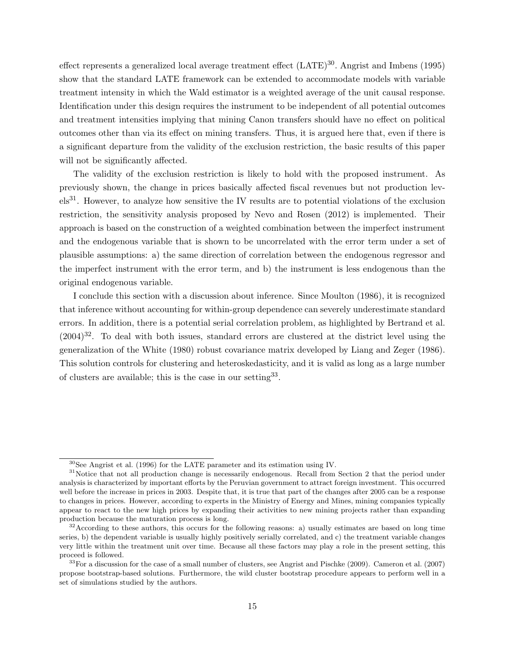effect represents a generalized local average treatment effect  $(LATE)^{30}$ . Angrist and Imbens (1995) show that the standard LATE framework can be extended to accommodate models with variable treatment intensity in which the Wald estimator is a weighted average of the unit causal response. Identification under this design requires the instrument to be independent of all potential outcomes and treatment intensities implying that mining Canon transfers should have no effect on political outcomes other than via its effect on mining transfers. Thus, it is argued here that, even if there is a significant departure from the validity of the exclusion restriction, the basic results of this paper will not be significantly affected.

The validity of the exclusion restriction is likely to hold with the proposed instrument. As previously shown, the change in prices basically affected fiscal revenues but not production levels31. However, to analyze how sensitive the IV results are to potential violations of the exclusion restriction, the sensitivity analysis proposed by Nevo and Rosen (2012) is implemented. Their approach is based on the construction of a weighted combination between the imperfect instrument and the endogenous variable that is shown to be uncorrelated with the error term under a set of plausible assumptions: a) the same direction of correlation between the endogenous regressor and the imperfect instrument with the error term, and b) the instrument is less endogenous than the original endogenous variable.

I conclude this section with a discussion about inference. Since Moulton (1986), it is recognized that inference without accounting for within-group dependence can severely underestimate standard errors. In addition, there is a potential serial correlation problem, as highlighted by Bertrand et al.  $(2004)^{32}$ . To deal with both issues, standard errors are clustered at the district level using the generalization of the White (1980) robust covariance matrix developed by Liang and Zeger (1986). This solution controls for clustering and heteroskedasticity, and it is valid as long as a large number of clusters are available; this is the case in our setting<sup>33</sup>.

<sup>30</sup>See Angrist et al. (1996) for the LATE parameter and its estimation using IV.

<sup>&</sup>lt;sup>31</sup>Notice that not all production change is necessarily endogenous. Recall from Section 2 that the period under analysis is characterized by important efforts by the Peruvian government to attract foreign investment. This occurred well before the increase in prices in 2003. Despite that, it is true that part of the changes after 2005 can be a response to changes in prices. However, according to experts in the Ministry of Energy and Mines, mining companies typically appear to react to the new high prices by expanding their activities to new mining projects rather than expanding production because the maturation process is long.

 $32^3$  According to these authors, this occurs for the following reasons: a) usually estimates are based on long time series, b) the dependent variable is usually highly positively serially correlated, and c) the treatment variable changes very little within the treatment unit over time. Because all these factors may play a role in the present setting, this proceed is followed.

 $33$ For a discussion for the case of a small number of clusters, see Angrist and Pischke (2009). Cameron et al. (2007) propose bootstrap-based solutions. Furthermore, the wild cluster bootstrap procedure appears to perform well in a set of simulations studied by the authors.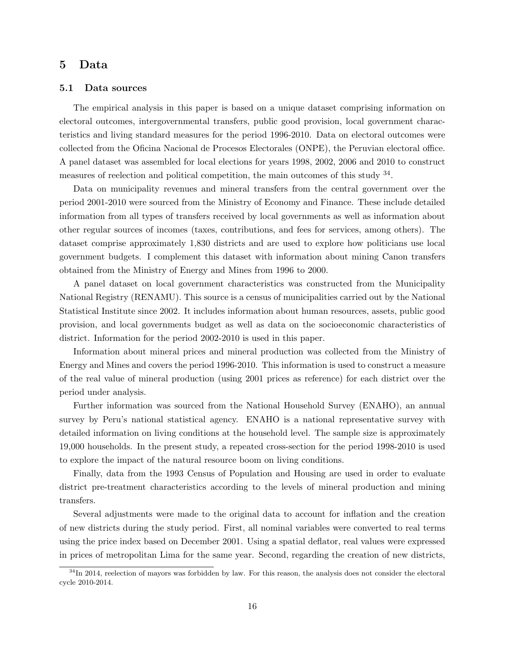# 5 Data

#### 5.1 Data sources

The empirical analysis in this paper is based on a unique dataset comprising information on electoral outcomes, intergovernmental transfers, public good provision, local government characteristics and living standard measures for the period 1996-2010. Data on electoral outcomes were collected from the Oficina Nacional de Procesos Electorales (ONPE), the Peruvian electoral office. A panel dataset was assembled for local elections for years 1998, 2002, 2006 and 2010 to construct measures of reelection and political competition, the main outcomes of this study <sup>34</sup>.

Data on municipality revenues and mineral transfers from the central government over the period 2001-2010 were sourced from the Ministry of Economy and Finance. These include detailed information from all types of transfers received by local governments as well as information about other regular sources of incomes (taxes, contributions, and fees for services, among others). The dataset comprise approximately 1,830 districts and are used to explore how politicians use local government budgets. I complement this dataset with information about mining Canon transfers obtained from the Ministry of Energy and Mines from 1996 to 2000.

A panel dataset on local government characteristics was constructed from the Municipality National Registry (RENAMU). This source is a census of municipalities carried out by the National Statistical Institute since 2002. It includes information about human resources, assets, public good provision, and local governments budget as well as data on the socioeconomic characteristics of district. Information for the period 2002-2010 is used in this paper.

Information about mineral prices and mineral production was collected from the Ministry of Energy and Mines and covers the period 1996-2010. This information is used to construct a measure of the real value of mineral production (using 2001 prices as reference) for each district over the period under analysis.

Further information was sourced from the National Household Survey (ENAHO), an annual survey by Peru's national statistical agency. ENAHO is a national representative survey with detailed information on living conditions at the household level. The sample size is approximately 19,000 households. In the present study, a repeated cross-section for the period 1998-2010 is used to explore the impact of the natural resource boom on living conditions.

Finally, data from the 1993 Census of Population and Housing are used in order to evaluate district pre-treatment characteristics according to the levels of mineral production and mining transfers.

Several adjustments were made to the original data to account for inflation and the creation of new districts during the study period. First, all nominal variables were converted to real terms using the price index based on December 2001. Using a spatial deflator, real values were expressed in prices of metropolitan Lima for the same year. Second, regarding the creation of new districts,

 $34$ In 2014, reelection of mayors was forbidden by law. For this reason, the analysis does not consider the electoral cycle 2010-2014.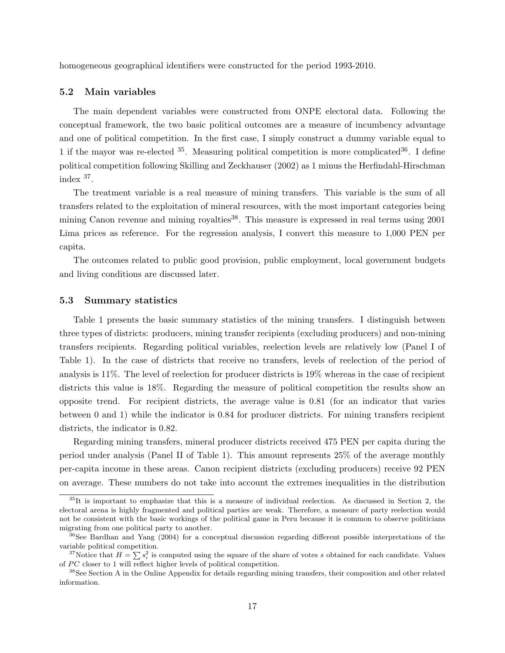homogeneous geographical identifiers were constructed for the period 1993-2010.

# 5.2 Main variables

The main dependent variables were constructed from ONPE electoral data. Following the conceptual framework, the two basic political outcomes are a measure of incumbency advantage and one of political competition. In the first case, I simply construct a dummy variable equal to 1 if the mayor was re-elected  $35$ . Measuring political competition is more complicated  $36$ . I define political competition following Skilling and Zeckhauser (2002) as 1 minus the Herfindahl-Hirschman index <sup>37</sup> .

The treatment variable is a real measure of mining transfers. This variable is the sum of all transfers related to the exploitation of mineral resources, with the most important categories being mining Canon revenue and mining royalties $38$ . This measure is expressed in real terms using 2001 Lima prices as reference. For the regression analysis, I convert this measure to 1,000 PEN per capita.

The outcomes related to public good provision, public employment, local government budgets and living conditions are discussed later.

## 5.3 Summary statistics

Table 1 presents the basic summary statistics of the mining transfers. I distinguish between three types of districts: producers, mining transfer recipients (excluding producers) and non-mining transfers recipients. Regarding political variables, reelection levels are relatively low (Panel I of Table 1). In the case of districts that receive no transfers, levels of reelection of the period of analysis is 11%. The level of reelection for producer districts is 19% whereas in the case of recipient districts this value is 18%. Regarding the measure of political competition the results show an opposite trend. For recipient districts, the average value is 0.81 (for an indicator that varies between 0 and 1) while the indicator is 0.84 for producer districts. For mining transfers recipient districts, the indicator is 0.82.

Regarding mining transfers, mineral producer districts received 475 PEN per capita during the period under analysis (Panel II of Table 1). This amount represents 25% of the average monthly per-capita income in these areas. Canon recipient districts (excluding producers) receive 92 PEN on average. These numbers do not take into account the extremes inequalities in the distribution

<sup>35</sup>It is important to emphasize that this is a measure of individual reelection. As discussed in Section 2, the electoral arena is highly fragmented and political parties are weak. Therefore, a measure of party reelection would not be consistent with the basic workings of the political game in Peru because it is common to observe politicians migrating from one political party to another.

<sup>&</sup>lt;sup>36</sup>See Bardhan and Yang (2004) for a conceptual discussion regarding different possible interpretations of the variable political competition.

<sup>&</sup>lt;sup>37</sup>Notice that  $H = \sum s_i^2$  is computed using the square of the share of votes s obtained for each candidate. Values of  $PC$  closer to 1 will reflect higher levels of political competition.

<sup>&</sup>lt;sup>38</sup>See Section A in the Online Appendix for details regarding mining transfers, their composition and other related information.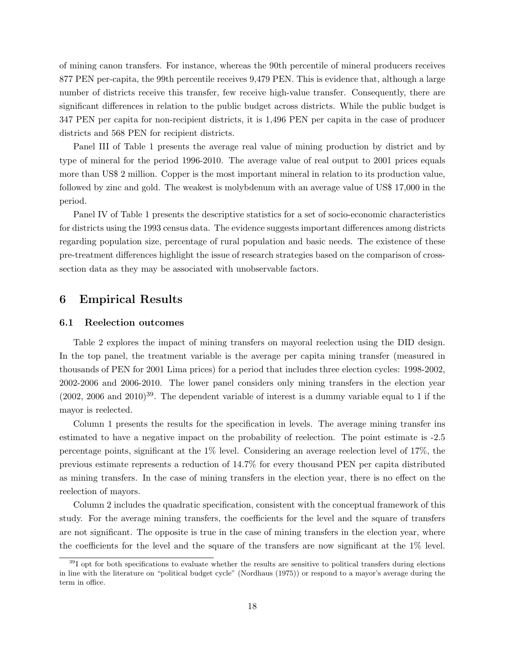of mining canon transfers. For instance, whereas the 90th percentile of mineral producers receives 877 PEN per-capita, the 99th percentile receives 9,479 PEN. This is evidence that, although a large number of districts receive this transfer, few receive high-value transfer. Consequently, there are significant differences in relation to the public budget across districts. While the public budget is 347 PEN per capita for non-recipient districts, it is 1,496 PEN per capita in the case of producer districts and 568 PEN for recipient districts.

Panel III of Table 1 presents the average real value of mining production by district and by type of mineral for the period 1996-2010. The average value of real output to 2001 prices equals more than US\$ 2 million. Copper is the most important mineral in relation to its production value, followed by zinc and gold. The weakest is molybdenum with an average value of US\$ 17,000 in the period.

Panel IV of Table 1 presents the descriptive statistics for a set of socio-economic characteristics for districts using the 1993 census data. The evidence suggests important differences among districts regarding population size, percentage of rural population and basic needs. The existence of these pre-treatment differences highlight the issue of research strategies based on the comparison of crosssection data as they may be associated with unobservable factors.

# 6 Empirical Results

## 6.1 Reelection outcomes

Table 2 explores the impact of mining transfers on mayoral reelection using the DID design. In the top panel, the treatment variable is the average per capita mining transfer (measured in thousands of PEN for 2001 Lima prices) for a period that includes three election cycles: 1998-2002, 2002-2006 and 2006-2010. The lower panel considers only mining transfers in the election year  $(2002, 2006, 2010)$ <sup>39</sup>. The dependent variable of interest is a dummy variable equal to 1 if the mayor is reelected.

Column 1 presents the results for the specification in levels. The average mining transfer ins estimated to have a negative impact on the probability of reelection. The point estimate is -2.5 percentage points, significant at the 1% level. Considering an average reelection level of 17%, the previous estimate represents a reduction of 14.7% for every thousand PEN per capita distributed as mining transfers. In the case of mining transfers in the election year, there is no effect on the reelection of mayors.

Column 2 includes the quadratic specification, consistent with the conceptual framework of this study. For the average mining transfers, the coefficients for the level and the square of transfers are not significant. The opposite is true in the case of mining transfers in the election year, where the coefficients for the level and the square of the transfers are now significant at the 1% level.

 $39$ I opt for both specifications to evaluate whether the results are sensitive to political transfers during elections in line with the literature on "political budget cycle" (Nordhaus (1975)) or respond to a mayor's average during the term in office.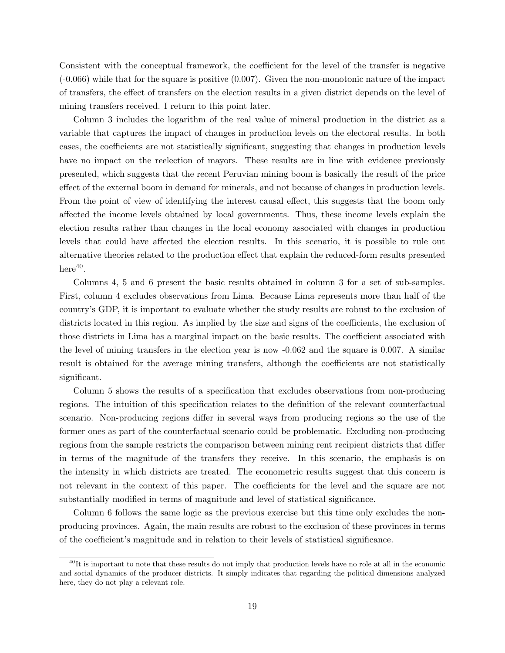Consistent with the conceptual framework, the coefficient for the level of the transfer is negative (-0.066) while that for the square is positive (0.007). Given the non-monotonic nature of the impact of transfers, the effect of transfers on the election results in a given district depends on the level of mining transfers received. I return to this point later.

Column 3 includes the logarithm of the real value of mineral production in the district as a variable that captures the impact of changes in production levels on the electoral results. In both cases, the coefficients are not statistically significant, suggesting that changes in production levels have no impact on the reelection of mayors. These results are in line with evidence previously presented, which suggests that the recent Peruvian mining boom is basically the result of the price effect of the external boom in demand for minerals, and not because of changes in production levels. From the point of view of identifying the interest causal effect, this suggests that the boom only affected the income levels obtained by local governments. Thus, these income levels explain the election results rather than changes in the local economy associated with changes in production levels that could have affected the election results. In this scenario, it is possible to rule out alternative theories related to the production effect that explain the reduced-form results presented  $here<sup>40</sup>$ .

Columns 4, 5 and 6 present the basic results obtained in column 3 for a set of sub-samples. First, column 4 excludes observations from Lima. Because Lima represents more than half of the country's GDP, it is important to evaluate whether the study results are robust to the exclusion of districts located in this region. As implied by the size and signs of the coefficients, the exclusion of those districts in Lima has a marginal impact on the basic results. The coefficient associated with the level of mining transfers in the election year is now -0.062 and the square is 0.007. A similar result is obtained for the average mining transfers, although the coefficients are not statistically significant.

Column 5 shows the results of a specification that excludes observations from non-producing regions. The intuition of this specification relates to the definition of the relevant counterfactual scenario. Non-producing regions differ in several ways from producing regions so the use of the former ones as part of the counterfactual scenario could be problematic. Excluding non-producing regions from the sample restricts the comparison between mining rent recipient districts that differ in terms of the magnitude of the transfers they receive. In this scenario, the emphasis is on the intensity in which districts are treated. The econometric results suggest that this concern is not relevant in the context of this paper. The coefficients for the level and the square are not substantially modified in terms of magnitude and level of statistical significance.

Column 6 follows the same logic as the previous exercise but this time only excludes the nonproducing provinces. Again, the main results are robust to the exclusion of these provinces in terms of the coefficient's magnitude and in relation to their levels of statistical significance.

 $^{40}$ It is important to note that these results do not imply that production levels have no role at all in the economic and social dynamics of the producer districts. It simply indicates that regarding the political dimensions analyzed here, they do not play a relevant role.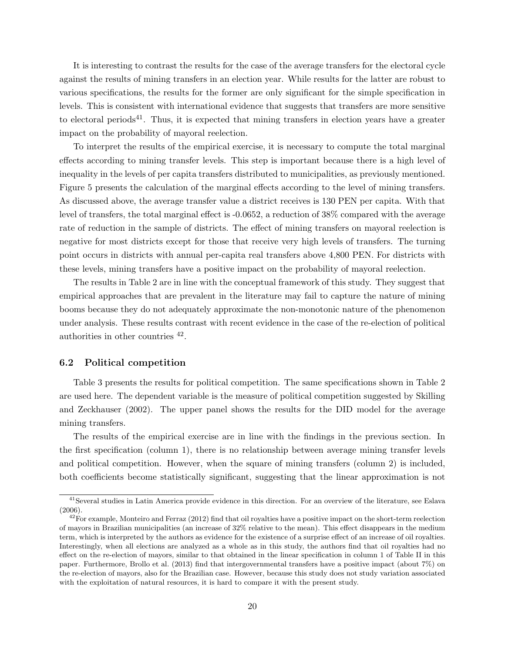It is interesting to contrast the results for the case of the average transfers for the electoral cycle against the results of mining transfers in an election year. While results for the latter are robust to various specifications, the results for the former are only significant for the simple specification in levels. This is consistent with international evidence that suggests that transfers are more sensitive to electoral periods<sup>41</sup>. Thus, it is expected that mining transfers in election years have a greater impact on the probability of mayoral reelection.

To interpret the results of the empirical exercise, it is necessary to compute the total marginal effects according to mining transfer levels. This step is important because there is a high level of inequality in the levels of per capita transfers distributed to municipalities, as previously mentioned. Figure 5 presents the calculation of the marginal effects according to the level of mining transfers. As discussed above, the average transfer value a district receives is 130 PEN per capita. With that level of transfers, the total marginal effect is -0.0652, a reduction of 38% compared with the average rate of reduction in the sample of districts. The effect of mining transfers on mayoral reelection is negative for most districts except for those that receive very high levels of transfers. The turning point occurs in districts with annual per-capita real transfers above 4,800 PEN. For districts with these levels, mining transfers have a positive impact on the probability of mayoral reelection.

The results in Table 2 are in line with the conceptual framework of this study. They suggest that empirical approaches that are prevalent in the literature may fail to capture the nature of mining booms because they do not adequately approximate the non-monotonic nature of the phenomenon under analysis. These results contrast with recent evidence in the case of the re-election of political authorities in other countries <sup>42</sup> .

## 6.2 Political competition

Table 3 presents the results for political competition. The same specifications shown in Table 2 are used here. The dependent variable is the measure of political competition suggested by Skilling and Zeckhauser (2002). The upper panel shows the results for the DID model for the average mining transfers.

The results of the empirical exercise are in line with the findings in the previous section. In the first specification (column 1), there is no relationship between average mining transfer levels and political competition. However, when the square of mining transfers (column 2) is included, both coefficients become statistically significant, suggesting that the linear approximation is not

<sup>41</sup>Several studies in Latin America provide evidence in this direction. For an overview of the literature, see Eslava (2006).

 $^{42}$ For example, Monteiro and Ferraz (2012) find that oil royalties have a positive impact on the short-term reelection of mayors in Brazilian municipalities (an increase of 32% relative to the mean). This effect disappears in the medium term, which is interpreted by the authors as evidence for the existence of a surprise effect of an increase of oil royalties. Interestingly, when all elections are analyzed as a whole as in this study, the authors find that oil royalties had no effect on the re-election of mayors, similar to that obtained in the linear specification in column 1 of Table II in this paper. Furthermore, Brollo et al. (2013) find that intergovernmental transfers have a positive impact (about 7%) on the re-election of mayors, also for the Brazilian case. However, because this study does not study variation associated with the exploitation of natural resources, it is hard to compare it with the present study.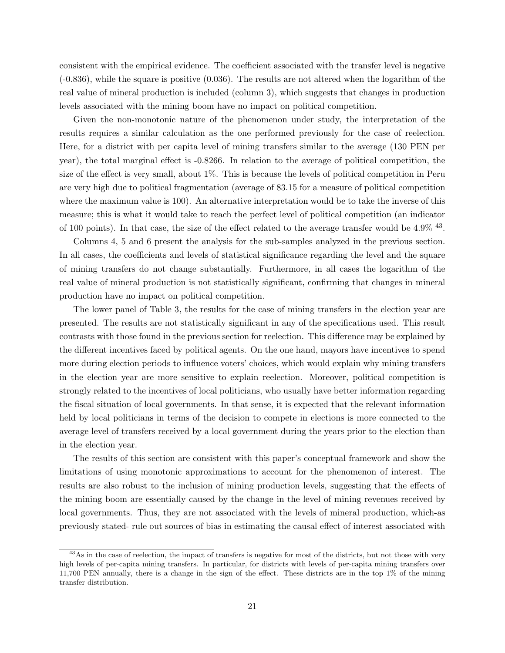consistent with the empirical evidence. The coefficient associated with the transfer level is negative  $(-0.836)$ , while the square is positive  $(0.036)$ . The results are not altered when the logarithm of the real value of mineral production is included (column 3), which suggests that changes in production levels associated with the mining boom have no impact on political competition.

Given the non-monotonic nature of the phenomenon under study, the interpretation of the results requires a similar calculation as the one performed previously for the case of reelection. Here, for a district with per capita level of mining transfers similar to the average (130 PEN per year), the total marginal effect is -0.8266. In relation to the average of political competition, the size of the effect is very small, about 1%. This is because the levels of political competition in Peru are very high due to political fragmentation (average of 83.15 for a measure of political competition where the maximum value is 100). An alternative interpretation would be to take the inverse of this measure; this is what it would take to reach the perfect level of political competition (an indicator of 100 points). In that case, the size of the effect related to the average transfer would be 4.9% <sup>43</sup>.

Columns 4, 5 and 6 present the analysis for the sub-samples analyzed in the previous section. In all cases, the coefficients and levels of statistical significance regarding the level and the square of mining transfers do not change substantially. Furthermore, in all cases the logarithm of the real value of mineral production is not statistically significant, confirming that changes in mineral production have no impact on political competition.

The lower panel of Table 3, the results for the case of mining transfers in the election year are presented. The results are not statistically significant in any of the specifications used. This result contrasts with those found in the previous section for reelection. This difference may be explained by the different incentives faced by political agents. On the one hand, mayors have incentives to spend more during election periods to influence voters' choices, which would explain why mining transfers in the election year are more sensitive to explain reelection. Moreover, political competition is strongly related to the incentives of local politicians, who usually have better information regarding the fiscal situation of local governments. In that sense, it is expected that the relevant information held by local politicians in terms of the decision to compete in elections is more connected to the average level of transfers received by a local government during the years prior to the election than in the election year.

The results of this section are consistent with this paper's conceptual framework and show the limitations of using monotonic approximations to account for the phenomenon of interest. The results are also robust to the inclusion of mining production levels, suggesting that the effects of the mining boom are essentially caused by the change in the level of mining revenues received by local governments. Thus, they are not associated with the levels of mineral production, which-as previously stated- rule out sources of bias in estimating the causal effect of interest associated with

<sup>&</sup>lt;sup>43</sup>As in the case of reelection, the impact of transfers is negative for most of the districts, but not those with very high levels of per-capita mining transfers. In particular, for districts with levels of per-capita mining transfers over 11,700 PEN annually, there is a change in the sign of the effect. These districts are in the top 1% of the mining transfer distribution.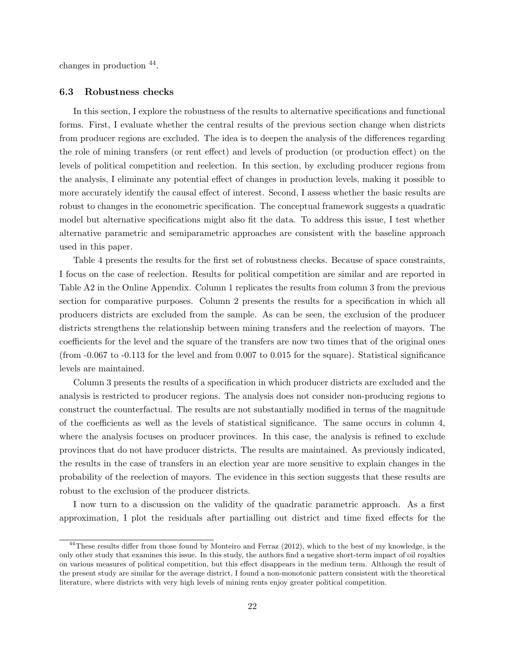changes in production <sup>44</sup> .

#### 6.3 Robustness checks

In this section, I explore the robustness of the results to alternative specifications and functional forms. First, I evaluate whether the central results of the previous section change when districts from producer regions are excluded. The idea is to deepen the analysis of the differences regarding the role of mining transfers (or rent effect) and levels of production (or production effect) on the levels of political competition and reelection. In this section, by excluding producer regions from the analysis, I eliminate any potential effect of changes in production levels, making it possible to more accurately identify the causal effect of interest. Second, I assess whether the basic results are robust to changes in the econometric specification. The conceptual framework suggests a quadratic model but alternative specifications might also fit the data. To address this issue, I test whether alternative parametric and semiparametric approaches are consistent with the baseline approach used in this paper.

Table 4 presents the results for the first set of robustness checks. Because of space constraints, I focus on the case of reelection. Results for political competition are similar and are reported in Table A2 in the Online Appendix. Column 1 replicates the results from column 3 from the previous section for comparative purposes. Column 2 presents the results for a specification in which all producers districts are excluded from the sample. As can be seen, the exclusion of the producer districts strengthens the relationship between mining transfers and the reelection of mayors. The coefficients for the level and the square of the transfers are now two times that of the original ones (from -0.067 to -0.113 for the level and from 0.007 to 0.015 for the square). Statistical significance levels are maintained.

Column 3 presents the results of a specification in which producer districts are excluded and the analysis is restricted to producer regions. The analysis does not consider non-producing regions to construct the counterfactual. The results are not substantially modified in terms of the magnitude of the coefficients as well as the levels of statistical significance. The same occurs in column 4, where the analysis focuses on producer provinces. In this case, the analysis is refined to exclude provinces that do not have producer districts. The results are maintained. As previously indicated, the results in the case of transfers in an election year are more sensitive to explain changes in the probability of the reelection of mayors. The evidence in this section suggests that these results are robust to the exclusion of the producer districts.

I now turn to a discussion on the validity of the quadratic parametric approach. As a first approximation, I plot the residuals after partialling out district and time fixed effects for the

<sup>&</sup>lt;sup>44</sup>These results differ from those found by Monteiro and Ferraz (2012), which to the best of my knowledge, is the only other study that examines this issue. In this study, the authors find a negative short-term impact of oil royalties on various measures of political competition, but this effect disappears in the medium term. Although the result of the present study are similar for the average district, I found a non-monotonic pattern consistent with the theoretical literature, where districts with very high levels of mining rents enjoy greater political competition.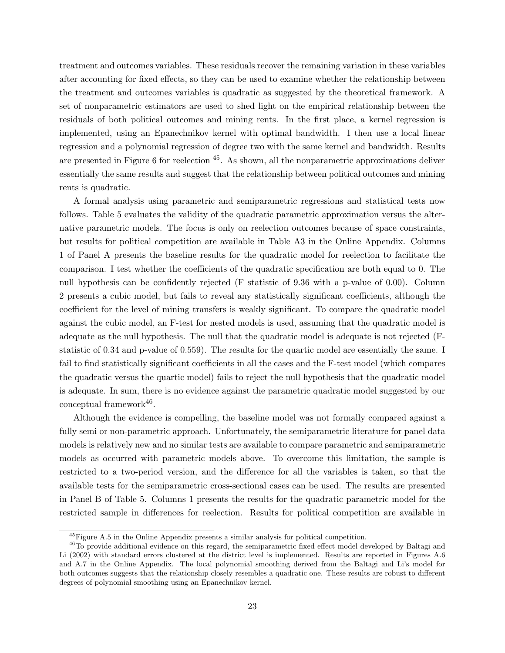treatment and outcomes variables. These residuals recover the remaining variation in these variables after accounting for fixed effects, so they can be used to examine whether the relationship between the treatment and outcomes variables is quadratic as suggested by the theoretical framework. A set of nonparametric estimators are used to shed light on the empirical relationship between the residuals of both political outcomes and mining rents. In the first place, a kernel regression is implemented, using an Epanechnikov kernel with optimal bandwidth. I then use a local linear regression and a polynomial regression of degree two with the same kernel and bandwidth. Results are presented in Figure 6 for reelection  $45$ . As shown, all the nonparametric approximations deliver essentially the same results and suggest that the relationship between political outcomes and mining rents is quadratic.

A formal analysis using parametric and semiparametric regressions and statistical tests now follows. Table 5 evaluates the validity of the quadratic parametric approximation versus the alternative parametric models. The focus is only on reelection outcomes because of space constraints, but results for political competition are available in Table A3 in the Online Appendix. Columns 1 of Panel A presents the baseline results for the quadratic model for reelection to facilitate the comparison. I test whether the coefficients of the quadratic specification are both equal to 0. The null hypothesis can be confidently rejected (F statistic of 9.36 with a p-value of 0.00). Column 2 presents a cubic model, but fails to reveal any statistically significant coefficients, although the coefficient for the level of mining transfers is weakly significant. To compare the quadratic model against the cubic model, an F-test for nested models is used, assuming that the quadratic model is adequate as the null hypothesis. The null that the quadratic model is adequate is not rejected (Fstatistic of 0.34 and p-value of 0.559). The results for the quartic model are essentially the same. I fail to find statistically significant coefficients in all the cases and the F-test model (which compares the quadratic versus the quartic model) fails to reject the null hypothesis that the quadratic model is adequate. In sum, there is no evidence against the parametric quadratic model suggested by our  $\text{conceptual framework}^{46}$ .

Although the evidence is compelling, the baseline model was not formally compared against a fully semi or non-parametric approach. Unfortunately, the semiparametric literature for panel data models is relatively new and no similar tests are available to compare parametric and semiparametric models as occurred with parametric models above. To overcome this limitation, the sample is restricted to a two-period version, and the difference for all the variables is taken, so that the available tests for the semiparametric cross-sectional cases can be used. The results are presented in Panel B of Table 5. Columns 1 presents the results for the quadratic parametric model for the restricted sample in differences for reelection. Results for political competition are available in

<sup>45</sup>Figure A.5 in the Online Appendix presents a similar analysis for political competition.

<sup>&</sup>lt;sup>46</sup>To provide additional evidence on this regard, the semiparametric fixed effect model developed by Baltagi and Li (2002) with standard errors clustered at the district level is implemented. Results are reported in Figures A.6 and A.7 in the Online Appendix. The local polynomial smoothing derived from the Baltagi and Li's model for both outcomes suggests that the relationship closely resembles a quadratic one. These results are robust to different degrees of polynomial smoothing using an Epanechnikov kernel.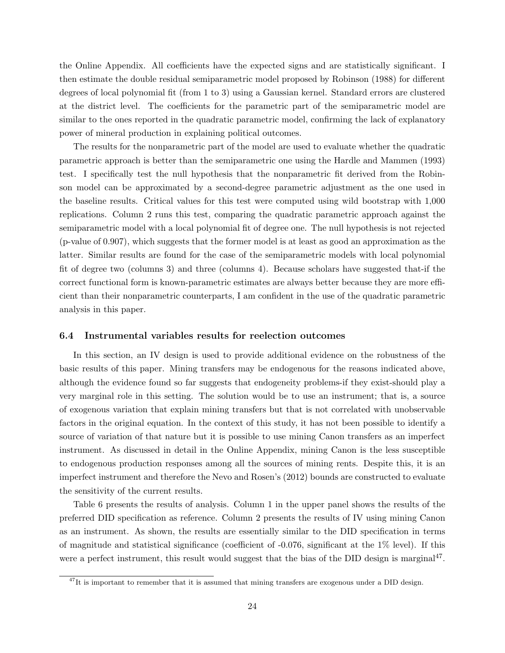the Online Appendix. All coefficients have the expected signs and are statistically significant. I then estimate the double residual semiparametric model proposed by Robinson (1988) for different degrees of local polynomial fit (from 1 to 3) using a Gaussian kernel. Standard errors are clustered at the district level. The coefficients for the parametric part of the semiparametric model are similar to the ones reported in the quadratic parametric model, confirming the lack of explanatory power of mineral production in explaining political outcomes.

The results for the nonparametric part of the model are used to evaluate whether the quadratic parametric approach is better than the semiparametric one using the Hardle and Mammen (1993) test. I specifically test the null hypothesis that the nonparametric fit derived from the Robinson model can be approximated by a second-degree parametric adjustment as the one used in the baseline results. Critical values for this test were computed using wild bootstrap with 1,000 replications. Column 2 runs this test, comparing the quadratic parametric approach against the semiparametric model with a local polynomial fit of degree one. The null hypothesis is not rejected (p-value of 0.907), which suggests that the former model is at least as good an approximation as the latter. Similar results are found for the case of the semiparametric models with local polynomial fit of degree two (columns 3) and three (columns 4). Because scholars have suggested that-if the correct functional form is known-parametric estimates are always better because they are more efficient than their nonparametric counterparts, I am confident in the use of the quadratic parametric analysis in this paper.

## 6.4 Instrumental variables results for reelection outcomes

In this section, an IV design is used to provide additional evidence on the robustness of the basic results of this paper. Mining transfers may be endogenous for the reasons indicated above, although the evidence found so far suggests that endogeneity problems-if they exist-should play a very marginal role in this setting. The solution would be to use an instrument; that is, a source of exogenous variation that explain mining transfers but that is not correlated with unobservable factors in the original equation. In the context of this study, it has not been possible to identify a source of variation of that nature but it is possible to use mining Canon transfers as an imperfect instrument. As discussed in detail in the Online Appendix, mining Canon is the less susceptible to endogenous production responses among all the sources of mining rents. Despite this, it is an imperfect instrument and therefore the Nevo and Rosen's (2012) bounds are constructed to evaluate the sensitivity of the current results.

Table 6 presents the results of analysis. Column 1 in the upper panel shows the results of the preferred DID specification as reference. Column 2 presents the results of IV using mining Canon as an instrument. As shown, the results are essentially similar to the DID specification in terms of magnitude and statistical significance (coefficient of  $-0.076$ , significant at the  $1\%$  level). If this were a perfect instrument, this result would suggest that the bias of the DID design is marginal<sup>47</sup>.

 $47$ It is important to remember that it is assumed that mining transfers are exogenous under a DID design.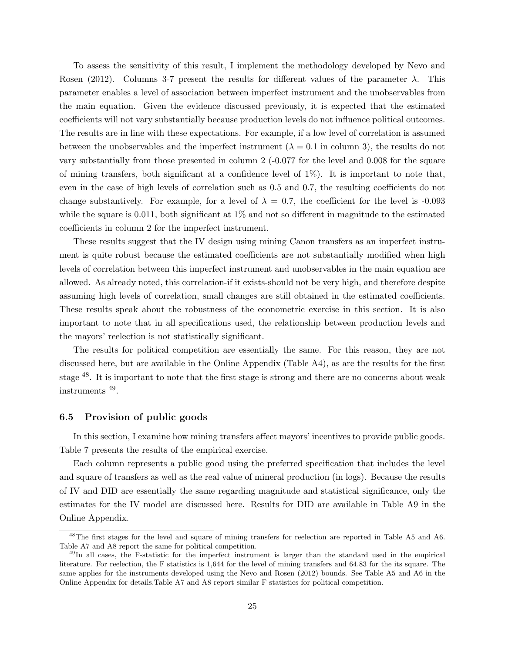To assess the sensitivity of this result, I implement the methodology developed by Nevo and Rosen (2012). Columns 3-7 present the results for different values of the parameter  $\lambda$ . This parameter enables a level of association between imperfect instrument and the unobservables from the main equation. Given the evidence discussed previously, it is expected that the estimated coefficients will not vary substantially because production levels do not influence political outcomes. The results are in line with these expectations. For example, if a low level of correlation is assumed between the unobservables and the imperfect instrument ( $\lambda = 0.1$  in column 3), the results do not vary substantially from those presented in column 2 (-0.077 for the level and 0.008 for the square of mining transfers, both significant at a confidence level of 1%). It is important to note that, even in the case of high levels of correlation such as 0.5 and 0.7, the resulting coefficients do not change substantively. For example, for a level of  $\lambda = 0.7$ , the coefficient for the level is -0.093 while the square is 0.011, both significant at  $1\%$  and not so different in magnitude to the estimated coefficients in column 2 for the imperfect instrument.

These results suggest that the IV design using mining Canon transfers as an imperfect instrument is quite robust because the estimated coefficients are not substantially modified when high levels of correlation between this imperfect instrument and unobservables in the main equation are allowed. As already noted, this correlation-if it exists-should not be very high, and therefore despite assuming high levels of correlation, small changes are still obtained in the estimated coefficients. These results speak about the robustness of the econometric exercise in this section. It is also important to note that in all specifications used, the relationship between production levels and the mayors' reelection is not statistically significant.

The results for political competition are essentially the same. For this reason, they are not discussed here, but are available in the Online Appendix (Table A4), as are the results for the first stage <sup>48</sup>. It is important to note that the first stage is strong and there are no concerns about weak instruments <sup>49</sup> .

## 6.5 Provision of public goods

In this section, I examine how mining transfers affect mayors' incentives to provide public goods. Table 7 presents the results of the empirical exercise.

Each column represents a public good using the preferred specification that includes the level and square of transfers as well as the real value of mineral production (in logs). Because the results of IV and DID are essentially the same regarding magnitude and statistical significance, only the estimates for the IV model are discussed here. Results for DID are available in Table A9 in the Online Appendix.

<sup>48</sup>The first stages for the level and square of mining transfers for reelection are reported in Table A5 and A6. Table A7 and A8 report the same for political competition.

<sup>&</sup>lt;sup>49</sup>In all cases, the F-statistic for the imperfect instrument is larger than the standard used in the empirical literature. For reelection, the F statistics is 1,644 for the level of mining transfers and 64.83 for the its square. The same applies for the instruments developed using the Nevo and Rosen (2012) bounds. See Table A5 and A6 in the Online Appendix for details.Table A7 and A8 report similar F statistics for political competition.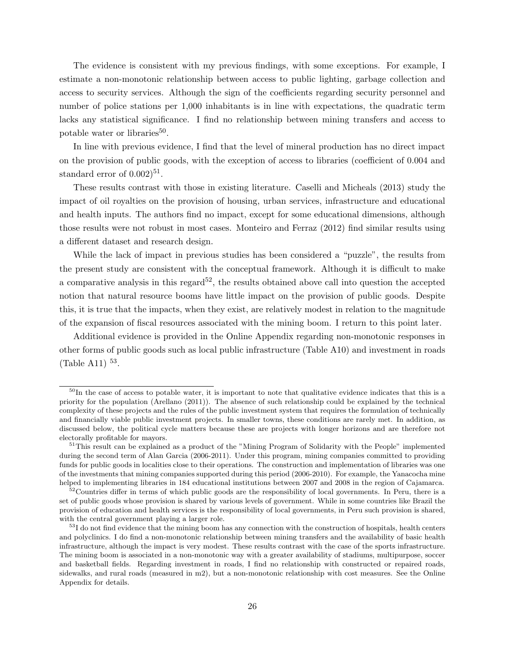The evidence is consistent with my previous findings, with some exceptions. For example, I estimate a non-monotonic relationship between access to public lighting, garbage collection and access to security services. Although the sign of the coefficients regarding security personnel and number of police stations per 1,000 inhabitants is in line with expectations, the quadratic term lacks any statistical significance. I find no relationship between mining transfers and access to potable water or libraries<sup>50</sup>.

In line with previous evidence, I find that the level of mineral production has no direct impact on the provision of public goods, with the exception of access to libraries (coefficient of 0.004 and standard error of  $(0.002)^{51}$ .

These results contrast with those in existing literature. Caselli and Micheals (2013) study the impact of oil royalties on the provision of housing, urban services, infrastructure and educational and health inputs. The authors find no impact, except for some educational dimensions, although those results were not robust in most cases. Monteiro and Ferraz (2012) find similar results using a different dataset and research design.

While the lack of impact in previous studies has been considered a "puzzle", the results from the present study are consistent with the conceptual framework. Although it is difficult to make a comparative analysis in this regard<sup>52</sup>, the results obtained above call into question the accepted notion that natural resource booms have little impact on the provision of public goods. Despite this, it is true that the impacts, when they exist, are relatively modest in relation to the magnitude of the expansion of fiscal resources associated with the mining boom. I return to this point later.

Additional evidence is provided in the Online Appendix regarding non-monotonic responses in other forms of public goods such as local public infrastructure (Table A10) and investment in roads  $(Table A11)$ <sup>53</sup>.

 $50$ In the case of access to potable water, it is important to note that qualitative evidence indicates that this is a priority for the population (Arellano (2011)). The absence of such relationship could be explained by the technical complexity of these projects and the rules of the public investment system that requires the formulation of technically and financially viable public investment projects. In smaller towns, these conditions are rarely met. In addition, as discussed below, the political cycle matters because these are projects with longer horizons and are therefore not electorally profitable for mayors.

<sup>&</sup>lt;sup>51</sup>This result can be explained as a product of the "Mining Program of Solidarity with the People" implemented during the second term of Alan Garcia (2006-2011). Under this program, mining companies committed to providing funds for public goods in localities close to their operations. The construction and implementation of libraries was one of the investments that mining companies supported during this period (2006-2010). For example, the Yanacocha mine helped to implementing libraries in 184 educational institutions between 2007 and 2008 in the region of Cajamarca.

<sup>52</sup> Countries differ in terms of which public goods are the responsibility of local governments. In Peru, there is a set of public goods whose provision is shared by various levels of government. While in some countries like Brazil the provision of education and health services is the responsibility of local governments, in Peru such provision is shared, with the central government playing a larger role.

 $53I$  do not find evidence that the mining boom has any connection with the construction of hospitals, health centers and polyclinics. I do find a non-monotonic relationship between mining transfers and the availability of basic health infrastructure, although the impact is very modest. These results contrast with the case of the sports infrastructure. The mining boom is associated in a non-monotonic way with a greater availability of stadiums, multipurpose, soccer and basketball fields. Regarding investment in roads, I find no relationship with constructed or repaired roads, sidewalks, and rural roads (measured in m2), but a non-monotonic relationship with cost measures. See the Online Appendix for details.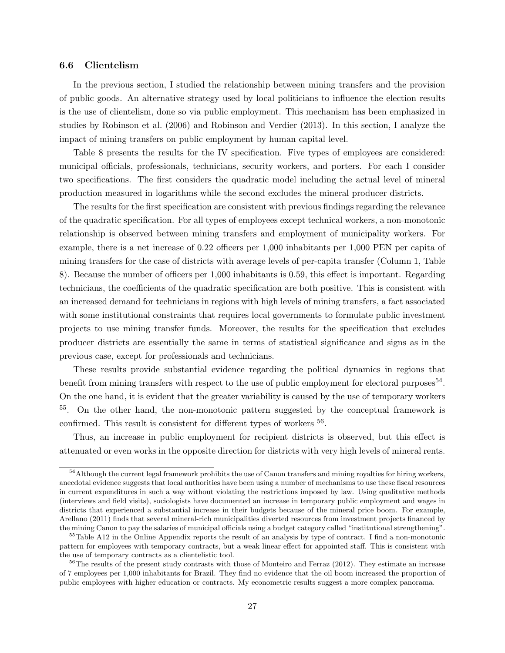## 6.6 Clientelism

In the previous section, I studied the relationship between mining transfers and the provision of public goods. An alternative strategy used by local politicians to influence the election results is the use of clientelism, done so via public employment. This mechanism has been emphasized in studies by Robinson et al. (2006) and Robinson and Verdier (2013). In this section, I analyze the impact of mining transfers on public employment by human capital level.

Table 8 presents the results for the IV specification. Five types of employees are considered: municipal officials, professionals, technicians, security workers, and porters. For each I consider two specifications. The first considers the quadratic model including the actual level of mineral production measured in logarithms while the second excludes the mineral producer districts.

The results for the first specification are consistent with previous findings regarding the relevance of the quadratic specification. For all types of employees except technical workers, a non-monotonic relationship is observed between mining transfers and employment of municipality workers. For example, there is a net increase of 0.22 officers per 1,000 inhabitants per 1,000 PEN per capita of mining transfers for the case of districts with average levels of per-capita transfer (Column 1, Table 8). Because the number of officers per 1,000 inhabitants is 0.59, this effect is important. Regarding technicians, the coefficients of the quadratic specification are both positive. This is consistent with an increased demand for technicians in regions with high levels of mining transfers, a fact associated with some institutional constraints that requires local governments to formulate public investment projects to use mining transfer funds. Moreover, the results for the specification that excludes producer districts are essentially the same in terms of statistical significance and signs as in the previous case, except for professionals and technicians.

These results provide substantial evidence regarding the political dynamics in regions that benefit from mining transfers with respect to the use of public employment for electoral purposes<sup>54</sup>. On the one hand, it is evident that the greater variability is caused by the use of temporary workers <sup>55</sup>. On the other hand, the non-monotonic pattern suggested by the conceptual framework is confirmed. This result is consistent for different types of workers  $56$ .

Thus, an increase in public employment for recipient districts is observed, but this effect is attenuated or even works in the opposite direction for districts with very high levels of mineral rents.

<sup>&</sup>lt;sup>54</sup>Although the current legal framework prohibits the use of Canon transfers and mining royalties for hiring workers, anecdotal evidence suggests that local authorities have been using a number of mechanisms to use these fiscal resources in current expenditures in such a way without violating the restrictions imposed by law. Using qualitative methods (interviews and field visits), sociologists have documented an increase in temporary public employment and wages in districts that experienced a substantial increase in their budgets because of the mineral price boom. For example, Arellano (2011) finds that several mineral-rich municipalities diverted resources from investment projects financed by the mining Canon to pay the salaries of municipal officials using a budget category called "institutional strengthening".

<sup>55</sup>Table A12 in the Online Appendix reports the result of an analysis by type of contract. I find a non-monotonic pattern for employees with temporary contracts, but a weak linear effect for appointed staff. This is consistent with the use of temporary contracts as a clientelistic tool.

<sup>&</sup>lt;sup>56</sup>The results of the present study contrasts with those of Monteiro and Ferraz (2012). They estimate an increase of 7 employees per 1,000 inhabitants for Brazil. They find no evidence that the oil boom increased the proportion of public employees with higher education or contracts. My econometric results suggest a more complex panorama.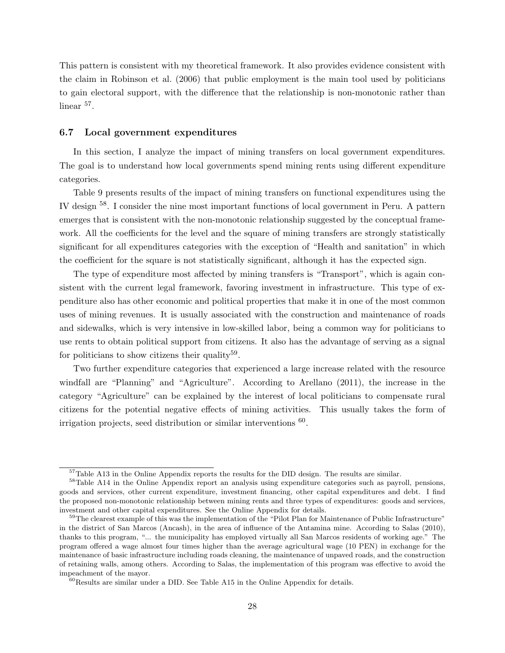This pattern is consistent with my theoretical framework. It also provides evidence consistent with the claim in Robinson et al. (2006) that public employment is the main tool used by politicians to gain electoral support, with the difference that the relationship is non-monotonic rather than linear <sup>57</sup>.

## 6.7 Local government expenditures

In this section, I analyze the impact of mining transfers on local government expenditures. The goal is to understand how local governments spend mining rents using different expenditure categories.

Table 9 presents results of the impact of mining transfers on functional expenditures using the IV design <sup>58</sup>. I consider the nine most important functions of local government in Peru. A pattern emerges that is consistent with the non-monotonic relationship suggested by the conceptual framework. All the coefficients for the level and the square of mining transfers are strongly statistically significant for all expenditures categories with the exception of "Health and sanitation" in which the coefficient for the square is not statistically significant, although it has the expected sign.

The type of expenditure most affected by mining transfers is "Transport", which is again consistent with the current legal framework, favoring investment in infrastructure. This type of expenditure also has other economic and political properties that make it in one of the most common uses of mining revenues. It is usually associated with the construction and maintenance of roads and sidewalks, which is very intensive in low-skilled labor, being a common way for politicians to use rents to obtain political support from citizens. It also has the advantage of serving as a signal for politicians to show citizens their quality<sup>59</sup>.

Two further expenditure categories that experienced a large increase related with the resource windfall are "Planning" and "Agriculture". According to Arellano (2011), the increase in the category "Agriculture" can be explained by the interest of local politicians to compensate rural citizens for the potential negative effects of mining activities. This usually takes the form of irrigation projects, seed distribution or similar interventions  $60$ .

<sup>&</sup>lt;sup>57</sup>Table A13 in the Online Appendix reports the results for the DID design. The results are similar.

<sup>58</sup>Table A14 in the Online Appendix report an analysis using expenditure categories such as payroll, pensions, goods and services, other current expenditure, investment financing, other capital expenditures and debt. I find the proposed non-monotonic relationship between mining rents and three types of expenditures: goods and services, investment and other capital expenditures. See the Online Appendix for details.

 $59$ The clearest example of this was the implementation of the "Pilot Plan for Maintenance of Public Infrastructure" in the district of San Marcos (Ancash), in the area of influence of the Antamina mine. According to Salas (2010), thanks to this program, "... the municipality has employed virtually all San Marcos residents of working age." The program offered a wage almost four times higher than the average agricultural wage (10 PEN) in exchange for the maintenance of basic infrastructure including roads cleaning, the maintenance of unpaved roads, and the construction of retaining walls, among others. According to Salas, the implementation of this program was effective to avoid the impeachment of the mayor.

<sup>60</sup>Results are similar under a DID. See Table A15 in the Online Appendix for details.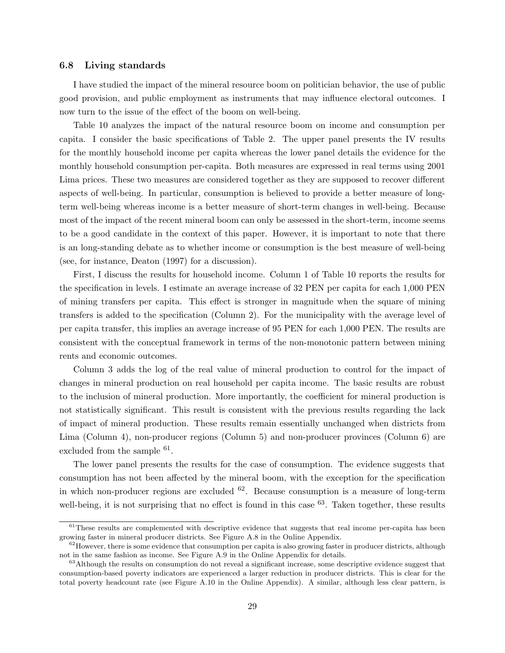## 6.8 Living standards

I have studied the impact of the mineral resource boom on politician behavior, the use of public good provision, and public employment as instruments that may influence electoral outcomes. I now turn to the issue of the effect of the boom on well-being.

Table 10 analyzes the impact of the natural resource boom on income and consumption per capita. I consider the basic specifications of Table 2. The upper panel presents the IV results for the monthly household income per capita whereas the lower panel details the evidence for the monthly household consumption per-capita. Both measures are expressed in real terms using 2001 Lima prices. These two measures are considered together as they are supposed to recover different aspects of well-being. In particular, consumption is believed to provide a better measure of longterm well-being whereas income is a better measure of short-term changes in well-being. Because most of the impact of the recent mineral boom can only be assessed in the short-term, income seems to be a good candidate in the context of this paper. However, it is important to note that there is an long-standing debate as to whether income or consumption is the best measure of well-being (see, for instance, Deaton (1997) for a discussion).

First, I discuss the results for household income. Column 1 of Table 10 reports the results for the specification in levels. I estimate an average increase of 32 PEN per capita for each 1,000 PEN of mining transfers per capita. This effect is stronger in magnitude when the square of mining transfers is added to the specification (Column 2). For the municipality with the average level of per capita transfer, this implies an average increase of 95 PEN for each 1,000 PEN. The results are consistent with the conceptual framework in terms of the non-monotonic pattern between mining rents and economic outcomes.

Column 3 adds the log of the real value of mineral production to control for the impact of changes in mineral production on real household per capita income. The basic results are robust to the inclusion of mineral production. More importantly, the coefficient for mineral production is not statistically significant. This result is consistent with the previous results regarding the lack of impact of mineral production. These results remain essentially unchanged when districts from Lima (Column 4), non-producer regions (Column 5) and non-producer provinces (Column 6) are excluded from the sample <sup>61</sup>.

The lower panel presents the results for the case of consumption. The evidence suggests that consumption has not been affected by the mineral boom, with the exception for the specification in which non-producer regions are excluded  $62$ . Because consumption is a measure of long-term well-being, it is not surprising that no effect is found in this case <sup>63</sup>. Taken together, these results

 $61$ These results are complemented with descriptive evidence that suggests that real income per-capita has been growing faster in mineral producer districts. See Figure A.8 in the Online Appendix.

 $62$  However, there is some evidence that consumption per capita is also growing faster in producer districts, although not in the same fashion as income. See Figure A.9 in the Online Appendix for details.

 $63$ Although the results on consumption do not reveal a significant increase, some descriptive evidence suggest that consumption-based poverty indicators are experienced a larger reduction in producer districts. This is clear for the total poverty headcount rate (see Figure A.10 in the Online Appendix). A similar, although less clear pattern, is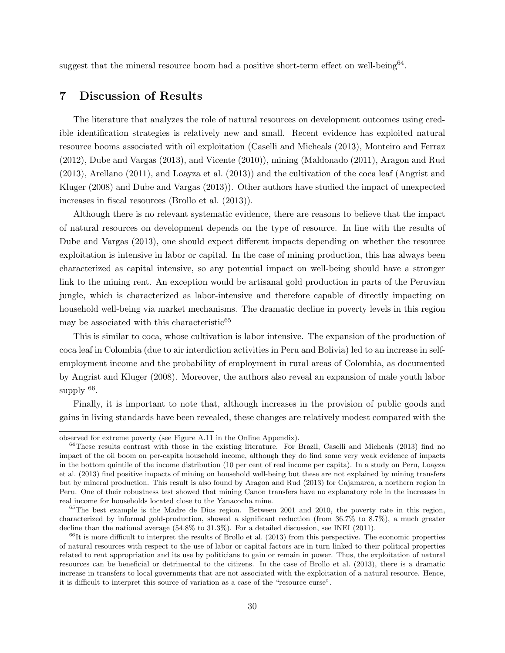suggest that the mineral resource boom had a positive short-term effect on well-being<sup>64</sup>.

# 7 Discussion of Results

The literature that analyzes the role of natural resources on development outcomes using credible identification strategies is relatively new and small. Recent evidence has exploited natural resource booms associated with oil exploitation (Caselli and Micheals (2013), Monteiro and Ferraz (2012), Dube and Vargas (2013), and Vicente (2010)), mining (Maldonado (2011), Aragon and Rud (2013), Arellano (2011), and Loayza et al. (2013)) and the cultivation of the coca leaf (Angrist and Kluger (2008) and Dube and Vargas (2013)). Other authors have studied the impact of unexpected increases in fiscal resources (Brollo et al. (2013)).

Although there is no relevant systematic evidence, there are reasons to believe that the impact of natural resources on development depends on the type of resource. In line with the results of Dube and Vargas (2013), one should expect different impacts depending on whether the resource exploitation is intensive in labor or capital. In the case of mining production, this has always been characterized as capital intensive, so any potential impact on well-being should have a stronger link to the mining rent. An exception would be artisanal gold production in parts of the Peruvian jungle, which is characterized as labor-intensive and therefore capable of directly impacting on household well-being via market mechanisms. The dramatic decline in poverty levels in this region may be associated with this characteristic  $65$ 

This is similar to coca, whose cultivation is labor intensive. The expansion of the production of coca leaf in Colombia (due to air interdiction activities in Peru and Bolivia) led to an increase in selfemployment income and the probability of employment in rural areas of Colombia, as documented by Angrist and Kluger (2008). Moreover, the authors also reveal an expansion of male youth labor supply <sup>66</sup>.

Finally, it is important to note that, although increases in the provision of public goods and gains in living standards have been revealed, these changes are relatively modest compared with the

observed for extreme poverty (see Figure A.11 in the Online Appendix).

 $64$ These results contrast with those in the existing literature. For Brazil, Caselli and Micheals (2013) find no impact of the oil boom on per-capita household income, although they do find some very weak evidence of impacts in the bottom quintile of the income distribution (10 per cent of real income per capita). In a study on Peru, Loayza et al. (2013) find positive impacts of mining on household well-being but these are not explained by mining transfers but by mineral production. This result is also found by Aragon and Rud (2013) for Cajamarca, a northern region in Peru. One of their robustness test showed that mining Canon transfers have no explanatory role in the increases in real income for households located close to the Yanacocha mine.

<sup>&</sup>lt;sup>65</sup>The best example is the Madre de Dios region. Between 2001 and 2010, the poverty rate in this region, characterized by informal gold-production, showed a significant reduction (from 36.7% to 8.7%), a much greater decline than the national average (54.8% to 31.3%). For a detailed discussion, see INEI (2011).

 $66$ It is more difficult to interpret the results of Brollo et al. (2013) from this perspective. The economic properties of natural resources with respect to the use of labor or capital factors are in turn linked to their political properties related to rent appropriation and its use by politicians to gain or remain in power. Thus, the exploitation of natural resources can be beneficial or detrimental to the citizens. In the case of Brollo et al. (2013), there is a dramatic increase in transfers to local governments that are not associated with the exploitation of a natural resource. Hence, it is difficult to interpret this source of variation as a case of the "resource curse".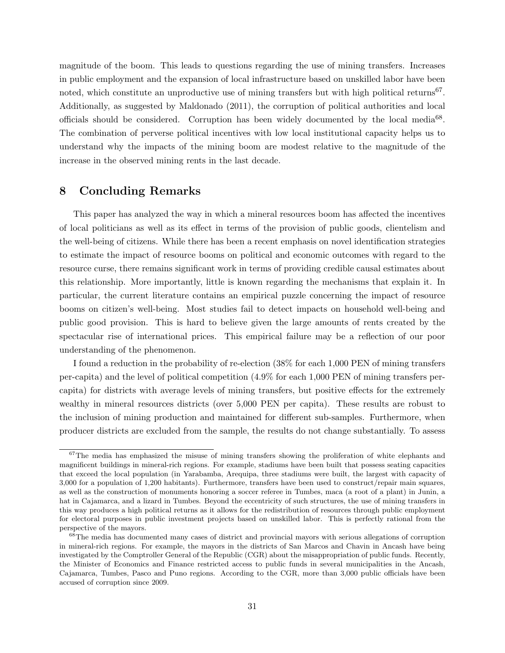magnitude of the boom. This leads to questions regarding the use of mining transfers. Increases in public employment and the expansion of local infrastructure based on unskilled labor have been noted, which constitute an unproductive use of mining transfers but with high political returns<sup>67</sup>. Additionally, as suggested by Maldonado (2011), the corruption of political authorities and local officials should be considered. Corruption has been widely documented by the local media<sup>68</sup>. The combination of perverse political incentives with low local institutional capacity helps us to understand why the impacts of the mining boom are modest relative to the magnitude of the increase in the observed mining rents in the last decade.

# 8 Concluding Remarks

This paper has analyzed the way in which a mineral resources boom has affected the incentives of local politicians as well as its effect in terms of the provision of public goods, clientelism and the well-being of citizens. While there has been a recent emphasis on novel identification strategies to estimate the impact of resource booms on political and economic outcomes with regard to the resource curse, there remains significant work in terms of providing credible causal estimates about this relationship. More importantly, little is known regarding the mechanisms that explain it. In particular, the current literature contains an empirical puzzle concerning the impact of resource booms on citizen's well-being. Most studies fail to detect impacts on household well-being and public good provision. This is hard to believe given the large amounts of rents created by the spectacular rise of international prices. This empirical failure may be a reflection of our poor understanding of the phenomenon.

I found a reduction in the probability of re-election (38% for each 1,000 PEN of mining transfers per-capita) and the level of political competition (4.9% for each 1,000 PEN of mining transfers percapita) for districts with average levels of mining transfers, but positive effects for the extremely wealthy in mineral resources districts (over 5,000 PEN per capita). These results are robust to the inclusion of mining production and maintained for different sub-samples. Furthermore, when producer districts are excluded from the sample, the results do not change substantially. To assess

 $67$ The media has emphasized the misuse of mining transfers showing the proliferation of white elephants and magnificent buildings in mineral-rich regions. For example, stadiums have been built that possess seating capacities that exceed the local population (in Yarabamba, Arequipa, three stadiums were built, the largest with capacity of 3,000 for a population of 1,200 habitants). Furthermore, transfers have been used to construct/repair main squares, as well as the construction of monuments honoring a soccer referee in Tumbes, maca (a root of a plant) in Junin, a hat in Cajamarca, and a lizard in Tumbes. Beyond the eccentricity of such structures, the use of mining transfers in this way produces a high political returns as it allows for the redistribution of resources through public employment for electoral purposes in public investment projects based on unskilled labor. This is perfectly rational from the perspective of the mayors.

 $68$ The media has documented many cases of district and provincial mayors with serious allegations of corruption in mineral-rich regions. For example, the mayors in the districts of San Marcos and Chavin in Ancash have being investigated by the Comptroller General of the Republic (CGR) about the misappropriation of public funds. Recently, the Minister of Economics and Finance restricted access to public funds in several municipalities in the Ancash, Cajamarca, Tumbes, Pasco and Puno regions. According to the CGR, more than 3,000 public officials have been accused of corruption since 2009.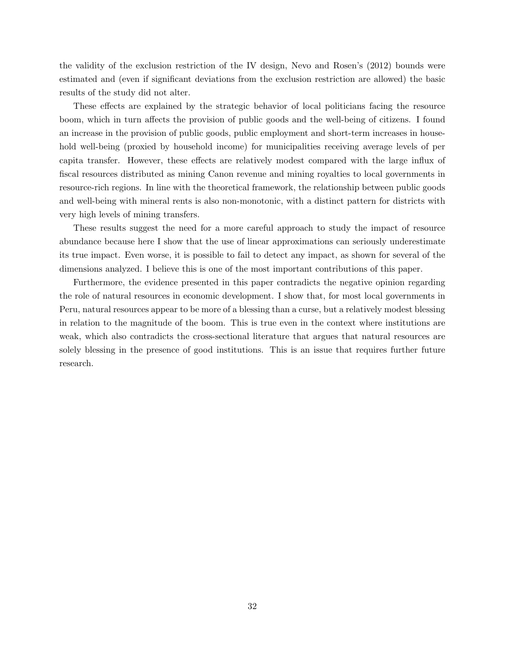the validity of the exclusion restriction of the IV design, Nevo and Rosen's (2012) bounds were estimated and (even if significant deviations from the exclusion restriction are allowed) the basic results of the study did not alter.

These effects are explained by the strategic behavior of local politicians facing the resource boom, which in turn affects the provision of public goods and the well-being of citizens. I found an increase in the provision of public goods, public employment and short-term increases in household well-being (proxied by household income) for municipalities receiving average levels of per capita transfer. However, these effects are relatively modest compared with the large influx of fiscal resources distributed as mining Canon revenue and mining royalties to local governments in resource-rich regions. In line with the theoretical framework, the relationship between public goods and well-being with mineral rents is also non-monotonic, with a distinct pattern for districts with very high levels of mining transfers.

These results suggest the need for a more careful approach to study the impact of resource abundance because here I show that the use of linear approximations can seriously underestimate its true impact. Even worse, it is possible to fail to detect any impact, as shown for several of the dimensions analyzed. I believe this is one of the most important contributions of this paper.

Furthermore, the evidence presented in this paper contradicts the negative opinion regarding the role of natural resources in economic development. I show that, for most local governments in Peru, natural resources appear to be more of a blessing than a curse, but a relatively modest blessing in relation to the magnitude of the boom. This is true even in the context where institutions are weak, which also contradicts the cross-sectional literature that argues that natural resources are solely blessing in the presence of good institutions. This is an issue that requires further future research.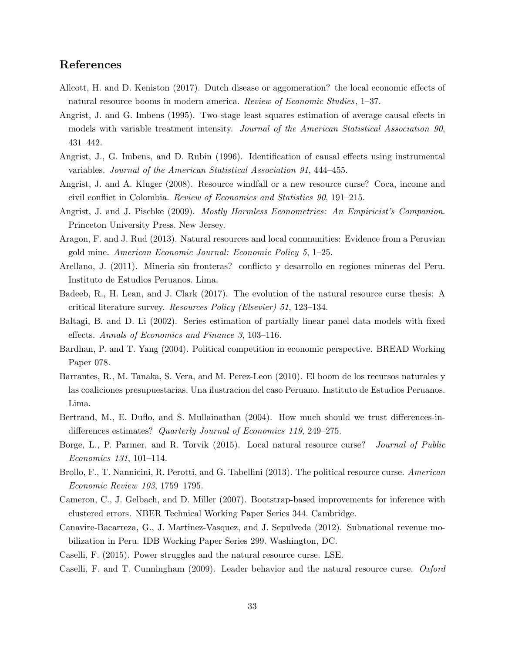# References

- Allcott, H. and D. Keniston (2017). Dutch disease or aggomeration? the local economic effects of natural resource booms in modern america. *Review of Economic Studies*, 1–37.
- Angrist, J. and G. Imbens (1995). Two-stage least squares estimation of average causal efects in models with variable treatment intensity. *Journal of the American Statistical Association 90*, 431–442.
- Angrist, J., G. Imbens, and D. Rubin (1996). Identification of causal effects using instrumental variables. *Journal of the American Statistical Association 91*, 444–455.
- Angrist, J. and A. Kluger (2008). Resource windfall or a new resource curse? Coca, income and civil conflict in Colombia. *Review of Economics and Statistics 90*, 191–215.
- Angrist, J. and J. Pischke (2009). *Mostly Harmless Econometrics: An Empiricist's Companion*. Princeton University Press. New Jersey.
- Aragon, F. and J. Rud (2013). Natural resources and local communities: Evidence from a Peruvian gold mine. *American Economic Journal: Economic Policy 5*, 1–25.
- Arellano, J. (2011). Mineria sin fronteras? conflicto y desarrollo en regiones mineras del Peru. Instituto de Estudios Peruanos. Lima.
- Badeeb, R., H. Lean, and J. Clark (2017). The evolution of the natural resource curse thesis: A critical literature survey. *Resources Policy (Elsevier) 51*, 123–134.
- Baltagi, B. and D. Li (2002). Series estimation of partially linear panel data models with fixed effects. *Annals of Economics and Finance 3*, 103–116.
- Bardhan, P. and T. Yang (2004). Political competition in economic perspective. BREAD Working Paper 078.
- Barrantes, R., M. Tanaka, S. Vera, and M. Perez-Leon (2010). El boom de los recursos naturales y las coaliciones presupuestarias. Una ilustracion del caso Peruano. Instituto de Estudios Peruanos. Lima.
- Bertrand, M., E. Duflo, and S. Mullainathan (2004). How much should we trust differences-indifferences estimates? *Quarterly Journal of Economics 119*, 249–275.
- Borge, L., P. Parmer, and R. Torvik (2015). Local natural resource curse? *Journal of Public Economics 131*, 101–114.
- Brollo, F., T. Nannicini, R. Perotti, and G. Tabellini (2013). The political resource curse. *American Economic Review 103*, 1759–1795.
- Cameron, C., J. Gelbach, and D. Miller (2007). Bootstrap-based improvements for inference with clustered errors. NBER Technical Working Paper Series 344. Cambridge.
- Canavire-Bacarreza, G., J. Martinez-Vasquez, and J. Sepulveda (2012). Subnational revenue mobilization in Peru. IDB Working Paper Series 299. Washington, DC.
- Caselli, F. (2015). Power struggles and the natural resource curse. LSE.
- Caselli, F. and T. Cunningham (2009). Leader behavior and the natural resource curse. *Oxford*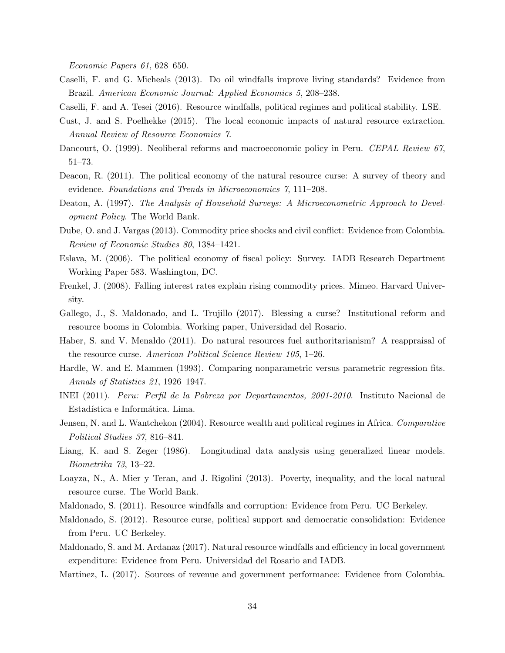*Economic Papers 61*, 628–650.

- Caselli, F. and G. Micheals (2013). Do oil windfalls improve living standards? Evidence from Brazil. *American Economic Journal: Applied Economics 5*, 208–238.
- Caselli, F. and A. Tesei (2016). Resource windfalls, political regimes and political stability. LSE.
- Cust, J. and S. Poelhekke (2015). The local economic impacts of natural resource extraction. *Annual Review of Resource Economics 7*.
- Dancourt, O. (1999). Neoliberal reforms and macroeconomic policy in Peru. *CEPAL Review 67*, 51–73.
- Deacon, R. (2011). The political economy of the natural resource curse: A survey of theory and evidence. *Foundations and Trends in Microeconomics 7*, 111–208.
- Deaton, A. (1997). *The Analysis of Household Surveys: A Microeconometric Approach to Development Policy*. The World Bank.
- Dube, O. and J. Vargas (2013). Commodity price shocks and civil conflict: Evidence from Colombia. *Review of Economic Studies 80*, 1384–1421.
- Eslava, M. (2006). The political economy of fiscal policy: Survey. IADB Research Department Working Paper 583. Washington, DC.
- Frenkel, J. (2008). Falling interest rates explain rising commodity prices. Mimeo. Harvard University.
- Gallego, J., S. Maldonado, and L. Trujillo (2017). Blessing a curse? Institutional reform and resource booms in Colombia. Working paper, Universidad del Rosario.
- Haber, S. and V. Menaldo (2011). Do natural resources fuel authoritarianism? A reappraisal of the resource curse. *American Political Science Review 105*, 1–26.
- Hardle, W. and E. Mammen (1993). Comparing nonparametric versus parametric regression fits. *Annals of Statistics 21*, 1926–1947.
- INEI (2011). *Peru: Perfil de la Pobreza por Departamentos, 2001-2010*. Instituto Nacional de Estadística e Informática. Lima.
- Jensen, N. and L. Wantchekon (2004). Resource wealth and political regimes in Africa. *Comparative Political Studies 37*, 816–841.
- Liang, K. and S. Zeger (1986). Longitudinal data analysis using generalized linear models. *Biometrika 73*, 13–22.
- Loayza, N., A. Mier y Teran, and J. Rigolini (2013). Poverty, inequality, and the local natural resource curse. The World Bank.
- Maldonado, S. (2011). Resource windfalls and corruption: Evidence from Peru. UC Berkeley.
- Maldonado, S. (2012). Resource curse, political support and democratic consolidation: Evidence from Peru. UC Berkeley.
- Maldonado, S. and M. Ardanaz (2017). Natural resource windfalls and efficiency in local government expenditure: Evidence from Peru. Universidad del Rosario and IADB.
- Martinez, L. (2017). Sources of revenue and government performance: Evidence from Colombia.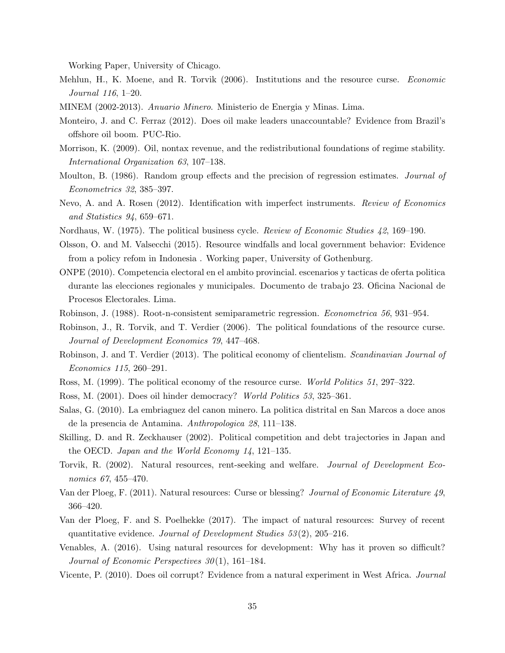Working Paper, University of Chicago.

- Mehlun, H., K. Moene, and R. Torvik (2006). Institutions and the resource curse. *Economic Journal 116*, 1–20.
- MINEM (2002-2013). *Anuario Minero*. Ministerio de Energia y Minas. Lima.
- Monteiro, J. and C. Ferraz (2012). Does oil make leaders unaccountable? Evidence from Brazil's offshore oil boom. PUC-Rio.
- Morrison, K. (2009). Oil, nontax revenue, and the redistributional foundations of regime stability. *International Organization 63*, 107–138.
- Moulton, B. (1986). Random group effects and the precision of regression estimates. *Journal of Econometrics 32*, 385–397.
- Nevo, A. and A. Rosen (2012). Identification with imperfect instruments. *Review of Economics and Statistics 94*, 659–671.
- Nordhaus, W. (1975). The political business cycle. *Review of Economic Studies 42*, 169–190.
- Olsson, O. and M. Valsecchi (2015). Resource windfalls and local government behavior: Evidence from a policy refom in Indonesia . Working paper, University of Gothenburg.
- ONPE (2010). Competencia electoral en el ambito provincial. escenarios y tacticas de oferta politica durante las elecciones regionales y municipales. Documento de trabajo 23. Oficina Nacional de Procesos Electorales. Lima.
- Robinson, J. (1988). Root-n-consistent semiparametric regression. *Econometrica 56*, 931–954.
- Robinson, J., R. Torvik, and T. Verdier (2006). The political foundations of the resource curse. *Journal of Development Economics 79*, 447–468.
- Robinson, J. and T. Verdier (2013). The political economy of clientelism. *Scandinavian Journal of Economics 115*, 260–291.
- Ross, M. (1999). The political economy of the resource curse. *World Politics 51*, 297–322.
- Ross, M. (2001). Does oil hinder democracy? *World Politics 53*, 325–361.
- Salas, G. (2010). La embriaguez del canon minero. La politica distrital en San Marcos a doce anos de la presencia de Antamina. *Anthropologica 28*, 111–138.
- Skilling, D. and R. Zeckhauser (2002). Political competition and debt trajectories in Japan and the OECD. *Japan and the World Economy 14*, 121–135.
- Torvik, R. (2002). Natural resources, rent-seeking and welfare. *Journal of Development Economics 67*, 455–470.
- Van der Ploeg, F. (2011). Natural resources: Curse or blessing? *Journal of Economic Literature 49*, 366–420.
- Van der Ploeg, F. and S. Poelhekke (2017). The impact of natural resources: Survey of recent quantitative evidence. *Journal of Development Studies 53* (2), 205–216.
- Venables, A. (2016). Using natural resources for development: Why has it proven so difficult? *Journal of Economic Perspectives 30* (1), 161–184.
- Vicente, P. (2010). Does oil corrupt? Evidence from a natural experiment in West Africa. *Journal*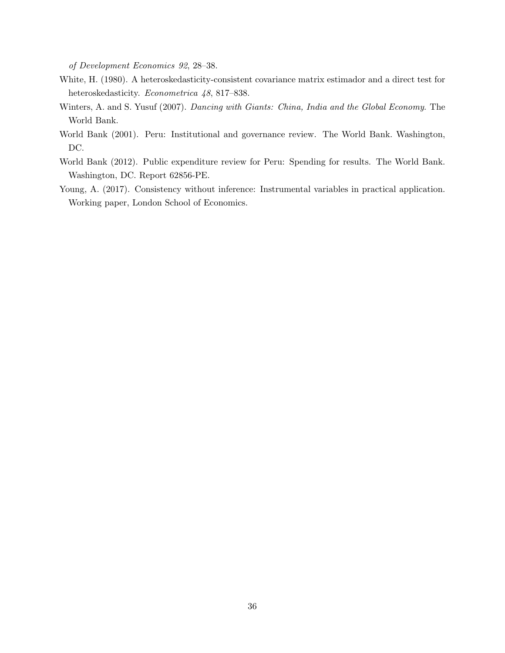*of Development Economics 92*, 28–38.

- White, H. (1980). A heteroskedasticity-consistent covariance matrix estimador and a direct test for heteroskedasticity. *Econometrica 48*, 817–838.
- Winters, A. and S. Yusuf (2007). *Dancing with Giants: China, India and the Global Economy*. The World Bank.
- World Bank (2001). Peru: Institutional and governance review. The World Bank. Washington, DC.
- World Bank (2012). Public expenditure review for Peru: Spending for results. The World Bank. Washington, DC. Report 62856-PE.
- Young, A. (2017). Consistency without inference: Instrumental variables in practical application. Working paper, London School of Economics.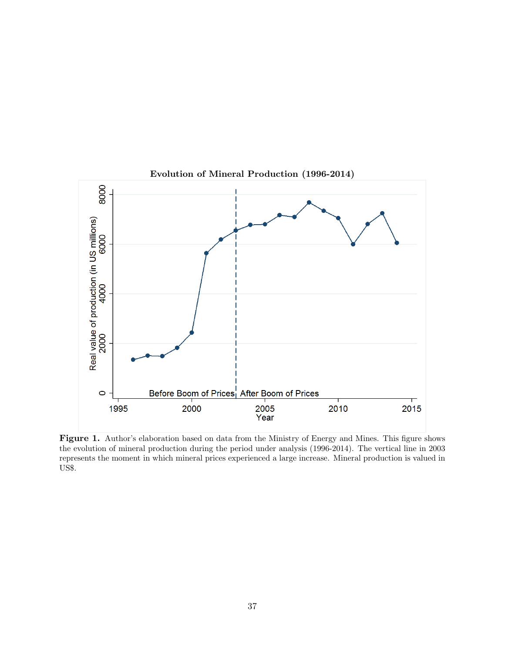

Evolution of Mineral Production (1996-2014)

Figure 1. Author's elaboration based on data from the Ministry of Energy and Mines. This figure shows the evolution of mineral production during the period under analysis (1996-2014). The vertical line in 2003 represents the moment in which mineral prices experienced a large increase. Mineral production is valued in US\$.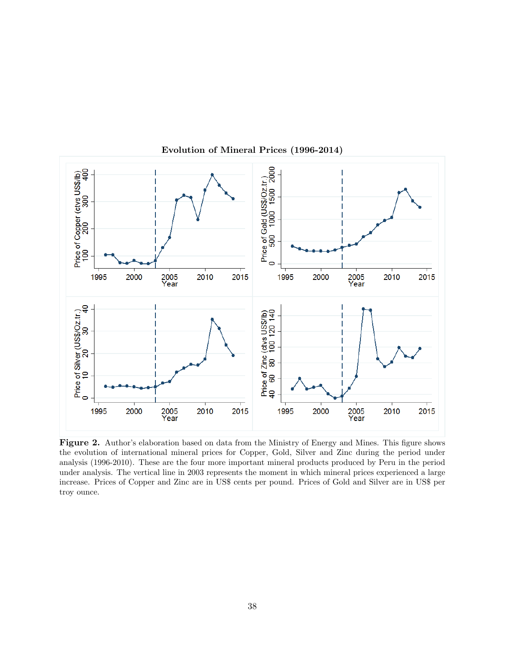

Evolution of Mineral Prices (1996-2014)

Figure 2. Author's elaboration based on data from the Ministry of Energy and Mines. This figure shows the evolution of international mineral prices for Copper, Gold, Silver and Zinc during the period under analysis (1996-2010). These are the four more important mineral products produced by Peru in the period under analysis. The vertical line in 2003 represents the moment in which mineral prices experienced a large increase. Prices of Copper and Zinc are in US\$ cents per pound. Prices of Gold and Silver are in US\$ per troy ounce.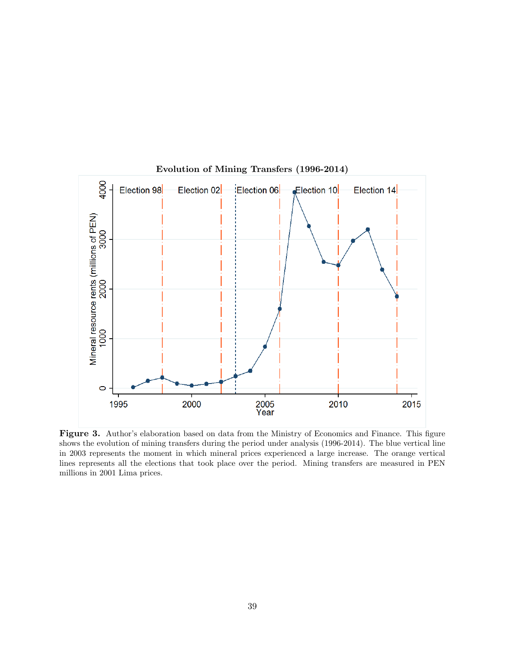

Evolution of Mining Transfers (1996-2014)

Figure 3. Author's elaboration based on data from the Ministry of Economics and Finance. This figure shows the evolution of mining transfers during the period under analysis (1996-2014). The blue vertical line in 2003 represents the moment in which mineral prices experienced a large increase. The orange vertical lines represents all the elections that took place over the period. Mining transfers are measured in PEN millions in 2001 Lima prices.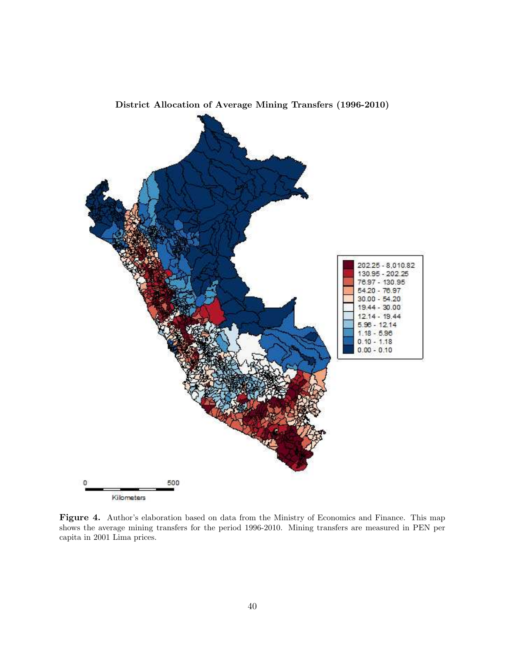

District Allocation of Average Mining Transfers (1996-2010)

Figure 4. Author's elaboration based on data from the Ministry of Economics and Finance. This map shows the average mining transfers for the period 1996-2010. Mining transfers are measured in PEN per capita in 2001 Lima prices.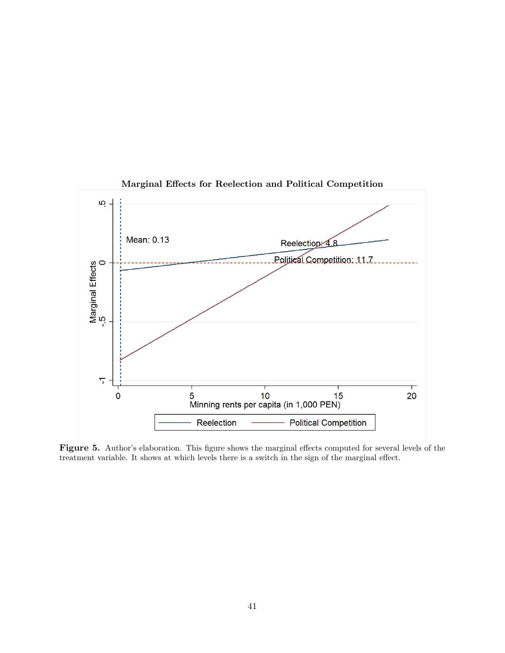

Marginal Effects for Reelection and Political Competition

Figure 5. Author's elaboration. This figure shows the marginal effects computed for several levels of the treatment variable. It shows at which levels there is a switch in the sign of the marginal effect.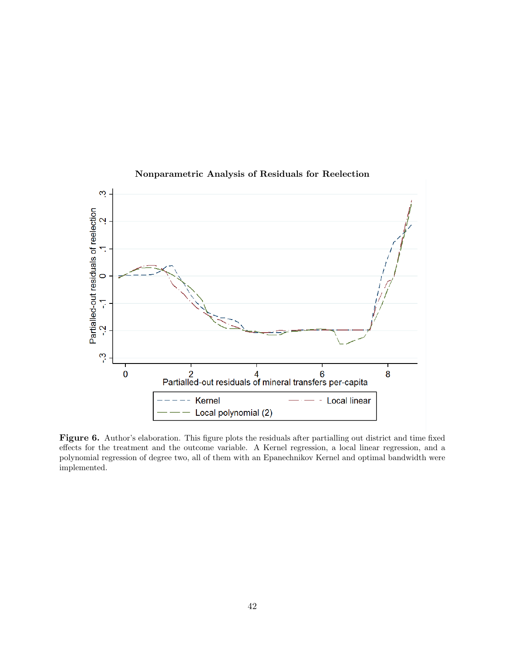

## Nonparametric Analysis of Residuals for Reelection

Figure 6. Author's elaboration. This figure plots the residuals after partialling out district and time fixed effects for the treatment and the outcome variable. A Kernel regression, a local linear regression, and a polynomial regression of degree two, all of them with an Epanechnikov Kernel and optimal bandwidth were implemented.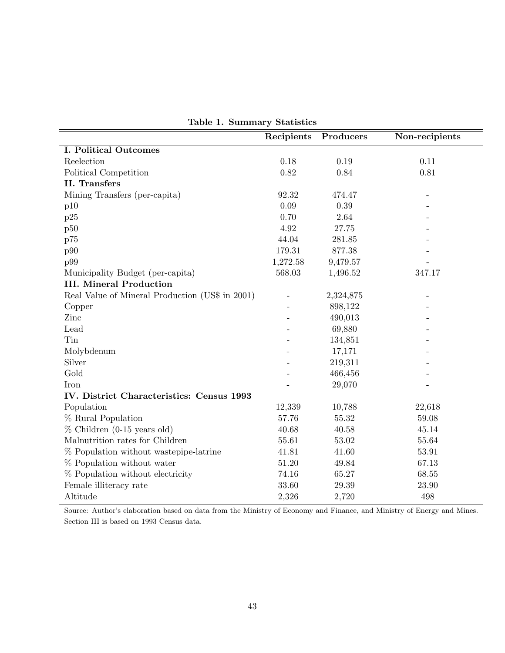|                                                 | Recipients     | Producers | Non-recipients |
|-------------------------------------------------|----------------|-----------|----------------|
| <b>I. Political Outcomes</b>                    |                |           |                |
| Reelection                                      | 0.18           | 0.19      | 0.11           |
| Political Competition                           | 0.82           | 0.84      | 0.81           |
| II. Transfers                                   |                |           |                |
| Mining Transfers (per-capita)                   | 92.32          | 474.47    |                |
| p10                                             | 0.09           | 0.39      |                |
| p25                                             | 0.70           | 2.64      |                |
| p50                                             | 4.92           | 27.75     |                |
| p75                                             | 44.04          | 281.85    |                |
| p90                                             | 179.31         | 877.38    |                |
| p99                                             | 1,272.58       | 9,479.57  |                |
| Municipality Budget (per-capita)                | 568.03         | 1,496.52  | 347.17         |
| <b>III. Mineral Production</b>                  |                |           |                |
| Real Value of Mineral Production (US\$ in 2001) | $\overline{a}$ | 2,324,875 |                |
| Copper                                          |                | 898,122   |                |
| Zinc                                            |                | 490,013   |                |
| Lead                                            |                | 69,880    |                |
| Tin                                             |                | 134,851   |                |
| Molybdenum                                      |                | 17,171    |                |
| Silver                                          |                | 219,311   |                |
| Gold                                            |                | 466,456   |                |
| <b>Iron</b>                                     |                | 29,070    |                |
| IV. District Characteristics: Census 1993       |                |           |                |
| Population                                      | 12,339         | 10,788    | 22,618         |
| % Rural Population                              | 57.76          | 55.32     | $59.08\,$      |
| $%$ Children (0-15 years old)                   | 40.68          | 40.58     | 45.14          |
| Malnutrition rates for Children                 | 55.61          | 53.02     | 55.64          |
| % Population without wastepipe-latrine          | 41.81          | 41.60     | 53.91          |
| % Population without water                      | 51.20          | 49.84     | 67.13          |
| % Population without electricity                | 74.16          | 65.27     | 68.55          |
| Female illiteracy rate                          | 33.60          | 29.39     | $23.90\,$      |
| Altitude                                        | 2,326          | 2,720     | 498            |

Table 1. Summary Statistics

Source: Author's elaboration based on data from the Ministry of Economy and Finance, and Ministry of Energy and Mines. Section III is based on 1993 Census data.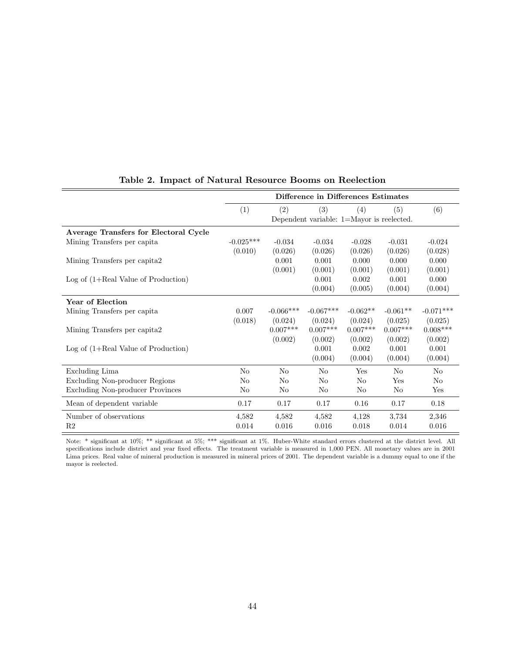|                                         | Difference in Differences Estimates |                |                                                     |            |                |                |
|-----------------------------------------|-------------------------------------|----------------|-----------------------------------------------------|------------|----------------|----------------|
|                                         | (1)                                 | (2)            | (3)<br>Dependent variable: $1=$ Mayor is reelected. | (4)        | (5)            | (6)            |
| Average Transfers for Electoral Cycle   |                                     |                |                                                     |            |                |                |
| Mining Transfers per capita             | $-0.025***$                         | $-0.034$       | $-0.034$                                            | $-0.028$   | $-0.031$       | $-0.024$       |
|                                         | (0.010)                             | (0.026)        | (0.026)                                             | (0.026)    | (0.026)        | (0.028)        |
| Mining Transfers per capita2            |                                     | 0.001          | 0.001                                               | 0.000      | 0.000          | 0.000          |
|                                         |                                     | (0.001)        | (0.001)                                             | (0.001)    | (0.001)        | (0.001)        |
| Log of $(1+Real Value of Production)$   |                                     |                | 0.001                                               | 0.002      | 0.001          | 0.000          |
|                                         |                                     |                | (0.004)                                             | (0.005)    | (0.004)        | (0.004)        |
| Year of Election                        |                                     |                |                                                     |            |                |                |
| Mining Transfers per capita             | 0.007                               | $-0.066***$    | $-0.067***$                                         | $-0.062**$ | $-0.061**$     | $-0.071***$    |
|                                         | (0.018)                             | (0.024)        | (0.024)                                             | (0.024)    | (0.025)        | (0.025)        |
| Mining Transfers per capita2            |                                     | $0.007***$     | $0.007***$                                          | $0.007***$ | $0.007***$     | $0.008***$     |
|                                         |                                     | (0.002)        | (0.002)                                             | (0.002)    | (0.002)        | (0.002)        |
| Log of $(1+Real Value of Production)$   |                                     |                | 0.001                                               | 0.002      | 0.001          | 0.001          |
|                                         |                                     |                | (0.004)                                             | (0.004)    | (0.004)        | (0.004)        |
| Excluding Lima                          | N <sub>o</sub>                      | No             | No                                                  | Yes        | No             | N <sub>o</sub> |
| <b>Excluding Non-producer Regions</b>   | N <sub>o</sub>                      | No             | No                                                  | No         | Yes            | N <sub>o</sub> |
| <b>Excluding Non-producer Provinces</b> | N <sub>o</sub>                      | N <sub>o</sub> | No                                                  | No         | N <sub>o</sub> | Yes            |
| Mean of dependent variable              | 0.17                                | 0.17           | 0.17                                                | 0.16       | 0.17           | 0.18           |
| Number of observations                  | 4,582                               | 4,582          | 4,582                                               | 4,128      | 3,734          | 2,346          |
| R <sub>2</sub>                          | 0.014                               | 0.016          | 0.016                                               | 0.018      | 0.014          | 0.016          |

## Table 2. Impact of Natural Resource Booms on Reelection

Note: \* significant at 10%; \*\* significant at 5%; \*\*\* significant at 1%. Huber-White standard errors clustered at the district level. All specifications include district and year fixed effects. The treatment variable is measured in 1,000 PEN. All monetary values are in 2001 Lima prices. Real value of mineral production is measured in mineral prices of 2001. The dependent variable is a dummy equal to one if the mayor is reelected.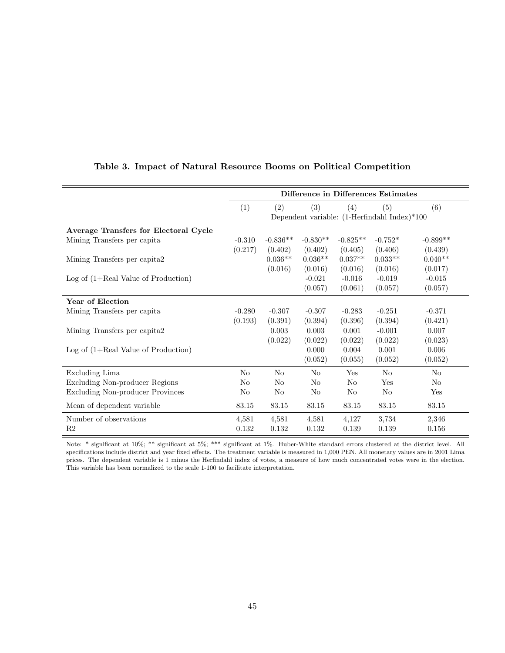|                                         | Difference in Differences Estimates |            |                |                |                                                |                |
|-----------------------------------------|-------------------------------------|------------|----------------|----------------|------------------------------------------------|----------------|
|                                         | (1)                                 | (2)        | (3)            | (4)            | (5)                                            | (6)            |
|                                         |                                     |            |                |                | Dependent variable: $(1-Herfindahl Index)*100$ |                |
| Average Transfers for Electoral Cycle   |                                     |            |                |                |                                                |                |
| Mining Transfers per capita             | $-0.310$                            | $-0.836**$ | $-0.830**$     | $-0.825**$     | $-0.752*$                                      | $-0.899**$     |
|                                         | (0.217)                             | (0.402)    | (0.402)        | (0.405)        | (0.406)                                        | (0.439)        |
| Mining Transfers per capita2            |                                     | $0.036**$  | $0.036**$      | $0.037**$      | $0.033**$                                      | $0.040**$      |
|                                         |                                     | (0.016)    | (0.016)        | (0.016)        | (0.016)                                        | (0.017)        |
| $Log of (1+Real Value of Production)$   |                                     |            | $-0.021$       | $-0.016$       | $-0.019$                                       | $-0.015$       |
|                                         |                                     |            | (0.057)        | (0.061)        | (0.057)                                        | (0.057)        |
| Year of Election                        |                                     |            |                |                |                                                |                |
| Mining Transfers per capita             | $-0.280$                            | $-0.307$   | $-0.307$       | $-0.283$       | $-0.251$                                       | $-0.371$       |
|                                         | (0.193)                             | (0.391)    | (0.394)        | (0.396)        | (0.394)                                        | (0.421)        |
| Mining Transfers per capita2            |                                     | 0.003      | 0.003          | 0.001          | $-0.001$                                       | 0.007          |
|                                         |                                     | (0.022)    | (0.022)        | (0.022)        | (0.022)                                        | (0.023)        |
| Log of $(1+Real Value of Production)$   |                                     |            | $0.000\,$      | 0.004          | 0.001                                          | 0.006          |
|                                         |                                     |            | (0.052)        | (0.055)        | (0.052)                                        | (0.052)        |
| Excluding Lima                          | N <sub>o</sub>                      | No         | No             | Yes            | No                                             | N <sub>0</sub> |
| Excluding Non-producer Regions          | No                                  | No         | No             | N <sub>o</sub> | Yes                                            | N <sub>0</sub> |
| <b>Excluding Non-producer Provinces</b> | N <sub>o</sub>                      | No         | N <sub>o</sub> | No             | No                                             | Yes            |
| Mean of dependent variable              | 83.15                               | 83.15      | 83.15          | 83.15          | 83.15                                          | 83.15          |
| Number of observations                  | 4,581                               | 4,581      | 4,581          | 4,127          | 3,734                                          | 2,346          |
| R <sub>2</sub>                          | 0.132                               | 0.132      | 0.132          | 0.139          | 0.139                                          | 0.156          |

## Table 3. Impact of Natural Resource Booms on Political Competition

Note: \* significant at 10%; \*\* significant at 5%; \*\*\* significant at 1%. Huber-White standard errors clustered at the district level. All specifications include district and year fixed effects. The treatment variable is measured in 1,000 PEN. All monetary values are in 2001 Lima prices. The dependent variable is 1 minus the Herfindahl index of votes, a measure of how much concentrated votes were in the election. This variable has been normalized to the scale 1-100 to facilitate interpretation.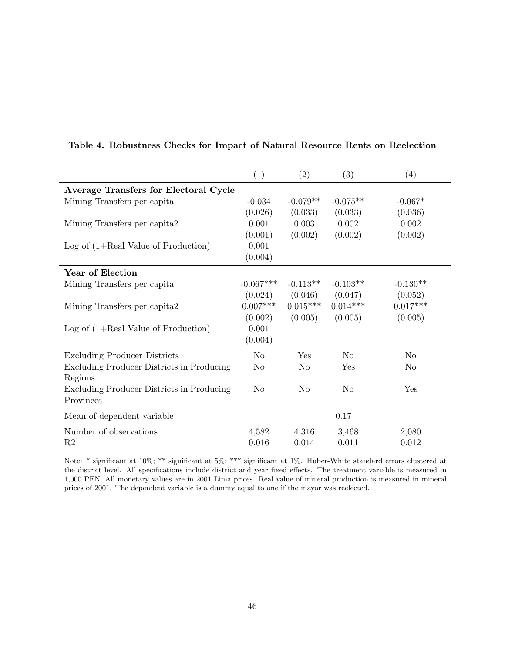|                                              | (1)            | (2)        | (3)            | (4)            |
|----------------------------------------------|----------------|------------|----------------|----------------|
| <b>Average Transfers for Electoral Cycle</b> |                |            |                |                |
| Mining Transfers per capita                  | $-0.034$       | $-0.079**$ | $-0.075**$     | $-0.067*$      |
|                                              | (0.026)        | (0.033)    | (0.033)        | (0.036)        |
| Mining Transfers per capita2                 | 0.001          | 0.003      | 0.002          | 0.002          |
|                                              | (0.001)        | (0.002)    | (0.002)        | (0.002)        |
| $Log of (1+Real Value of Production)$        | 0.001          |            |                |                |
|                                              | (0.004)        |            |                |                |
| Year of Election                             |                |            |                |                |
| Mining Transfers per capita                  | $-0.067***$    | $-0.113**$ | $-0.103**$     | $-0.130**$     |
|                                              | (0.024)        | (0.046)    | (0.047)        | (0.052)        |
| Mining Transfers per capita2                 | $0.007***$     | $0.015***$ | $0.014***$     | $0.017***$     |
|                                              | (0.002)        | (0.005)    | (0.005)        | (0.005)        |
| $Log of (1+Real Value of Production)$        | 0.001          |            |                |                |
|                                              | (0.004)        |            |                |                |
| <b>Excluding Producer Districts</b>          | N <sub>o</sub> | Yes        | No             | N <sub>o</sub> |
| Excluding Producer Districts in Producing    | No             | No         | Yes            | No             |
| Regions                                      |                |            |                |                |
| Excluding Producer Districts in Producing    | N <sub>0</sub> | No         | N <sub>0</sub> | Yes            |
| Provinces                                    |                |            |                |                |
| Mean of dependent variable                   |                |            | 0.17           |                |
| Number of observations                       | 4,582          | 4,316      | 3,468          | 2,080          |
| R <sub>2</sub>                               | 0.016          | 0.014      | 0.011          | 0.012          |

## Table 4. Robustness Checks for Impact of Natural Resource Rents on Reelection

Note: \* significant at 10%; \*\* significant at 5%; \*\*\* significant at 1%. Huber-White standard errors clustered at the district level. All specifications include district and year fixed effects. The treatment variable is measured in 1,000 PEN. All monetary values are in 2001 Lima prices. Real value of mineral production is measured in mineral prices of 2001. The dependent variable is a dummy equal to one if the mayor was reelected.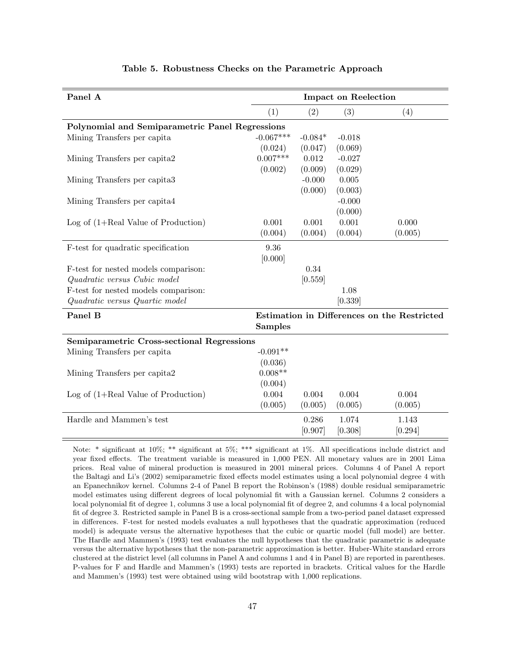| Panel A                                           |                |           | <b>Impact on Reelection</b> |                                             |
|---------------------------------------------------|----------------|-----------|-----------------------------|---------------------------------------------|
|                                                   | (1)            | (2)       | (3)                         | (4)                                         |
| Polynomial and Semiparametric Panel Regressions   |                |           |                             |                                             |
| Mining Transfers per capita                       | $-0.067***$    | $-0.084*$ | $-0.018$                    |                                             |
|                                                   | (0.024)        | (0.047)   | (0.069)                     |                                             |
| Mining Transfers per capita2                      | $0.007***$     | 0.012     | $-0.027$                    |                                             |
|                                                   | (0.002)        | (0.009)   | (0.029)                     |                                             |
| Mining Transfers per capita3                      |                | $-0.000$  | 0.005                       |                                             |
|                                                   |                | (0.000)   | (0.003)                     |                                             |
| Mining Transfers per capita4                      |                |           | $-0.000$                    |                                             |
|                                                   |                |           | (0.000)                     |                                             |
| Log of $(1+Real Value of Production)$             | 0.001          | 0.001     | 0.001                       | 0.000                                       |
|                                                   | (0.004)        | (0.004)   | (0.004)                     | (0.005)                                     |
| F-test for quadratic specification                | 9.36           |           |                             |                                             |
|                                                   | [0.000]        |           |                             |                                             |
| F-test for nested models comparison:              |                | 0.34      |                             |                                             |
| Quadratic versus Cubic model                      |                | [0.559]   |                             |                                             |
| F-test for nested models comparison:              |                |           | 1.08                        |                                             |
| Quadratic versus Quartic model                    |                |           | [0.339]                     |                                             |
| Panel B                                           |                |           |                             | Estimation in Differences on the Restricted |
|                                                   | <b>Samples</b> |           |                             |                                             |
| <b>Semiparametric Cross-sectional Regressions</b> |                |           |                             |                                             |
| Mining Transfers per capita                       | $-0.091**$     |           |                             |                                             |
|                                                   | (0.036)        |           |                             |                                             |
| Mining Transfers per capita2                      | $0.008**$      |           |                             |                                             |
|                                                   | (0.004)        |           |                             |                                             |
| Log of $(1+Real Value of Production)$             | 0.004          | 0.004     | 0.004                       | 0.004                                       |
|                                                   | (0.005)        | (0.005)   | (0.005)                     | (0.005)                                     |
| Hardle and Mammen's test                          |                | 0.286     | 1.074                       | 1.143                                       |
|                                                   |                | [0.907]   | [0.308]                     | [0.294]                                     |
|                                                   |                |           |                             |                                             |

### Table 5. Robustness Checks on the Parametric Approach

Note: \* significant at  $10\%$ ; \*\* significant at  $5\%$ ; \*\*\* significant at  $1\%$ . All specifications include district and year fixed effects. The treatment variable is measured in 1,000 PEN. All monetary values are in 2001 Lima prices. Real value of mineral production is measured in 2001 mineral prices. Columns 4 of Panel A report the Baltagi and Li's (2002) semiparametric fixed effects model estimates using a local polynomial degree 4 with an Epanechnikov kernel. Columns 2-4 of Panel B report the Robinson's (1988) double residual semiparametric model estimates using different degrees of local polynomial fit with a Gaussian kernel. Columns 2 considers a local polynomial fit of degree 1, columns 3 use a local polynomial fit of degree 2, and columns 4 a local polynomial fit of degree 3. Restricted sample in Panel B is a cross-sectional sample from a two-period panel dataset expressed in differences. F-test for nested models evaluates a null hypotheses that the quadratic approximation (reduced model) is adequate versus the alternative hypotheses that the cubic or quartic model (full model) are better. The Hardle and Mammen's (1993) test evaluates the null hypotheses that the quadratic parametric is adequate versus the alternative hypotheses that the non-parametric approximation is better. Huber-White standard errors clustered at the district level (all columns in Panel A and columns 1 and 4 in Panel B) are reported in parentheses. P-values for F and Hardle and Mammen's (1993) tests are reported in brackets. Critical values for the Hardle and Mammen's (1993) test were obtained using wild bootstrap with 1,000 replications.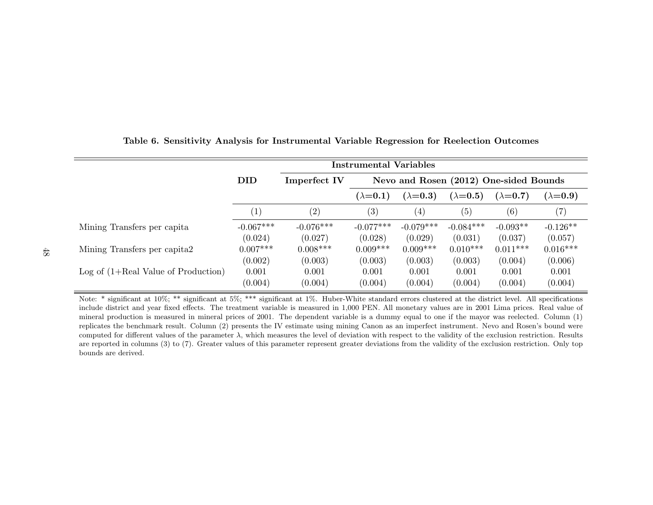|                                       | <b>Instrumental Variables</b> |                     |                                        |                   |                 |                   |                 |  |
|---------------------------------------|-------------------------------|---------------------|----------------------------------------|-------------------|-----------------|-------------------|-----------------|--|
|                                       | <b>DID</b>                    | <b>Imperfect IV</b> | Nevo and Rosen (2012) One-sided Bounds |                   |                 |                   |                 |  |
|                                       |                               |                     | $(\lambda=0.1)$                        | $(\lambda=0.3)$   | $(\lambda=0.5)$ | $(\lambda=0.7)$   | $(\lambda=0.9)$ |  |
|                                       | $\left(1\right)$              | $\left( 2\right)$   | $\left( 3\right)$                      | $\left( 4\right)$ | (5)             | $\left( 6\right)$ | (7)             |  |
| Mining Transfers per capita           | $-0.067***$                   | $-0.076***$         | $-0.077***$                            | $-0.079***$       | $-0.084***$     | $-0.093**$        | $-0.126**$      |  |
|                                       | (0.024)                       | (0.027)             | (0.028)                                | (0.029)           | (0.031)         | (0.037)           | (0.057)         |  |
| Mining Transfers per capita2          | $0.007***$                    | $0.008***$          | $0.009***$                             | $0.009***$        | $0.010***$      | $0.011***$        | $0.016***$      |  |
|                                       | (0.002)                       | (0.003)             | (0.003)                                | (0.003)           | (0.003)         | (0.004)           | (0.006)         |  |
| $Log of (1+Real Value of Production)$ | 0.001                         | 0.001               | 0.001                                  | 0.001             | 0.001           | 0.001             | 0.001           |  |
|                                       | (0.004)                       | (0.004)             | (0.004)                                | (0.004)           | (0.004)         | (0.004)           | (0.004)         |  |

### Table 6. Sensitivity Analysis for Instrumental Variable Regression for Reelection Outcomes

Note: \* significant at 10%; \*\* significant at 5%; \*\*\* significant at 1%. Huber-White standard errors clustered at the district level. All specifications include district and year fixed effects. The treatment variable is measured in 1,000 PEN. All monetary values are in 2001 Lima prices. Real value of mineral production is measured in mineral prices of 2001. The dependent variable is a dummy equal to one if the mayor was reelected. Column (1) replicates the benchmark result. Column (2) presents the IV estimate using mining Canon as an imperfect instrument. Nevo and Rosen's bound were computed for different values of the parameter  $\lambda$ , which measures the level of deviation with respect to the validity of the exclusion restriction. Results are reported in columns (3) to (7). Greater values of this parameter represent greater deviations from the validity of the exclusion restriction. Only top bounds are derived.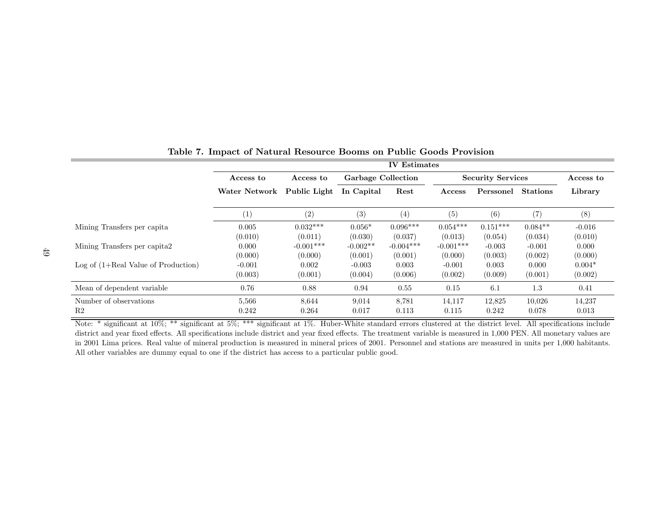|                                       |           | <b>IV</b> Estimates           |                           |             |             |                          |                 |                  |  |  |
|---------------------------------------|-----------|-------------------------------|---------------------------|-------------|-------------|--------------------------|-----------------|------------------|--|--|
|                                       | Access to | Access to                     | <b>Garbage Collection</b> |             |             | <b>Security Services</b> |                 | $\rm Access\ to$ |  |  |
|                                       |           | Public Light<br>Water Network |                           | Rest        | Access      | Perssonel                | <b>Stations</b> | Library          |  |  |
|                                       | (1)       | (2)                           | (3)                       | (4)         | (5)         | (6)                      | (7)             | (8)              |  |  |
| Mining Transfers per capita           | 0.005     | $0.032***$                    | $0.056*$                  | $0.096***$  | $0.054***$  | $0.151***$               | $0.084**$       | $-0.016$         |  |  |
|                                       | (0.010)   | (0.011)                       | (0.030)                   | (0.037)     | (0.013)     | (0.054)                  | (0.034)         | (0.010)          |  |  |
| Mining Transfers per capita?          | 0.000     | $-0.001***$                   | $-0.002**$                | $-0.004***$ | $-0.001***$ | $-0.003$                 | $-0.001$        | 0.000            |  |  |
|                                       | (0.000)   | (0.000)                       | (0.001)                   | (0.001)     | (0.000)     | (0.003)                  | (0.002)         | (0.000)          |  |  |
| Log of $(1+Real Value of Production)$ | $-0.001$  | 0.002                         | $-0.003$                  | 0.003       | $-0.001$    | 0.003                    | 0.000           | $0.004*$         |  |  |
|                                       | (0.003)   | (0.001)                       | (0.004)                   | (0.006)     | (0.002)     | (0.009)                  | (0.001)         | (0.002)          |  |  |
| Mean of dependent variable            | 0.76      | 0.88                          | 0.94                      | 0.55        | 0.15        | 6.1                      | 1.3             | 0.41             |  |  |
| Number of observations                | 5,566     | 8,644                         | 9,014                     | 8,781       | 14,117      | 12,825                   | 10,026          | 14,237           |  |  |
| R <sub>2</sub>                        | 0.242     | 0.264                         | 0.017                     | 0.113       | 0.115       | 0.242                    | 0.078           | 0.013            |  |  |

# Table 7. Impact of Natural Resource Booms on Public Goods Provision

Note: \* significant at 10%; \*\* significant at 5%; \*\*\* significant at 1%. Huber-White standard errors clustered at the district level. All specifications include district and year fixed effects. All specifications include district and year fixed effects. The treatment variable is measured in 1,000 PEN. All monetary values are in 2001 Lima prices. Real value of mineral production is measured in mineral prices of 2001. Personnel and stations are measured in units per 1,000 habitants. All other variables are dummy equal to one if the district has access to a particular public good.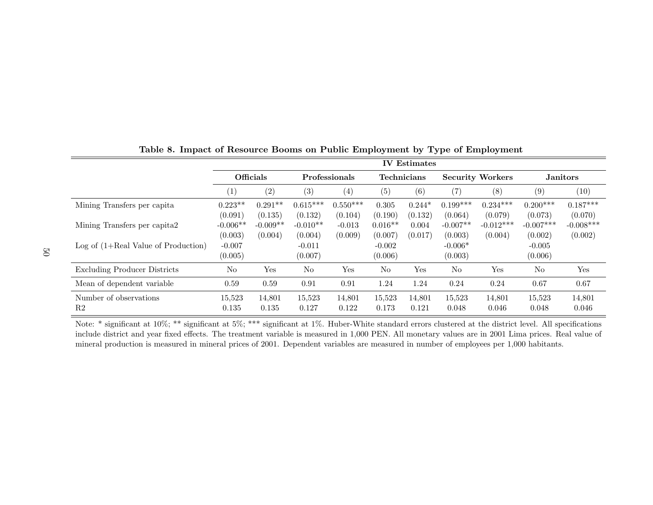|                                       | <b>IV</b> Estimates |                   |            |                      |                |                    |            |                         |             |                 |  |
|---------------------------------------|---------------------|-------------------|------------|----------------------|----------------|--------------------|------------|-------------------------|-------------|-----------------|--|
|                                       |                     | Officials         |            | <b>Professionals</b> |                | <b>Technicians</b> |            | <b>Security Workers</b> |             | <b>Janitors</b> |  |
|                                       | (1)                 | $\left( 2\right)$ | (3)        | (4)                  | (5)            | (6)                | (7)        | (8)                     | (9)         | (10)            |  |
| Mining Transfers per capita           | $0.223**$           | $0.291**$         | $0.615***$ | $0.550***$           | 0.305          | $0.244*$           | $0.199***$ | $0.234***$              | $0.200***$  | $0.187***$      |  |
|                                       | (0.091)             | (0.135)           | (0.132)    | (0.104)              | (0.190)        | (0.132)            | (0.064)    | (0.079)                 | (0.073)     | (0.070)         |  |
| Mining Transfers per capita2          | $-0.006**$          | $-0.009**$        | $-0.010**$ | $-0.013$             | $0.016**$      | 0.004              | $-0.007**$ | $-0.012***$             | $-0.007***$ | $-0.008***$     |  |
|                                       | (0.003)             | (0.004)           | (0.004)    | (0.009)              | (0.007)        | (0.017)            | (0.003)    | (0.004)                 | (0.002)     | (0.002)         |  |
| Log of $(1+Real Value of Production)$ | $-0.007$            |                   | $-0.011$   |                      | $-0.002$       |                    | $-0.006*$  |                         | $-0.005$    |                 |  |
|                                       | (0.005)             |                   | (0.007)    |                      | (0.006)        |                    | (0.003)    |                         | (0.006)     |                 |  |
| <b>Excluding Producer Districts</b>   | No                  | Yes               | No         | Yes                  | N <sub>o</sub> | Yes                | No         | Yes                     | $\rm No$    | Yes             |  |
| Mean of dependent variable            | 0.59                | 0.59              | 0.91       | 0.91                 | 1.24           | 1.24               | 0.24       | 0.24                    | 0.67        | 0.67            |  |
| Number of observations                | 15.523              | 14,801            | 15.523     | 14,801               | 15,523         | 14,801             | 15,523     | 14,801                  | 15,523      | 14,801          |  |
| R <sub>2</sub>                        | 0.135               | 0.135             | 0.127      | 0.122                | 0.173          | 0.121              | 0.048      | 0.046                   | 0.048       | 0.046           |  |

Table 8. Impact of Resource Booms on Public Employment by Type of Employment

Note: \* significant at 10%; \*\* significant at 5%; \*\*\* significant at 1%. Huber-White standard errors clustered at the district level. All specifications include district and year fixed effects. The treatment variable is measured in 1,000 PEN. All monetary values are in 2001 Lima prices. Real value of mineral production is measured in mineral prices of 2001. Dependent variables are measured in number of employees per 1,000 habitants.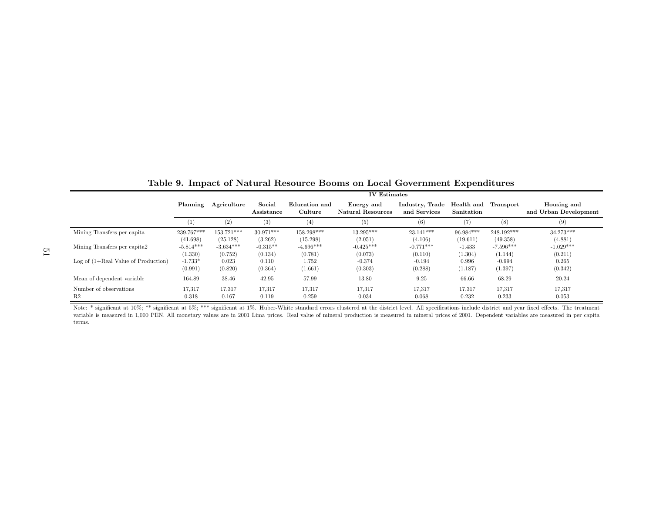|                                       | <b>IV</b> Estimates |              |                      |                          |                                        |                                 |                          |             |                                      |
|---------------------------------------|---------------------|--------------|----------------------|--------------------------|----------------------------------------|---------------------------------|--------------------------|-------------|--------------------------------------|
|                                       | Planning            | Agriculture  | Social<br>Assistance | Education and<br>Culture | Energy and<br><b>Natural Resources</b> | Industry, Trade<br>and Services | Health and<br>Sanitation | Transport   | Housing and<br>and Urban Development |
|                                       | ( 1 )               | (2)          | (3)                  | (4)                      | (5)                                    | (6)                             | (7                       | (8)         | (9)                                  |
| Mining Transfers per capita           | 239.767***          | $153.721***$ | $30.971***$          | 158.298***               | 13.295***                              | $23.141***$                     | $96.984***$              | 248.192***  | $34.273***$                          |
|                                       | (41.698)            | (25.128)     | (3.262)              | (15.298)                 | (2.051)                                | (4.106)                         | (19.611)                 | (49.358)    | (4.881)                              |
| Mining Transfers per capita2          | $-5.814***$         | $-3.634***$  | $-0.315**$           | $-4.696***$              | $-0.425***$                            | $-0.771***$                     | $-1.433$                 | $-7.596***$ | $-1.029***$                          |
|                                       | (1.330)             | (0.752)      | (0.134)              | (0.781)                  | (0.073)                                | (0.110)                         | (1.304)                  | (1.144)     | (0.211)                              |
| Log of $(1+Real Value of Production)$ | $-1.733*$           | 0.023        | 0.110                | 1.752                    | $-0.374$                               | $-0.194$                        | 0.996                    | $-0.994$    | 0.265                                |
|                                       | (0.991)             | (0.820)      | (0.364)              | (1.661)                  | (0.303)                                | (0.288)                         | (1.187)                  | (1.397)     | (0.342)                              |
| Mean of dependent variable            | 164.89              | 38.46        | 42.95                | 57.99                    | 13.80                                  | 9.25                            | 66.66                    | 68.29       | 20.24                                |
| Number of observations                | 17,317              | 17,317       | 17,317               | 17,317                   | 17,317                                 | 17,317                          | 17,317                   | 17,317      | 17,317                               |
| R <sub>2</sub>                        | 0.318               | 0.167        | 0.119                | 0.259                    | 0.034                                  | 0.068                           | 0.232                    | 0.233       | 0.053                                |

Table 9. Impact of Natural Resource Booms on Local Government Expenditures

Note: \* significant at 10%; \*\* significant at 5%; \*\*\* significant at 1%. Huber-White standard errors clustered at the district level. All specifications include district and year fixed effects. The treatment variable is measured in 1,000 PEN. All monetary values are in 2001 Lima prices. Real value of mineral production is measured in mineral prices of 2001. Dependent variables are measured in per capita terms.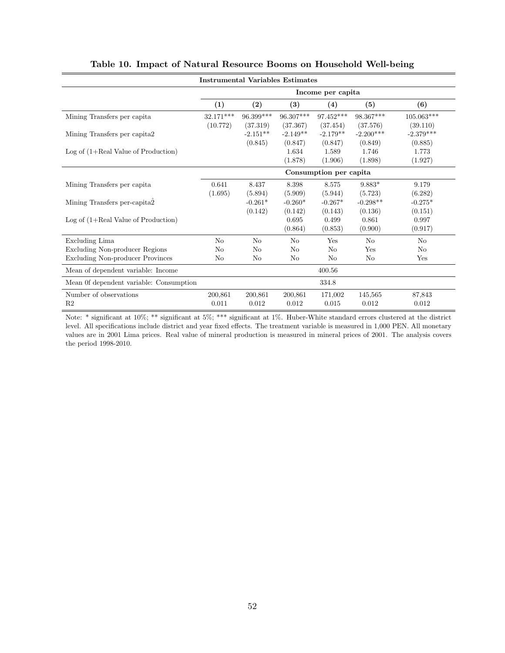|                                         | <b>Instrumental Variables Estimates</b> |            |                |                   |             |             |  |  |  |  |
|-----------------------------------------|-----------------------------------------|------------|----------------|-------------------|-------------|-------------|--|--|--|--|
|                                         |                                         |            |                | Income per capita |             |             |  |  |  |  |
|                                         | (1)                                     | (2)        | (3)            | (4)               | (5)         | (6)         |  |  |  |  |
| Mining Transfers per capita             | $32.171***$                             | 96.399***  | $96.307***$    | 97.452***         | 98.367***   | 105.063***  |  |  |  |  |
|                                         | (10.772)                                | (37.319)   | (37.367)       | (37.454)          | (37.576)    | (39.110)    |  |  |  |  |
| Mining Transfers per capita2            |                                         | $-2.151**$ | $-2.149**$     | $-2.179**$        | $-2.200***$ | $-2.379***$ |  |  |  |  |
|                                         |                                         | (0.845)    | (0.847)        | (0.847)           | (0.849)     | (0.885)     |  |  |  |  |
| Log of $(1+Real Value of Production)$   |                                         |            | 1.634          | 1.589             | 1.746       | 1.773       |  |  |  |  |
|                                         |                                         |            | (1.878)        | (1.906)           | (1.898)     | (1.927)     |  |  |  |  |
|                                         | Consumption per capita                  |            |                |                   |             |             |  |  |  |  |
| Mining Transfers per capita             | 0.641                                   | 8.437      | 8.398          | 8.575             | $9.883*$    | 9.179       |  |  |  |  |
|                                         | (1.695)                                 | (5.894)    | (5.909)        | (5.944)           | (5.723)     | (6.282)     |  |  |  |  |
| Mining Transfers per-capita2            |                                         | $-0.261*$  | $-0.260*$      | $-0.267*$         | $-0.298**$  | $-0.275*$   |  |  |  |  |
|                                         |                                         | (0.142)    | (0.142)        | (0.143)           | (0.136)     | (0.151)     |  |  |  |  |
| Log of $(1+Real Value of Production)$   |                                         |            | 0.695          | 0.499             | 0.861       | 0.997       |  |  |  |  |
|                                         |                                         |            | (0.864)        | (0.853)           | (0.900)     | (0.917)     |  |  |  |  |
| Excluding Lima                          | No                                      | No         | No             | Yes               | $\rm No$    | No          |  |  |  |  |
| Excluding Non-producer Regions          | No                                      | No         | N <sub>o</sub> | No                | Yes         | No          |  |  |  |  |
| <b>Excluding Non-producer Provinces</b> | No                                      | No         | No             | No                | No          | Yes         |  |  |  |  |
| Mean of dependent variable: Income      |                                         |            |                | 400.56            |             |             |  |  |  |  |
| Mean 0f dependent variable: Consumption |                                         |            |                | 334.8             |             |             |  |  |  |  |
| Number of observations                  | 200,861                                 | 200,861    | 200,861        | 171,002           | 145,565     | 87,843      |  |  |  |  |
| R <sub>2</sub>                          | 0.011                                   | 0.012      | 0.012          | 0.015             | 0.012       | 0.012       |  |  |  |  |

## Table 10. Impact of Natural Resource Booms on Household Well-being

Note: \* significant at 10%; \*\* significant at 5%; \*\*\* significant at 1%. Huber-White standard errors clustered at the district level. All specifications include district and year fixed effects. The treatment variable is measured in 1,000 PEN. All monetary values are in 2001 Lima prices. Real value of mineral production is measured in mineral prices of 2001. The analysis covers the period 1998-2010.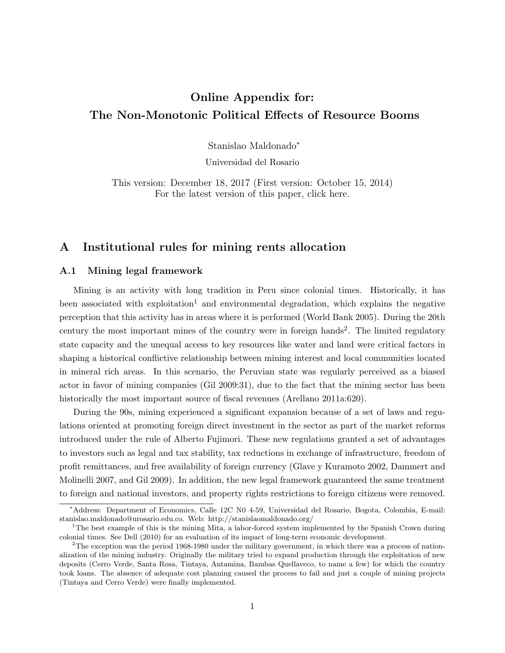# Online Appendix for: The Non-Monotonic Political Effects of Resource Booms

Stanislao Maldonado<sup>∗</sup>

Universidad del Rosario

This version: December 18, 2017 (First version: October 15, 2014) For the latest version of this paper, click here.

# A Institutional rules for mining rents allocation

### A.1 Mining legal framework

Mining is an activity with long tradition in Peru since colonial times. Historically, it has been associated with exploitation<sup>1</sup> and environmental degradation, which explains the negative perception that this activity has in areas where it is performed (World Bank 2005). During the 20th century the most important mines of the country were in foreign hands<sup>2</sup>. The limited regulatory state capacity and the unequal access to key resources like water and land were critical factors in shaping a historical conflictive relationship between mining interest and local communities located in mineral rich areas. In this scenario, the Peruvian state was regularly perceived as a biased actor in favor of mining companies (Gil 2009:31), due to the fact that the mining sector has been historically the most important source of fiscal revenues (Arellano 2011a:620).

During the 90s, mining experienced a significant expansion because of a set of laws and regulations oriented at promoting foreign direct investment in the sector as part of the market reforms introduced under the rule of Alberto Fujimori. These new regulations granted a set of advantages to investors such as legal and tax stability, tax reductions in exchange of infrastructure, freedom of profit remittances, and free availability of foreign currency (Glave y Kuramoto 2002, Dammert and Molinelli 2007, and Gil 2009). In addition, the new legal framework guaranteed the same treatment to foreign and national investors, and property rights restrictions to foreign citizens were removed.

<sup>∗</sup>Address: Department of Economics, Calle 12C N0 4-59, Universidad del Rosario, Bogota, Colombia, E-mail: stanislao.maldonado@urosario.edu.co. Web: http://stanislaomaldonado.org/

<sup>&</sup>lt;sup>1</sup>The best example of this is the mining Mita, a labor-forced system implemented by the Spanish Crown during colonial times. See Dell (2010) for an evaluation of its impact of long-term economic development.

<sup>&</sup>lt;sup>2</sup>The exception was the period 1968-1980 under the military government, in which there was a process of nationalization of the mining industry. Originally the military tried to expand production through the exploitation of new deposits (Cerro Verde, Santa Rosa, Tintaya, Antamina, Bambas Quellaveco, to name a few) for which the country took loans. The absence of adequate cost planning caused the process to fail and just a couple of mining projects (Tintaya and Cerro Verde) were finally implemented.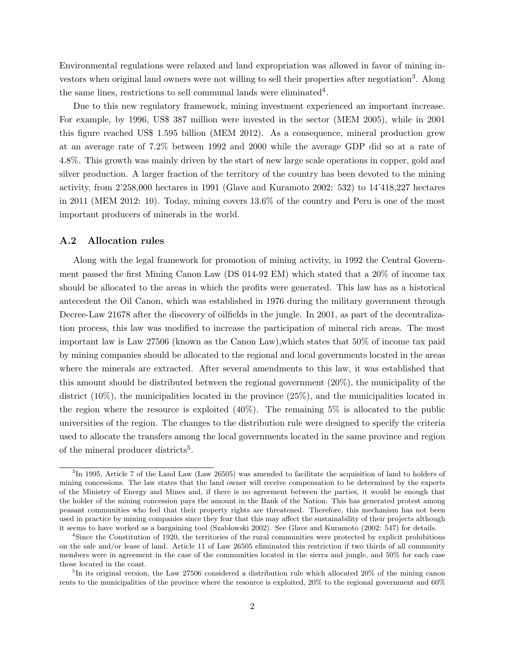Environmental regulations were relaxed and land expropriation was allowed in favor of mining investors when original land owners were not willing to sell their properties after negotiation<sup>3</sup>. Along the same lines, restrictions to sell communal lands were eliminated<sup>4</sup>.

Due to this new regulatory framework, mining investment experienced an important increase. For example, by 1996, US\$ 387 million were invested in the sector (MEM 2005), while in 2001 this figure reached US\$ 1.595 billion (MEM 2012). As a consequence, mineral production grew at an average rate of 7.2% between 1992 and 2000 while the average GDP did so at a rate of 4.8%. This growth was mainly driven by the start of new large scale operations in copper, gold and silver production. A larger fraction of the territory of the country has been devoted to the mining activity, from 2'258,000 hectares in 1991 (Glave and Kuramoto 2002: 532) to 14'418,227 hectares in 2011 (MEM 2012: 10). Today, mining covers 13.6% of the country and Peru is one of the most important producers of minerals in the world.

#### A.2 Allocation rules

Along with the legal framework for promotion of mining activity, in 1992 the Central Government passed the first Mining Canon Law (DS 014-92 EM) which stated that a 20% of income tax should be allocated to the areas in which the profits were generated. This law has as a historical antecedent the Oil Canon, which was established in 1976 during the military government through Decree-Law 21678 after the discovery of oilfields in the jungle. In 2001, as part of the decentralization process, this law was modified to increase the participation of mineral rich areas. The most important law is Law 27506 (known as the Canon Law),which states that 50% of income tax paid by mining companies should be allocated to the regional and local governments located in the areas where the minerals are extracted. After several amendments to this law, it was established that this amount should be distributed between the regional government (20%), the municipality of the district  $(10\%)$ , the municipalities located in the province  $(25\%)$ , and the municipalities located in the region where the resource is exploited  $(40\%)$ . The remaining 5% is allocated to the public universities of the region. The changes to the distribution rule were designed to specify the criteria used to allocate the transfers among the local governments located in the same province and region of the mineral producer districts<sup>5</sup>.

 ${}^{3}$ In 1995, Article 7 of the Land Law (Law 26505) was amended to facilitate the acquisition of land to holders of mining concessions. The law states that the land owner will receive compensation to be determined by the experts of the Ministry of Energy and Mines and, if there is no agreement between the parties, it would be enough that the holder of the mining concession pays the amount in the Bank of the Nation. This has generated protest among peasant communities who feel that their property rights are threatened. Therefore, this mechanism has not been used in practice by mining companies since they fear that this may affect the sustainability of their projects although it seems to have worked as a bargaining tool (Szablowski 2002). See Glave and Kuramoto (2002: 547) for details.

<sup>&</sup>lt;sup>4</sup>Since the Constitution of 1920, the territories of the rural communities were protected by explicit prohibitions on the sale and/or lease of land. Article 11 of Law 26505 eliminated this restriction if two thirds of all community members were in agreement in the case of the communities located in the sierra and jungle, and 50% for each case those located in the coast.

<sup>&</sup>lt;sup>5</sup>In its original version, the Law 27506 considered a distribution rule which allocated 20% of the mining canon rents to the municipalities of the province where the resource is exploited, 20% to the regional government and 60%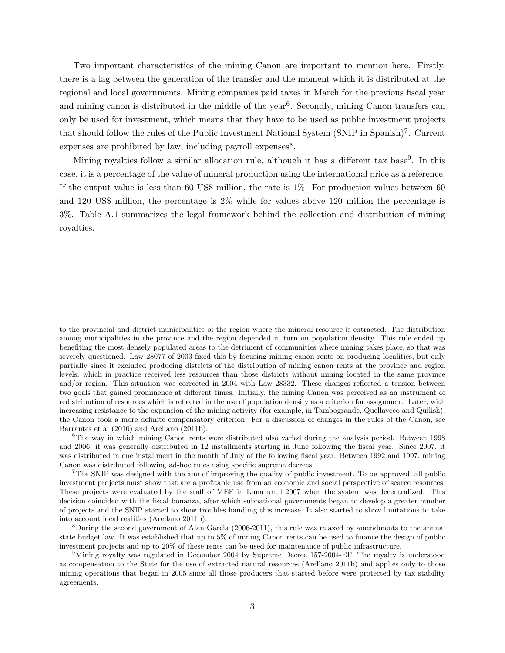Two important characteristics of the mining Canon are important to mention here. Firstly, there is a lag between the generation of the transfer and the moment which it is distributed at the regional and local governments. Mining companies paid taxes in March for the previous fiscal year and mining canon is distributed in the middle of the year<sup>6</sup>. Secondly, mining Canon transfers can only be used for investment, which means that they have to be used as public investment projects that should follow the rules of the Public Investment National System (SNIP in Spanish)<sup>7</sup>. Current expenses are prohibited by law, including payroll expenses<sup>8</sup>.

Mining royalties follow a similar allocation rule, although it has a different tax base<sup>9</sup>. In this case, it is a percentage of the value of mineral production using the international price as a reference. If the output value is less than 60 US\$ million, the rate is  $1\%$ . For production values between 60 and 120 US\$ million, the percentage is 2% while for values above 120 million the percentage is 3%. Table A.1 summarizes the legal framework behind the collection and distribution of mining royalties.

to the provincial and district municipalities of the region where the mineral resource is extracted. The distribution among municipalities in the province and the region depended in turn on population density. This rule ended up benefiting the most densely populated areas to the detriment of communities where mining takes place, so that was severely questioned. Law 28077 of 2003 fixed this by focusing mining canon rents on producing localities, but only partially since it excluded producing districts of the distribution of mining canon rents at the province and region levels, which in practice received less resources than those districts without mining located in the same province and/or region. This situation was corrected in 2004 with Law 28332. These changes reflected a tension between two goals that gained prominence at different times. Initially, the mining Canon was perceived as an instrument of redistribution of resources which is reflected in the use of population density as a criterion for assignment. Later, with increasing resistance to the expansion of the mining activity (for example, in Tambogrande, Quellaveco and Quilish), the Canon took a more definite compensatory criterion. For a discussion of changes in the rules of the Canon, see Barrantes et al (2010) and Arellano (2011b).

<sup>&</sup>lt;sup>6</sup>The way in which mining Canon rents were distributed also varied during the analysis period. Between 1998 and 2006, it was generally distributed in 12 installments starting in June following the fiscal year. Since 2007, it was distributed in one installment in the month of July of the following fiscal year. Between 1992 and 1997, mining Canon was distributed following ad-hoc rules using specific supreme decrees.

<sup>&</sup>lt;sup>7</sup>The SNIP was designed with the aim of improving the quality of public investment. To be approved, all public investment projects must show that are a profitable use from an economic and social perspective of scarce resources. These projects were evaluated by the staff of MEF in Lima until 2007 when the system was decentralized. This decision coincided with the fiscal bonanza, after which subnational governments began to develop a greater number of projects and the SNIP started to show troubles handling this increase. It also started to show limitations to take into account local realities (Arellano 2011b).

<sup>&</sup>lt;sup>8</sup>During the second government of Alan Garcia (2006-2011), this rule was relaxed by amendments to the annual state budget law. It was established that up to 5% of mining Canon rents can be used to finance the design of public investment projects and up to 20% of these rents can be used for maintenance of public infrastructure.

<sup>9</sup>Mining royalty was regulated in December 2004 by Supreme Decree 157-2004-EF. The royalty is understood as compensation to the State for the use of extracted natural resources (Arellano 2011b) and applies only to those mining operations that began in 2005 since all those producers that started before were protected by tax stability agreements.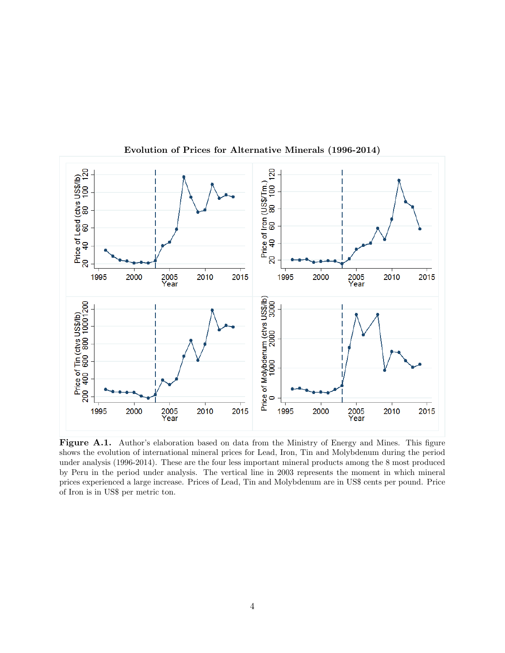

Evolution of Prices for Alternative Minerals (1996-2014)

Figure A.1. Author's elaboration based on data from the Ministry of Energy and Mines. This figure shows the evolution of international mineral prices for Lead, Iron, Tin and Molybdenum during the period under analysis (1996-2014). These are the four less important mineral products among the 8 most produced by Peru in the period under analysis. The vertical line in 2003 represents the moment in which mineral prices experienced a large increase. Prices of Lead, Tin and Molybdenum are in US\$ cents per pound. Price of Iron is in US\$ per metric ton.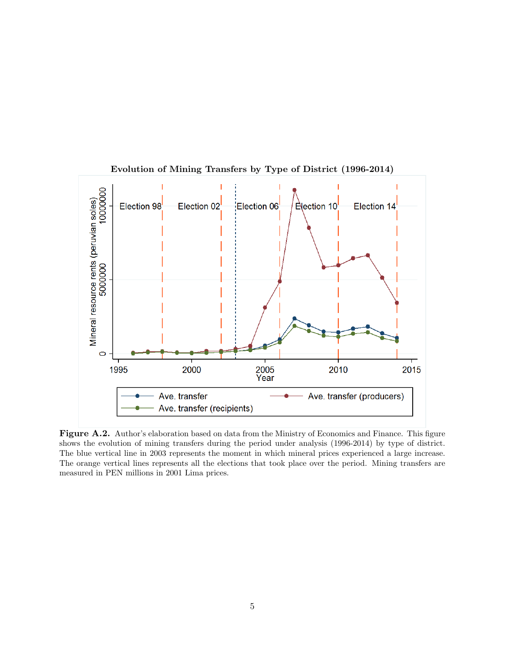

Evolution of Mining Transfers by Type of District (1996-2014)

Figure A.2. Author's elaboration based on data from the Ministry of Economics and Finance. This figure shows the evolution of mining transfers during the period under analysis (1996-2014) by type of district. The blue vertical line in 2003 represents the moment in which mineral prices experienced a large increase. The orange vertical lines represents all the elections that took place over the period. Mining transfers are measured in PEN millions in 2001 Lima prices.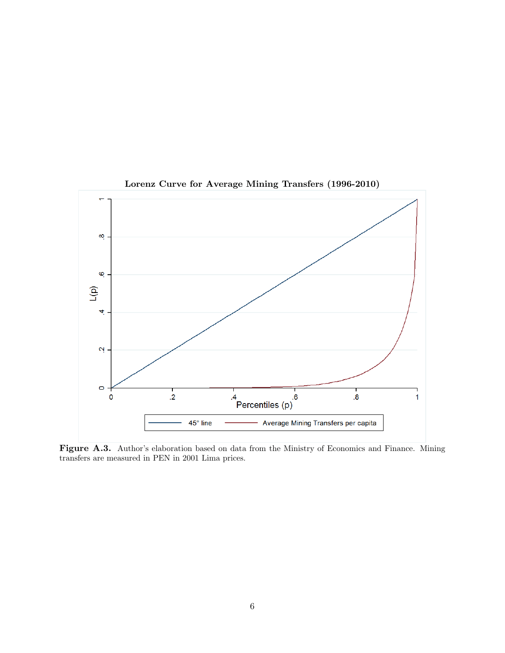

## Lorenz Curve for Average Mining Transfers (1996-2010)

Figure A.3. Author's elaboration based on data from the Ministry of Economics and Finance. Mining transfers are measured in PEN in 2001 Lima prices.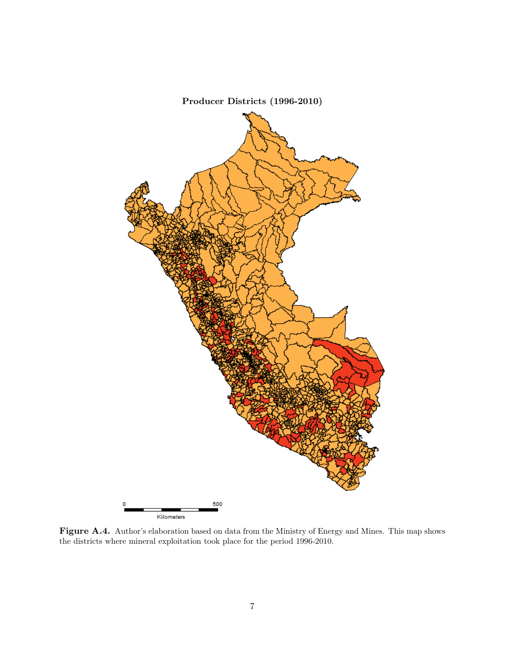

Figure A.4. Author's elaboration based on data from the Ministry of Energy and Mines. This map shows the districts where mineral exploitation took place for the period 1996-2010.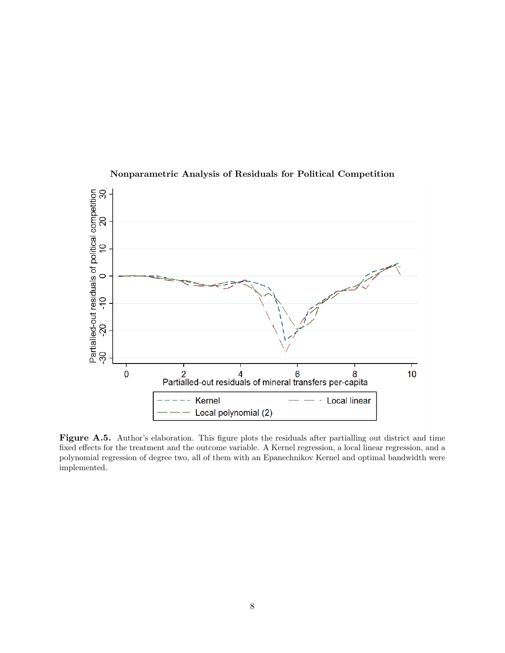

## Nonparametric Analysis of Residuals for Political Competition

Figure A.5. Author's elaboration. This figure plots the residuals after partialling out district and time fixed effects for the treatment and the outcome variable. A Kernel regression, a local linear regression, and a polynomial regression of degree two, all of them with an Epanechnikov Kernel and optimal bandwidth were implemented.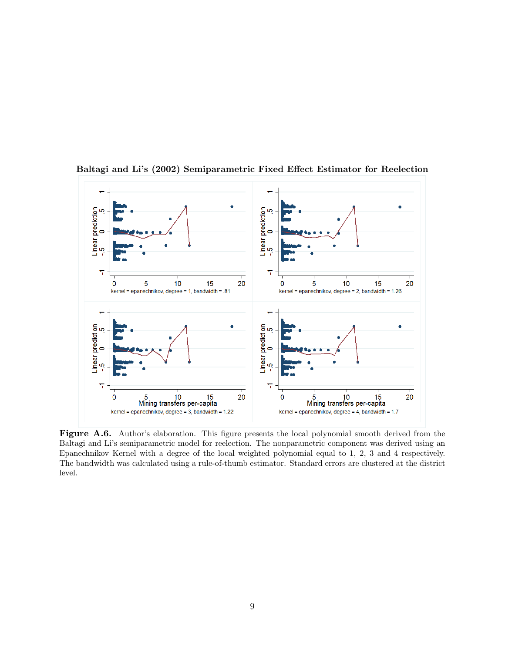

Baltagi and Li's (2002) Semiparametric Fixed Effect Estimator for Reelection

Figure A.6. Author's elaboration. This figure presents the local polynomial smooth derived from the Baltagi and Li's semiparametric model for reelection. The nonparametric component was derived using an Epanechnikov Kernel with a degree of the local weighted polynomial equal to 1, 2, 3 and 4 respectively. The bandwidth was calculated using a rule-of-thumb estimator. Standard errors are clustered at the district level.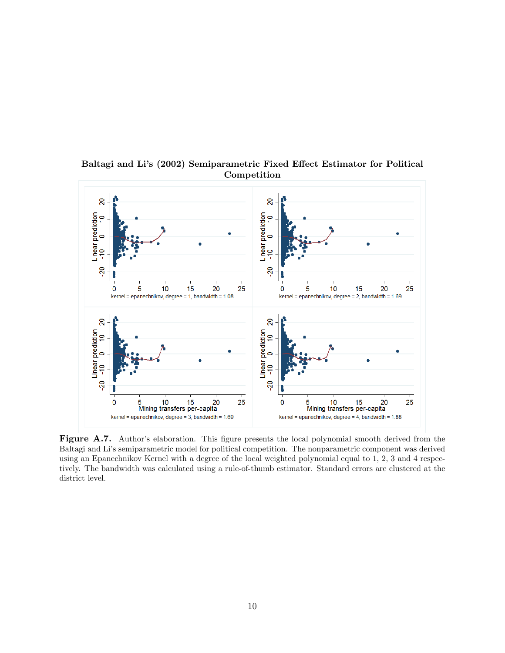

Baltagi and Li's (2002) Semiparametric Fixed Effect Estimator for Political Competition

Figure A.7. Author's elaboration. This figure presents the local polynomial smooth derived from the Baltagi and Li's semiparametric model for political competition. The nonparametric component was derived using an Epanechnikov Kernel with a degree of the local weighted polynomial equal to 1, 2, 3 and 4 respectively. The bandwidth was calculated using a rule-of-thumb estimator. Standard errors are clustered at the district level.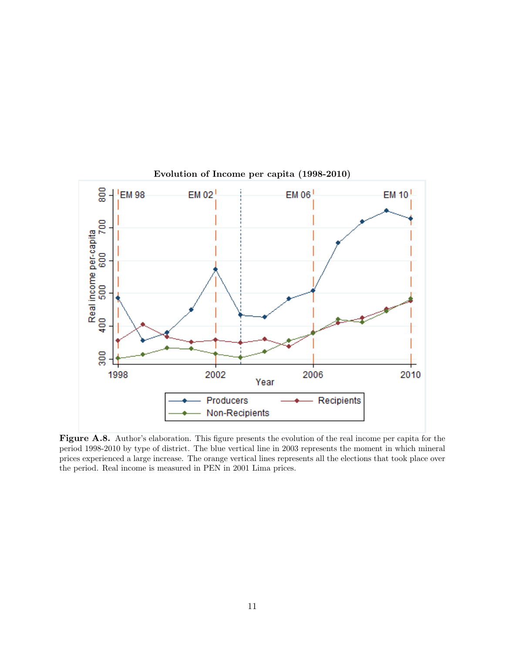

Evolution of Income per capita (1998-2010)

Figure A.8. Author's elaboration. This figure presents the evolution of the real income per capita for the period 1998-2010 by type of district. The blue vertical line in 2003 represents the moment in which mineral prices experienced a large increase. The orange vertical lines represents all the elections that took place over the period. Real income is measured in PEN in 2001 Lima prices.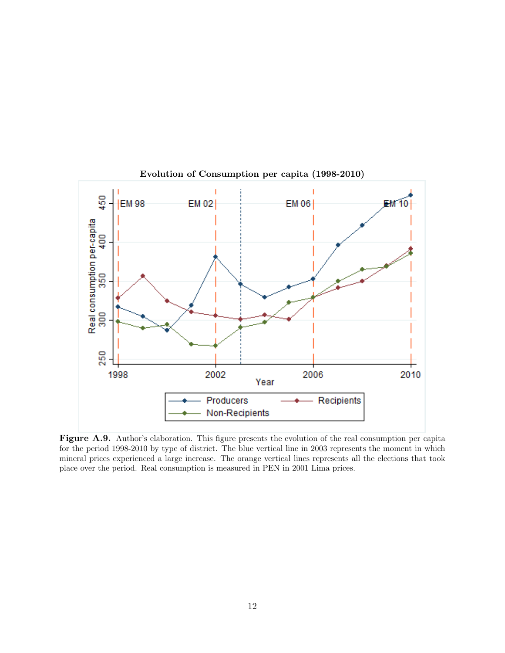

Evolution of Consumption per capita (1998-2010)

Figure A.9. Author's elaboration. This figure presents the evolution of the real consumption per capita for the period 1998-2010 by type of district. The blue vertical line in 2003 represents the moment in which mineral prices experienced a large increase. The orange vertical lines represents all the elections that took place over the period. Real consumption is measured in PEN in 2001 Lima prices.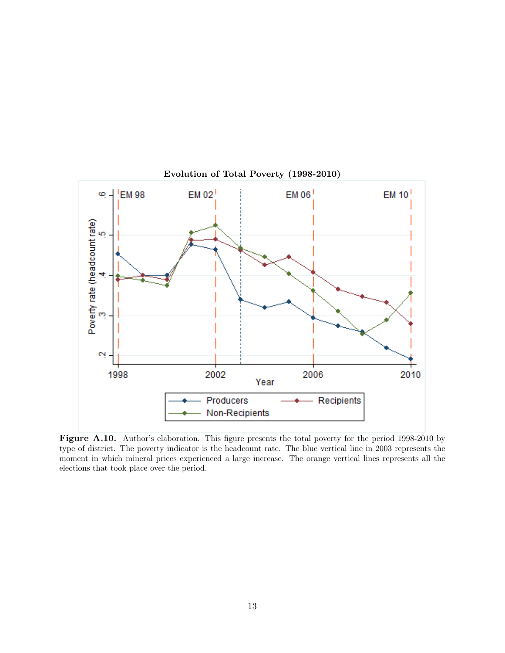

Figure A.10. Author's elaboration. This figure presents the total poverty for the period 1998-2010 by type of district. The poverty indicator is the headcount rate. The blue vertical line in 2003 represents the moment in which mineral prices experienced a large increase. The orange vertical lines represents all the elections that took place over the period.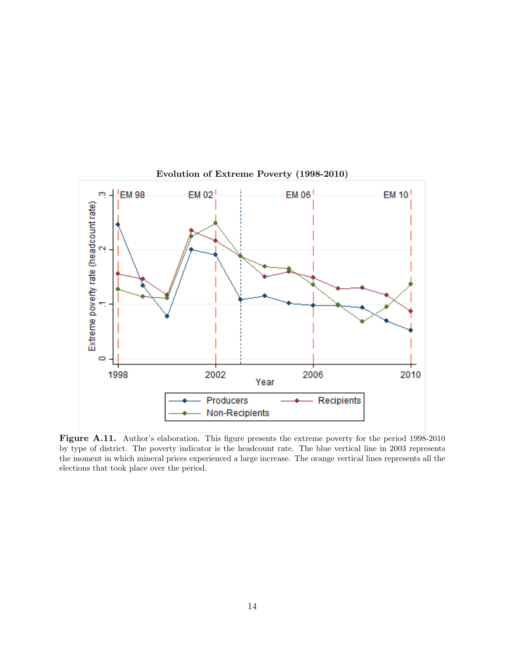

Evolution of Extreme Poverty (1998-2010)

Figure A.11. Author's elaboration. This figure presents the extreme poverty for the period 1998-2010 by type of district. The poverty indicator is the headcount rate. The blue vertical line in 2003 represents the moment in which mineral prices experienced a large increase. The orange vertical lines represents all the elections that took place over the period.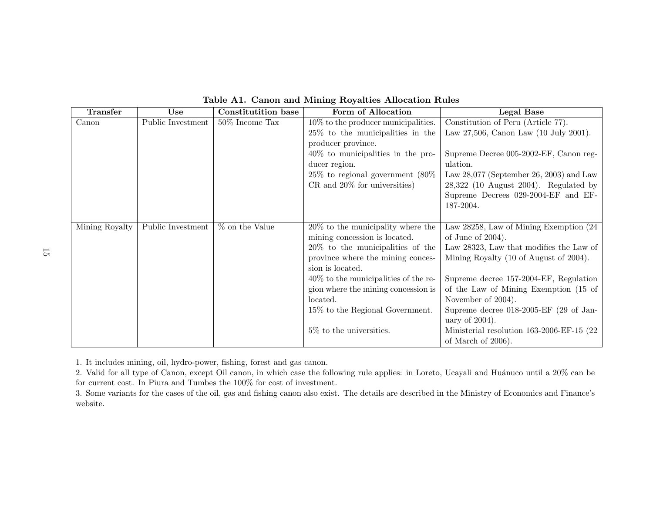| <b>Transfer</b> | Use               | <b>Constitutition base</b> | Form of Allocation                      | <b>Legal Base</b>                          |
|-----------------|-------------------|----------------------------|-----------------------------------------|--------------------------------------------|
| Canon           | Public Investment | $50\%$ Income Tax          | $10\%$ to the producer municipalities.  | Constitution of Peru (Article 77).         |
|                 |                   |                            | $25\%$ to the municipalities in the     | Law 27,506, Canon Law (10 July 2001).      |
|                 |                   |                            | producer province.                      |                                            |
|                 |                   |                            | $40\%$ to municipalities in the pro-    | Supreme Decree 005-2002-EF, Canon reg-     |
|                 |                   |                            | ducer region.                           | ulation.                                   |
|                 |                   |                            | $25\%$ to regional government $(80\%$   | Law $28,077$ (September 26, 2003) and Law  |
|                 |                   |                            | $CR$ and $20\%$ for universities)       | $28,322$ (10 August 2004). Regulated by    |
|                 |                   |                            |                                         | Supreme Decrees 029-2004-EF and EF-        |
|                 |                   |                            |                                         | 187-2004.                                  |
|                 |                   |                            |                                         |                                            |
| Mining Royalty  | Public Investment | % on the Value             | $20\%$ to the municipality where the    | Law 28258, Law of Mining Exemption (24)    |
|                 |                   |                            | mining concession is located.           | of June of $2004$ ).                       |
|                 |                   |                            | $20\%$ to the municipalities of the     | Law 28323, Law that modifies the Law of    |
|                 |                   |                            | province where the mining conces-       | Mining Royalty (10 of August of 2004).     |
|                 |                   |                            | sion is located.                        |                                            |
|                 |                   |                            | $40\%$ to the municipalities of the re- | Supreme decree 157-2004-EF, Regulation     |
|                 |                   |                            | gion where the mining concession is     | of the Law of Mining Exemption (15 of      |
|                 |                   |                            | located.                                | November of 2004).                         |
|                 |                   |                            | 15% to the Regional Government.         | Supreme decree $018-2005$ -EF (29 of Jan-  |
|                 |                   |                            |                                         | uary of $2004$ ).                          |
|                 |                   |                            | $5\%$ to the universities.              | Ministerial resolution 163-2006-EF-15 (22) |
|                 |                   |                            |                                         | of March of 2006).                         |

Table A1. Canon and Mining Royalties Allocation Rules

1. It includes mining, oil, hydro-power, fishing, forest and gas canon.

2. Valid for all type of Canon, except Oil canon, in which case the following rule applies: in Loreto, Ucayali and Huánuco until a 20% can be for current cost. In Piura and Tumbes the 100% for cost of investment.

3. Some variants for the cases of the oil, gas and fishing canon also exist. The details are described in the Ministry of Economics and Finance's website.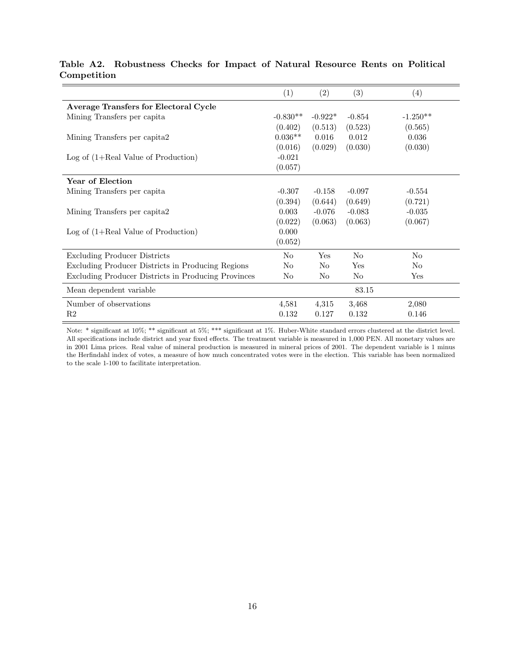|                                                     | (1)        | $\left( 2\right)$ | (3)            | (4)            |
|-----------------------------------------------------|------------|-------------------|----------------|----------------|
|                                                     |            |                   |                |                |
| <b>Average Transfers for Electoral Cycle</b>        |            |                   |                |                |
| Mining Transfers per capita                         | $-0.830**$ | $-0.922*$         | $-0.854$       | $-1.250**$     |
|                                                     | (0.402)    | (0.513)           | (0.523)        | (0.565)        |
| Mining Transfers per capita2                        | $0.036**$  | 0.016             | 0.012          | 0.036          |
|                                                     | (0.016)    | (0.029)           | (0.030)        | (0.030)        |
| Log of $(1+Real Value of Production)$               | $-0.021$   |                   |                |                |
|                                                     | (0.057)    |                   |                |                |
| Year of Election                                    |            |                   |                |                |
| Mining Transfers per capita                         | $-0.307$   | $-0.158$          | $-0.097$       | $-0.554$       |
|                                                     | (0.394)    | (0.644)           | (0.649)        | (0.721)        |
| Mining Transfers per capita2                        | 0.003      | $-0.076$          | $-0.083$       | $-0.035$       |
|                                                     | (0.022)    | (0.063)           | (0.063)        | (0.067)        |
| Log of $(1+Real Value of Production)$               | 0.000      |                   |                |                |
|                                                     | (0.052)    |                   |                |                |
| <b>Excluding Producer Districts</b>                 | $\rm No$   | Yes               | N <sub>0</sub> | $\rm No$       |
| Excluding Producer Districts in Producing Regions   | No         | No                | Yes            | N <sub>0</sub> |
| Excluding Producer Districts in Producing Provinces | No         | No                | N <sub>o</sub> | Yes            |
| Mean dependent variable                             |            |                   | 83.15          |                |
| Number of observations                              | 4,581      | 4,315             | 3,468          | 2,080          |
| R <sub>2</sub>                                      | 0.132      | 0.127             | 0.132          | 0.146          |

# Table A2. Robustness Checks for Impact of Natural Resource Rents on Political Competition

Note: \* significant at 10%; \*\* significant at 5%; \*\*\* significant at 1%. Huber-White standard errors clustered at the district level. All specifications include district and year fixed effects. The treatment variable is measured in 1,000 PEN. All monetary values are in 2001 Lima prices. Real value of mineral production is measured in mineral prices of 2001. The dependent variable is 1 minus the Herfindahl index of votes, a measure of how much concentrated votes were in the election. This variable has been normalized to the scale 1-100 to facilitate interpretation.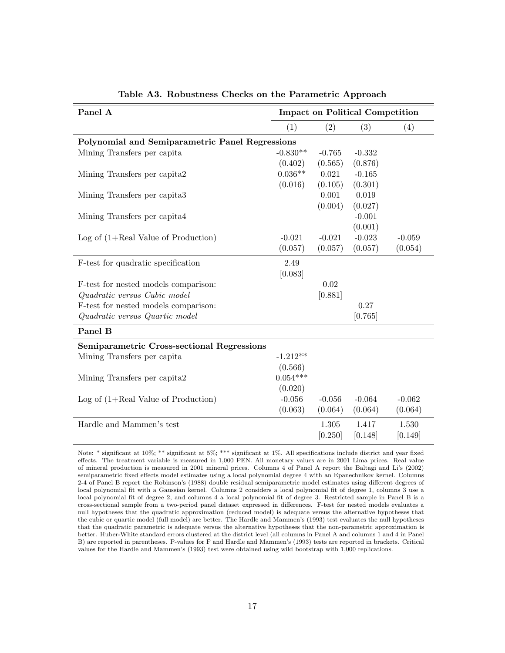| Panel A                                           | <b>Impact on Political Competition</b> |          |          |          |  |
|---------------------------------------------------|----------------------------------------|----------|----------|----------|--|
|                                                   | (1)                                    | (2)      | (3)      | (4)      |  |
| Polynomial and Semiparametric Panel Regressions   |                                        |          |          |          |  |
| Mining Transfers per capita                       | $-0.830**$                             | $-0.765$ | $-0.332$ |          |  |
|                                                   | (0.402)                                | (0.565)  | (0.876)  |          |  |
| Mining Transfers per capita2                      | $0.036**$                              | 0.021    | $-0.165$ |          |  |
|                                                   | (0.016)                                | (0.105)  | (0.301)  |          |  |
| Mining Transfers per capita3                      |                                        | 0.001    | 0.019    |          |  |
|                                                   |                                        | (0.004)  | (0.027)  |          |  |
| Mining Transfers per capita4                      |                                        |          | $-0.001$ |          |  |
|                                                   |                                        |          | (0.001)  |          |  |
| Log of $(1+Real Value of Production)$             | $-0.021$                               | $-0.021$ | $-0.023$ | $-0.059$ |  |
|                                                   | (0.057)                                | (0.057)  | (0.057)  | (0.054)  |  |
| F-test for quadratic specification                | 2.49                                   |          |          |          |  |
|                                                   | [0.083]                                |          |          |          |  |
| F-test for nested models comparison:              |                                        | 0.02     |          |          |  |
| Quadratic versus Cubic model                      |                                        | [0.881]  |          |          |  |
| F-test for nested models comparison:              |                                        |          | 0.27     |          |  |
| Quadratic versus Quartic model                    |                                        |          | [0.765]  |          |  |
| Panel B                                           |                                        |          |          |          |  |
| <b>Semiparametric Cross-sectional Regressions</b> |                                        |          |          |          |  |
| Mining Transfers per capita                       | $-1.212**$                             |          |          |          |  |
|                                                   | (0.566)                                |          |          |          |  |
| Mining Transfers per capita2                      | $0.054***$                             |          |          |          |  |
|                                                   | (0.020)                                |          |          |          |  |
| Log of $(1+Real Value of Production)$             | $-0.056$                               | $-0.056$ | $-0.064$ | $-0.062$ |  |
|                                                   | (0.063)                                | (0.064)  | (0.064)  | (0.064)  |  |
| Hardle and Mammen's test                          |                                        | 1.305    | 1.417    | 1.530    |  |
|                                                   |                                        | [0.250]  | [0.148]  | [0.149]  |  |

Table A3. Robustness Checks on the Parametric Approach

Note: \* significant at 10%; \*\* significant at 5%; \*\*\* significant at 1%. All specifications include district and year fixed effects. The treatment variable is measured in 1,000 PEN. All monetary values are in 2001 Lima prices. Real value of mineral production is measured in 2001 mineral prices. Columns 4 of Panel A report the Baltagi and Li's (2002) semiparametric fixed effects model estimates using a local polynomial degree 4 with an Epanechnikov kernel. Columns 2-4 of Panel B report the Robinson's (1988) double residual semiparametric model estimates using different degrees of local polynomial fit with a Gaussian kernel. Columns 2 considers a local polynomial fit of degree 1, columns 3 use a local polynomial fit of degree 2, and columns 4 a local polynomial fit of degree 3. Restricted sample in Panel B is a cross-sectional sample from a two-period panel dataset expressed in differences. F-test for nested models evaluates a null hypotheses that the quadratic approximation (reduced model) is adequate versus the alternative hypotheses that the cubic or quartic model (full model) are better. The Hardle and Mammen's (1993) test evaluates the null hypotheses that the quadratic parametric is adequate versus the alternative hypotheses that the non-parametric approximation is better. Huber-White standard errors clustered at the district level (all columns in Panel A and columns 1 and 4 in Panel B) are reported in parentheses. P-values for F and Hardle and Mammen's (1993) tests are reported in brackets. Critical values for the Hardle and Mammen's (1993) test were obtained using wild bootstrap with 1,000 replications.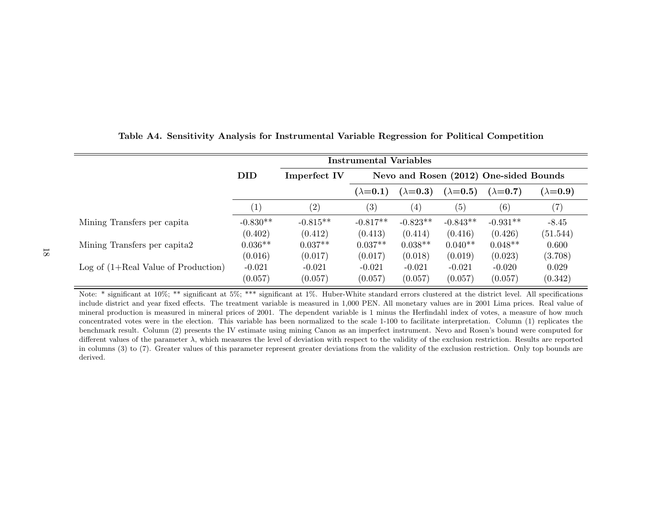|                                       | <b>Instrumental Variables</b> |              |                   |                   |                 |                                        |                 |  |
|---------------------------------------|-------------------------------|--------------|-------------------|-------------------|-----------------|----------------------------------------|-----------------|--|
|                                       | <b>DID</b>                    | Imperfect IV |                   |                   |                 | Nevo and Rosen (2012) One-sided Bounds |                 |  |
|                                       |                               |              | $(\lambda=0.1)$   | $(\lambda=0.3)$   | $(\lambda=0.5)$ | $(\lambda=0.7)$                        | $(\lambda=0.9)$ |  |
|                                       | $\left( 1\right)$             | (2)          | $\left( 3\right)$ | $\left( 4\right)$ | (5)             | (6)                                    | (7)             |  |
| Mining Transfers per capita           | $-0.830**$                    | $-0.815**$   | $-0.817**$        | $-0.823**$        | $-0.843**$      | $-0.931**$                             | $-8.45$         |  |
|                                       | (0.402)                       | (0.412)      | (0.413)           | (0.414)           | (0.416)         | (0.426)                                | (51.544)        |  |
| Mining Transfers per capita2          | $0.036**$                     | $0.037**$    | $0.037**$         | $0.038**$         | $0.040**$       | $0.048**$                              | 0.600           |  |
|                                       | (0.016)                       | (0.017)      | (0.017)           | (0.018)           | (0.019)         | (0.023)                                | (3.708)         |  |
| Log of $(1+Real Value of Production)$ | $-0.021$                      | $-0.021$     | $-0.021$          | $-0.021$          | $-0.021$        | $-0.020$                               | 0.029           |  |
|                                       | (0.057)                       | (0.057)      | (0.057)           | (0.057)           | (0.057)         | (0.057)                                | (0.342)         |  |

Table A4. Sensitivity Analysis for Instrumental Variable Regression for Political Competition

Note: \* significant at 10%; \*\* significant at 5%; \*\*\* significant at 1%. Huber-White standard errors clustered at the district level. All specifications include district and year fixed effects. The treatment variable is measured in 1,000 PEN. All monetary values are in 2001 Lima prices. Real value of mineral production is measured in mineral prices of 2001. The dependent variable is 1 minus the Herfindahl index of votes, a measure of how much concentrated votes were in the election. This variable has been normalized to the scale 1-100 to facilitate interpretation. Column (1) replicates the benchmark result. Column (2) presents the IV estimate using mining Canon as an imperfect instrument. Nevo and Rosen's bound were computed for different values of the parameter  $\lambda$ , which measures the level of deviation with respect to the validity of the exclusion restriction. Results are reported in columns (3) to (7). Greater values of this parameter represent greater deviations from the validity of the exclusion restriction. Only top bounds are derived.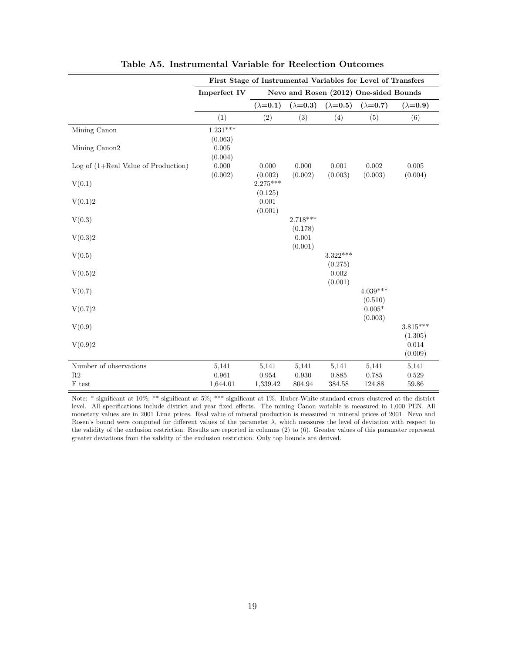|                                       | First Stage of Instrumental Variables for Level of Transfers  |                 |                 |                 |                 |                  |  |  |
|---------------------------------------|---------------------------------------------------------------|-----------------|-----------------|-----------------|-----------------|------------------|--|--|
|                                       | <b>Imperfect IV</b><br>Nevo and Rosen (2012) One-sided Bounds |                 |                 |                 |                 |                  |  |  |
|                                       |                                                               | $(\lambda=0.1)$ | $(\lambda=0.3)$ | $(\lambda=0.5)$ | $(\lambda=0.7)$ | $(\lambda=0.9)$  |  |  |
|                                       | (1)                                                           | (2)             | (3)             | (4)             | (5)             | (6)              |  |  |
| Mining Canon                          | $1.231***$                                                    |                 |                 |                 |                 |                  |  |  |
|                                       | (0.063)                                                       |                 |                 |                 |                 |                  |  |  |
| Mining Canon2                         | 0.005                                                         |                 |                 |                 |                 |                  |  |  |
|                                       | (0.004)                                                       |                 |                 |                 |                 |                  |  |  |
| Log of $(1+Real Value of Production)$ | 0.000                                                         | 0.000           | 0.000           | 0.001           | 0.002           | $0.005\,$        |  |  |
|                                       | (0.002)                                                       | (0.002)         | (0.002)         | (0.003)         | (0.003)         | (0.004)          |  |  |
| V(0.1)                                |                                                               | $2.275***$      |                 |                 |                 |                  |  |  |
|                                       |                                                               | (0.125)         |                 |                 |                 |                  |  |  |
| V(0.1)2                               |                                                               | 0.001           |                 |                 |                 |                  |  |  |
|                                       |                                                               | (0.001)         |                 |                 |                 |                  |  |  |
| V(0.3)                                |                                                               |                 | $2.718***$      |                 |                 |                  |  |  |
|                                       |                                                               |                 | (0.178)         |                 |                 |                  |  |  |
| V(0.3)2                               |                                                               |                 | 0.001           |                 |                 |                  |  |  |
|                                       |                                                               |                 | (0.001)         |                 |                 |                  |  |  |
| V(0.5)                                |                                                               |                 |                 | $3.322***$      |                 |                  |  |  |
|                                       |                                                               |                 |                 | (0.275)         |                 |                  |  |  |
| V(0.5)2                               |                                                               |                 |                 | 0.002           |                 |                  |  |  |
|                                       |                                                               |                 |                 | (0.001)         |                 |                  |  |  |
| V(0.7)                                |                                                               |                 |                 |                 | $4.039***$      |                  |  |  |
|                                       |                                                               |                 |                 |                 | (0.510)         |                  |  |  |
| V(0.7)2                               |                                                               |                 |                 |                 | $0.005*$        |                  |  |  |
|                                       |                                                               |                 |                 |                 | (0.003)         |                  |  |  |
| V(0.9)                                |                                                               |                 |                 |                 |                 | $3.815***$       |  |  |
|                                       |                                                               |                 |                 |                 |                 |                  |  |  |
|                                       |                                                               |                 |                 |                 |                 | (1.305)<br>0.014 |  |  |
| V(0.9)2                               |                                                               |                 |                 |                 |                 |                  |  |  |
|                                       |                                                               |                 |                 |                 |                 | (0.009)          |  |  |
| Number of observations                | 5,141                                                         | 5,141           | 5,141           | 5,141           | 5,141           | 5,141            |  |  |
| $\mathbf{R}2$                         | 0.961                                                         | 0.954           | 0.930           | $\,0.885\,$     | 0.785           | 0.529            |  |  |
| $\mathcal F$ test                     | 1,644.01                                                      | 1,339.42        | 804.94          | 384.58          | 124.88          | 59.86            |  |  |

Table A5. Instrumental Variable for Reelection Outcomes

Note: \* significant at 10%; \*\* significant at 5%; \*\*\* significant at 1%. Huber-White standard errors clustered at the district level. All specifications include district and year fixed effects. The mining Canon variable is measured in 1,000 PEN. All monetary values are in 2001 Lima prices. Real value of mineral production is measured in mineral prices of 2001. Nevo and Rosen's bound were computed for different values of the parameter  $\lambda$ , which measures the level of deviation with respect to the validity of the exclusion restriction. Results are reported in columns (2) to (6). Greater values of this parameter represent greater deviations from the validity of the exclusion restriction. Only top bounds are derived.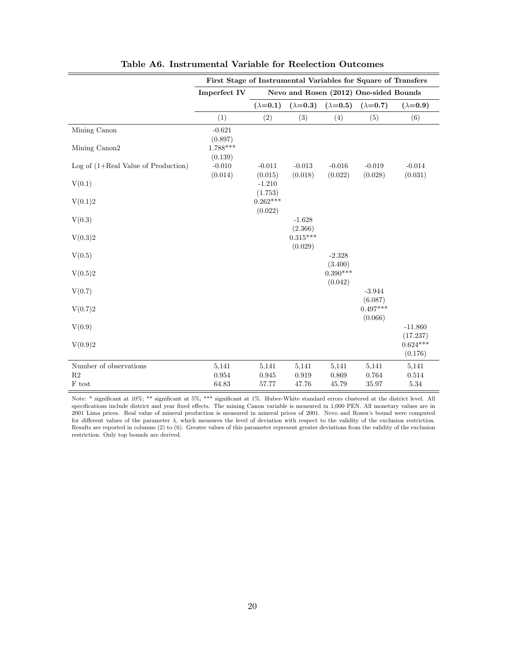|                                       | First Stage of Instrumental Variables for Square of Transfers |                       |                       |                       |                                        |                       |
|---------------------------------------|---------------------------------------------------------------|-----------------------|-----------------------|-----------------------|----------------------------------------|-----------------------|
|                                       | <b>Imperfect IV</b>                                           |                       |                       |                       | Nevo and Rosen (2012) One-sided Bounds |                       |
|                                       |                                                               | $(\lambda=0.1)$       | $(\lambda=0.3)$       | $(\lambda=0.5)$       | $(\lambda=0.7)$                        | $(\lambda=0.9)$       |
|                                       | (1)                                                           | (2)                   | (3)                   | (4)                   | (5)                                    | (6)                   |
| Mining Canon                          | $-0.621$<br>(0.897)                                           |                       |                       |                       |                                        |                       |
| Mining Canon2                         | $1.788***$<br>(0.139)                                         |                       |                       |                       |                                        |                       |
| Log of $(1+Real Value of Production)$ | $-0.010$<br>(0.014)                                           | $-0.011$<br>(0.015)   | $-0.013$<br>(0.018)   | $-0.016$<br>(0.022)   | $-0.019$<br>(0.028)                    | $-0.014$<br>(0.031)   |
| V(0.1)                                |                                                               | $-1.210$<br>(1.753)   |                       |                       |                                        |                       |
| V(0.1)2                               |                                                               | $0.262***$<br>(0.022) |                       |                       |                                        |                       |
| V(0.3)                                |                                                               |                       | $-1.628$<br>(2.366)   |                       |                                        |                       |
| V(0.3)2                               |                                                               |                       | $0.315***$<br>(0.029) |                       |                                        |                       |
| V(0.5)                                |                                                               |                       |                       | $-2.328$<br>(3.400)   |                                        |                       |
| V(0.5)2                               |                                                               |                       |                       | $0.390***$<br>(0.042) |                                        |                       |
| V(0.7)                                |                                                               |                       |                       |                       | $-3.944$<br>(6.087)                    |                       |
| V(0.7)2                               |                                                               |                       |                       |                       | $0.497***$<br>(0.066)                  |                       |
| V(0.9)                                |                                                               |                       |                       |                       |                                        | $-11.860$<br>(17.237) |
| V(0.9)2                               |                                                               |                       |                       |                       |                                        | $0.624***$<br>(0.176) |
| Number of observations                | 5,141                                                         | 5,141                 | 5,141                 | 5,141                 | 5,141                                  | 5,141                 |
| $\mathbf{R}2$<br>$\mathcal F$ test    | 0.954<br>64.83                                                | 0.945<br>57.77        | 0.919<br>47.76        | 0.869<br>45.79        | 0.764<br>35.97                         | 0.514<br>5.34         |

Table A6. Instrumental Variable for Reelection Outcomes

Note: \* significant at 10%; \*\* significant at 5%; \*\*\* significant at 1%. Huber-White standard errors clustered at the district level. All specifications include district and year fixed effects. The mining Canon variable is measured in 1,000 PEN. All monetary values are in 2001 Lima prices. Real value of mineral production is measured in mineral prices of 2001. Nevo and Rosen's bound were computed for different values of the parameter  $\lambda$ , which measures the level of deviation with respect to the validity of the exclusion restriction. Results are reported in columns (2) to (6). Greater values of this parameter represent greater deviations from the validity of the exclusion restriction. Only top bounds are derived.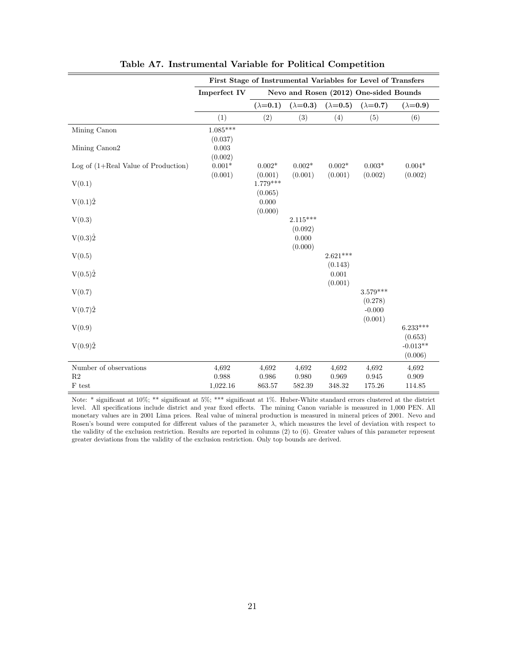|                                       | First Stage of Instrumental Variables for Level of Transfers |                 |                 |                 |                                        |                 |
|---------------------------------------|--------------------------------------------------------------|-----------------|-----------------|-----------------|----------------------------------------|-----------------|
|                                       | Imperfect IV                                                 |                 |                 |                 | Nevo and Rosen (2012) One-sided Bounds |                 |
|                                       |                                                              | $(\lambda=0.1)$ | $(\lambda=0.3)$ | $(\lambda=0.5)$ | $(\lambda=0.7)$                        | $(\lambda=0.9)$ |
|                                       | (1)                                                          | (2)             | (3)             | (4)             | (5)                                    | (6)             |
| Mining Canon                          | $1.085***$                                                   |                 |                 |                 |                                        |                 |
|                                       | (0.037)                                                      |                 |                 |                 |                                        |                 |
| Mining Canon2                         | 0.003                                                        |                 |                 |                 |                                        |                 |
|                                       | (0.002)                                                      |                 |                 |                 |                                        |                 |
| Log of $(1+Real Value of Production)$ | $0.001^{\ast}$                                               | $0.002*$        | $0.002*$        | $0.002*$        | $0.003*$                               | $0.004*$        |
|                                       | (0.001)                                                      | (0.001)         | (0.001)         | (0.001)         | (0.002)                                | (0.002)         |
| V(0.1)                                |                                                              | $1.779***$      |                 |                 |                                        |                 |
|                                       |                                                              | (0.065)         |                 |                 |                                        |                 |
| $V(0.1)\hat{2}$                       |                                                              | 0.000           |                 |                 |                                        |                 |
|                                       |                                                              | (0.000)         |                 |                 |                                        |                 |
| V(0.3)                                |                                                              |                 | $2.115***$      |                 |                                        |                 |
|                                       |                                                              |                 | (0.092)         |                 |                                        |                 |
| $V(0.3)\hat{2}$                       |                                                              |                 | 0.000           |                 |                                        |                 |
|                                       |                                                              |                 | (0.000)         |                 |                                        |                 |
| V(0.5)                                |                                                              |                 |                 | $2.621***$      |                                        |                 |
|                                       |                                                              |                 |                 | (0.143)         |                                        |                 |
| $V(0.5)\hat{2}$                       |                                                              |                 |                 | 0.001           |                                        |                 |
|                                       |                                                              |                 |                 | (0.001)         |                                        |                 |
| V(0.7)                                |                                                              |                 |                 |                 | $3.579***$                             |                 |
|                                       |                                                              |                 |                 |                 | (0.278)                                |                 |
|                                       |                                                              |                 |                 |                 |                                        |                 |
| $V(0.7)\hat{2}$                       |                                                              |                 |                 |                 | $-0.000$                               |                 |
|                                       |                                                              |                 |                 |                 | (0.001)                                |                 |
| V(0.9)                                |                                                              |                 |                 |                 |                                        | $6.233***$      |
|                                       |                                                              |                 |                 |                 |                                        | (0.653)         |
| V(0.9)2                               |                                                              |                 |                 |                 |                                        | $-0.013**$      |
|                                       |                                                              |                 |                 |                 |                                        | (0.006)         |
| Number of observations                | 4,692                                                        | 4,692           | 4,692           | 4,692           | 4,692                                  | 4,692           |
| $\mathbf{R}2$                         | 0.988                                                        | 0.986           | 0.980           | 0.969           | 0.945                                  | 0.909           |
| $\mathcal F$ test                     | 1,022.16                                                     | 863.57          | 582.39          | 348.32          | 175.26                                 | 114.85          |

|  | Table A7. Instrumental Variable for Political Competition |  |  |  |
|--|-----------------------------------------------------------|--|--|--|
|--|-----------------------------------------------------------|--|--|--|

Note: \* significant at 10%; \*\* significant at 5%; \*\*\* significant at 1%. Huber-White standard errors clustered at the district level. All specifications include district and year fixed effects. The mining Canon variable is measured in 1,000 PEN. All monetary values are in 2001 Lima prices. Real value of mineral production is measured in mineral prices of 2001. Nevo and Rosen's bound were computed for different values of the parameter λ, which measures the level of deviation with respect to the validity of the exclusion restriction. Results are reported in columns (2) to (6). Greater values of this parameter represent greater deviations from the validity of the exclusion restriction. Only top bounds are derived.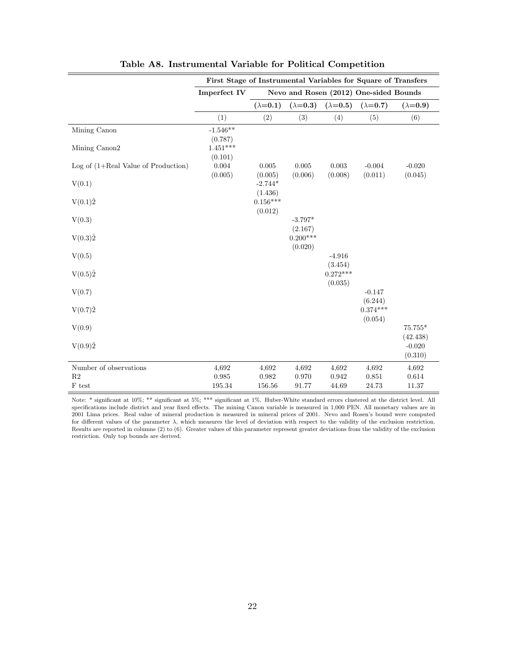|                                       | First Stage of Instrumental Variables for Square of Transfers |                       |                       |                       |                                        |                     |
|---------------------------------------|---------------------------------------------------------------|-----------------------|-----------------------|-----------------------|----------------------------------------|---------------------|
|                                       | <b>Imperfect IV</b>                                           |                       |                       |                       | Nevo and Rosen (2012) One-sided Bounds |                     |
|                                       |                                                               | $(\lambda=0.1)$       | $(\lambda=0.3)$       | $(\lambda=0.5)$       | $(\lambda = 0.7)$                      | $(\lambda=0.9)$     |
|                                       | (1)                                                           | (2)                   | (3)                   | (4)                   | (5)                                    | (6)                 |
| Mining Canon                          | $-1.546**$                                                    |                       |                       |                       |                                        |                     |
| Mining Canon2                         | (0.787)<br>$1.451***$<br>(0.101)                              |                       |                       |                       |                                        |                     |
| Log of $(1+Real Value of Production)$ | 0.004<br>(0.005)                                              | 0.005<br>(0.005)      | 0.005<br>(0.006)      | 0.003<br>(0.008)      | $-0.004$<br>(0.011)                    | $-0.020$<br>(0.045) |
| V(0.1)                                |                                                               | $-2.744*$<br>(1.436)  |                       |                       |                                        |                     |
| $V(0.1)\hat{2}$                       |                                                               | $0.156***$<br>(0.012) |                       |                       |                                        |                     |
| V(0.3)                                |                                                               |                       | $-3.797*$<br>(2.167)  |                       |                                        |                     |
| $V(0.3)\hat{2}$                       |                                                               |                       | $0.200***$<br>(0.020) |                       |                                        |                     |
| V(0.5)                                |                                                               |                       |                       | $-4.916$<br>(3.454)   |                                        |                     |
| $V(0.5)\hat{2}$                       |                                                               |                       |                       | $0.272***$<br>(0.035) |                                        |                     |
| V(0.7)                                |                                                               |                       |                       |                       | $-0.147$<br>(6.244)                    |                     |
| $V(0.7)\hat{2}$                       |                                                               |                       |                       |                       | $0.374***$<br>(0.054)                  |                     |
| V(0.9)                                |                                                               |                       |                       |                       |                                        | 75.755*<br>(42.438) |
| V(0.9)2                               |                                                               |                       |                       |                       |                                        | $-0.020$<br>(0.310) |
| Number of observations                | 4,692                                                         | 4,692                 | 4,692                 | 4,692                 | 4,692                                  | 4,692               |
| $\mathbf{R}2$<br>$\mathcal F$ test    | 0.985<br>195.34                                               | 0.982<br>156.56       | 0.970<br>91.77        | 0.942<br>44.69        | 0.851<br>24.73                         | 0.614<br>11.37      |

|  | Table A8. Instrumental Variable for Political Competition |  |  |  |
|--|-----------------------------------------------------------|--|--|--|
|--|-----------------------------------------------------------|--|--|--|

Note: \* significant at 10%; \*\* significant at 5%; \*\*\* significant at 1%. Huber-White standard errors clustered at the district level. All specifications include district and year fixed effects. The mining Canon variable is measured in 1,000 PEN. All monetary values are in 2001 Lima prices. Real value of mineral production is measured in mineral prices of 2001. Nevo and Rosen's bound were computed for different values of the parameter  $\lambda$ , which measures the level of deviation with respect to the validity of the exclusion restriction. Results are reported in columns (2) to (6). Greater values of this parameter represent greater deviations from the validity of the exclusion restriction. Only top bounds are derived.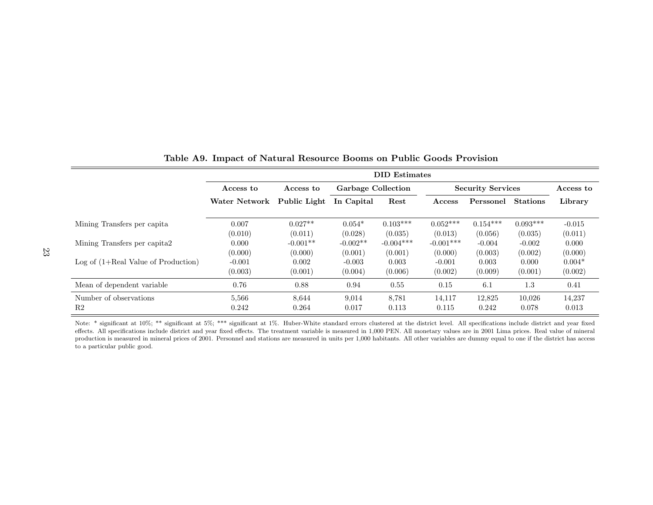|                                       |               |              |                           | <b>DID</b> Estimates |                          |            |                 |          |
|---------------------------------------|---------------|--------------|---------------------------|----------------------|--------------------------|------------|-----------------|----------|
|                                       | Access to     | Access to    | <b>Garbage Collection</b> |                      | <b>Security Services</b> | Access to  |                 |          |
|                                       | Water Network | Public Light | In Capital                | Rest                 | Access                   | Perssonel  | <b>Stations</b> | Library  |
| Mining Transfers per capita           | 0.007         | $0.027**$    | $0.054*$                  | $0.103***$           | $0.052***$               | $0.154***$ | $0.093***$      | $-0.015$ |
|                                       | (0.010)       | (0.011)      | (0.028)                   | (0.035)              | (0.013)                  | (0.056)    | (0.035)         | (0.011)  |
| Mining Transfers per capita?          | 0.000         | $-0.001**$   | $-0.002**$                | $-0.004***$          | $-0.001***$              | $-0.004$   | $-0.002$        | 0.000    |
|                                       | (0.000)       | (0.000)      | (0.001)                   | (0.001)              | (0.000)                  | (0.003)    | (0.002)         | (0.000)  |
| $Log of (1+Real Value of Production)$ | $-0.001$      | 0.002        | $-0.003$                  | 0.003                | $-0.001$                 | 0.003      | 0.000           | $0.004*$ |
|                                       | (0.003)       | (0.001)      | (0.004)                   | (0.006)              | (0.002)                  | (0.009)    | (0.001)         | (0.002)  |
| Mean of dependent variable            | 0.76          | 0.88         | 0.94                      | 0.55                 | 0.15                     | 6.1        | 1.3             | 0.41     |
| Number of observations                | 5,566         | 8,644        | 9,014                     | 8,781                | 14,117                   | 12,825     | 10,026          | 14,237   |
| R <sub>2</sub>                        | 0.242         | 0.264        | 0.017                     | 0.113                | 0.115                    | 0.242      | 0.078           | 0.013    |

|  |  | Table A9. Impact of Natural Resource Booms on Public Goods Provision |  |  |  |  |  |  |
|--|--|----------------------------------------------------------------------|--|--|--|--|--|--|
|--|--|----------------------------------------------------------------------|--|--|--|--|--|--|

Note: \* significant at 10%; \*\* significant at 5%; \*\*\* significant at 1%. Huber-White standard errors clustered at the district level. All specifications include district and year fixed effects. All specifications include district and year fixed effects. The treatment variable is measured in 1,000 PEN. All monetary values are in 2001 Lima prices. Real value of mineral production is measured in mineral prices of 2001. Personnel and stations are measured in units per 1,000 habitants. All other variables are dummy equal to one if the district has access to a particular public good.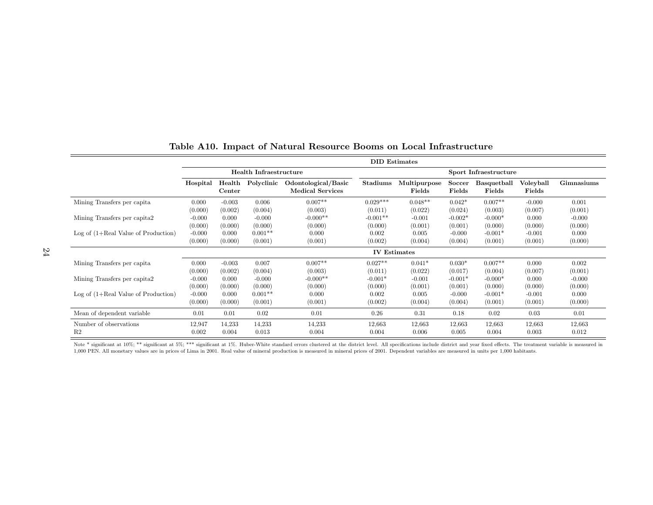|                                       |          |                                   |                               |                                                | <b>DID</b> Estimates |                        |                  |                       |                     |            |  |  |
|---------------------------------------|----------|-----------------------------------|-------------------------------|------------------------------------------------|----------------------|------------------------|------------------|-----------------------|---------------------|------------|--|--|
|                                       |          |                                   | <b>Health Infraestructure</b> |                                                |                      | Sport Infraestructure  |                  |                       |                     |            |  |  |
|                                       | Hospital | $\operatorname{Health}$<br>Center | Polyclinic                    | Odontological/Basic<br><b>Medical Services</b> | Stadiums             | Multipurpose<br>Fields | Soccer<br>Fields | Basquetball<br>Fields | Voleyball<br>Fields | Gimnasiums |  |  |
| Mining Transfers per capita           | 0.000    | $-0.003$                          | 0.006                         | $0.007**$                                      | $0.029***$           | $0.048**$              | $0.042*$         | $0.007**$             | $-0.000$            | 0.001      |  |  |
|                                       | (0.000)  | (0.002)                           | (0.004)                       | (0.003)                                        | (0.011)              | (0.022)                | (0.024)          | (0.003)               | (0.007)             | (0.001)    |  |  |
| Mining Transfers per capita2          | $-0.000$ | 0.000                             | $-0.000$                      | $-0.000**$                                     | $-0.001**$           | $-0.001$               | $-0.002*$        | $-0.000*$             | 0.000               | $-0.000$   |  |  |
|                                       | (0.000)  | (0.000)                           | (0.000)                       | (0.000)                                        | (0.000)              | (0.001)                | (0.001)          | (0.000)               | (0.000)             | (0.000)    |  |  |
| Log of $(1+Real Value of Production)$ | $-0.000$ | 0.000                             | $0.001**$                     | 0.000                                          | 0.002                | 0.005                  | $-0.000$         | $-0.001*$             | $-0.001$            | 0.000      |  |  |
|                                       | (0.000)  | (0.000)                           | (0.001)                       | (0.001)                                        | (0.002)              | (0.004)                | (0.004)          | (0.001)               | (0.001)             | (0.000)    |  |  |
|                                       |          |                                   |                               |                                                | <b>IV</b> Estimates  |                        |                  |                       |                     |            |  |  |
| Mining Transfers per capita           | 0.000    | $-0.003$                          | 0.007                         | $0.007**$                                      | $0.027**$            | $0.041*$               | $0.030*$         | $0.007**$             | 0.000               | 0.002      |  |  |
|                                       | (0.000)  | (0.002)                           | (0.004)                       | (0.003)                                        | (0.011)              | (0.022)                | (0.017)          | (0.004)               | (0.007)             | (0.001)    |  |  |
| Mining Transfers per capita2          | $-0.000$ | 0.000                             | $-0.000$                      | $-0.000**$                                     | $-0.001*$            | $-0.001$               | $-0.001*$        | $-0.000*$             | 0.000               | $-0.000$   |  |  |
|                                       | (0.000)  | (0.000)                           | (0.000)                       | (0.000)                                        | (0.000)              | (0.001)                | (0.001)          | (0.000)               | (0.000)             | (0.000)    |  |  |
| Log of $(1+Real Value of Production)$ | $-0.000$ | 0.000                             | $0.001**$                     | 0.000                                          | 0.002                | 0.005                  | $-0.000$         | $-0.001*$             | $-0.001$            | 0.000      |  |  |
|                                       | (0.000)  | (0.000)                           | (0.001)                       | (0.001)                                        | (0.002)              | (0.004)                | (0.004)          | (0.001)               | (0.001)             | (0.000)    |  |  |
| Mean of dependent variable            | 0.01     | 0.01                              | 0.02                          | 0.01                                           | 0.26                 | 0.31                   | 0.18             | 0.02                  | 0.03                | 0.01       |  |  |
| Number of observations                | 12,947   | 14,233                            | 14,233                        | 14,233                                         | 12,663               | 12,663                 | 12,663           | 12,663                | 12,663              | 12,663     |  |  |
| R <sub>2</sub>                        | 0.002    | 0.004                             | 0.013                         | 0.004                                          | 0.004                | 0.006                  | 0.005            | 0.004                 | 0.003               | 0.012      |  |  |

## Table A10. Impact of Natural Resource Booms on Local Infrastructure

Note \* significant at 10%; \*\* significant at 5%; \*\*\* significant at 1%. Huber-White standard errors clustered at the district level. All specifications include district and year fixed effects. The treatment variable is mea 1,000 PEN. All monetary values are in prices of Lima in 2001. Real value of mineral production is measured in mineral prices of 2001. Dependent variables are measured in units per 1,000 habitants.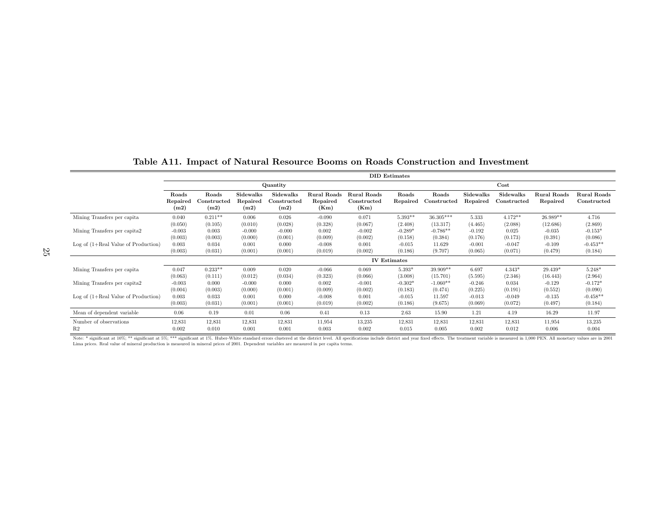|                                       |                  |                     |                  |                           |                  |                     | <b>DID</b> Estimates |             |           |                 |                    |                    |
|---------------------------------------|------------------|---------------------|------------------|---------------------------|------------------|---------------------|----------------------|-------------|-----------|-----------------|--------------------|--------------------|
|                                       |                  |                     |                  | Quantity                  |                  |                     |                      |             |           | $\mathbf{Cost}$ |                    |                    |
|                                       | Roads            | Roads               | Sidewalks        | Sidewalks                 | Rural Roads      | Rural Roads         | Roads                | Roads       | Sidewalks | Sidewalks       | <b>Rural Roads</b> | <b>Rural Roads</b> |
|                                       | Repaired<br>(m2) | Constructed<br>(m2) | Repaired<br>(m2) | $\rm Constructed$<br>(m2) | Repaired<br>(Km) | Constructed<br>(Km) | Repaired             | Constructed | Repaired  | Constructed     | Repaired           | Constructed        |
| Mining Transfers per capita           | 0.040            | $0.211**$           | 0.006            | 0.026                     | $-0.090$         | 0.071               | $5.393**$            | 36.305***   | 5.333     | $4.172**$       | $26.989**$         | 4.716              |
|                                       | (0.050)          | (0.105)             | (0.010)          | (0.028)                   | (0.328)          | (0.067)             | (2.408)              | (13.317)    | (4.465)   | (2.088)         | (12.686)           | (2.869)            |
| Mining Transfers per capita2          | $-0.003$         | 0.003               | $-0.000$         | $-0.000$                  | 0.002            | $-0.002$            | $-0.289*$            | $-0.786**$  | $-0.192$  | 0.025           | $-0.035$           | $-0.153*$          |
|                                       | (0.003)          | (0.003)             | (0.000)          | (0.001)                   | (0.009)          | (0.002)             | (0.158)              | (0.384)     | (0.176)   | (0.173)         | (0.391)            | (0.086)            |
| Log of $(1+Real Value of Production)$ | 0.003            | 0.034               | 0.001            | 0.000                     | $-0.008$         | 0.001               | $-0.015$             | 11.629      | $-0.001$  | $-0.047$        | $-0.109$           | $-0.453**$         |
|                                       | (0.003)          | (0.031)             | (0.001)          | (0.001)                   | (0.019)          | (0.002)             | (0.186)              | (9.707)     | (0.065)   | (0.071)         | (0.479)            | (0.184)            |
|                                       |                  |                     |                  |                           |                  |                     | <b>IV Estimates</b>  |             |           |                 |                    |                    |
| Mining Transfers per capita           | 0.047            | $0.233**$           | 0.009            | 0.020                     | $-0.066$         | 0.069               | $5.393*$             | 39.909**    | 6.697     | $4.343*$        | 29.439*            | $5.248*$           |
|                                       | (0.063)          | (0.111)             | (0.012)          | (0.034)                   | (0.323)          | (0.066)             | (3.008)              | (15.701)    | (5.595)   | (2.346)         | (16.443)           | (2.964)            |
| Mining Transfers per capita2          | $-0.003$         | 0.000               | $-0.000$         | 0.000                     | 0.002            | $-0.001$            | $-0.302*$            | $-1.060**$  | $-0.246$  | 0.034           | $-0.129$           | $-0.172*$          |
|                                       | (0.004)          | (0.003)             | (0.000)          | (0.001)                   | (0.009)          | (0.002)             | (0.183)              | (0.474)     | (0.225)   | (0.191)         | (0.552)            | (0.090)            |
| Log of $(1+Real Value of Production)$ | 0.003            | 0.033               | 0.001            | 0.000                     | $-0.008$         | 0.001               | $-0.015$             | 11.597      | $-0.013$  | $-0.049$        | $-0.135$           | $-0.458**$         |
|                                       | (0.003)          | (0.031)             | (0.001)          | (0.001)                   | (0.019)          | (0.002)             | (0.186)              | (9.675)     | (0.069)   | (0.072)         | (0.497)            | (0.184)            |
| Mean of dependent variable            | 0.06             | 0.19                | 0.01             | 0.06                      | 0.41             | 0.13                | 2.63                 | 15.90       | 1.21      | 4.19            | 16.29              | 11.97              |
| Number of observations                | 12,831           | 12,831              | 12,831           | 12,831                    | 11,954           | 13,235              | 12,831               | 12,831      | 12,831    | 12,831          | 11,954             | 13,235             |
| R <sub>2</sub>                        | 0.002            | 0.010               | 0.001            | 0.001                     | 0.003            | 0.002               | 0.015                | 0.005       | 0.002     | 0.012           | 0.006              | 0.004              |

## Table A11. Impact of Natural Resource Booms on Roads Construction and Investment

Note: \* significant at 10%; \*\* significant at 5%; \*\*\* significant at 1%. Huber-White standard errors clustered at the district level. All specifications include district and year fixed effects. The treatment variable is me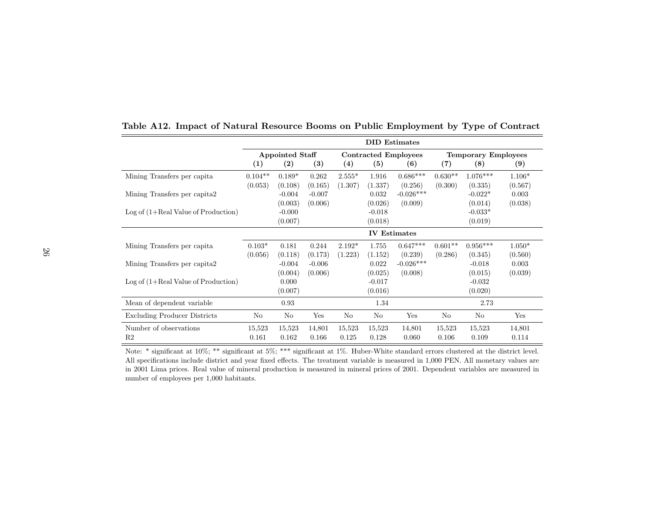|                                       |                     |                        |          |          |          | <b>DID</b> Estimates        |           |                            |          |
|---------------------------------------|---------------------|------------------------|----------|----------|----------|-----------------------------|-----------|----------------------------|----------|
|                                       |                     | <b>Appointed Staff</b> |          |          |          | <b>Contracted Employees</b> |           | <b>Temporary Employees</b> |          |
|                                       | $\left(1\right)$    | $\left( 2\right)$      | (3)      | (4)      | (5)      | (6)                         | (7)       | (8)                        | (9)      |
| Mining Transfers per capita           | $0.104**$           | $0.189*$               | 0.262    | $2.555*$ | 1.916    | $0.686***$                  | $0.630**$ | $1.076***$                 | $1.106*$ |
|                                       | (0.053)             | (0.108)                | (0.165)  | (1.307)  | (1.337)  | (0.256)                     | (0.300)   | (0.335)                    | (0.567)  |
| Mining Transfers per capita2          |                     | $-0.004$               | $-0.007$ |          | 0.032    | $-0.026***$                 |           | $-0.022*$                  | 0.003    |
|                                       |                     | (0.003)                | (0.006)  |          | (0.026)  | (0.009)                     |           | (0.014)                    | (0.038)  |
| $Log of (1+Real Value of Production)$ |                     | $-0.000$               |          |          | $-0.018$ |                             |           | $-0.033*$                  |          |
|                                       |                     | (0.007)                |          |          | (0.018)  |                             |           | (0.019)                    |          |
|                                       | <b>IV Estimates</b> |                        |          |          |          |                             |           |                            |          |
| Mining Transfers per capita           | $0.103*$            | 0.181                  | 0.244    | $2.192*$ | 1.755    | $0.647***$                  | $0.601**$ | $0.956***$                 | $1.050*$ |
|                                       | (0.056)             | (0.118)                | (0.173)  | (1.223)  | (1.152)  | (0.239)                     | (0.286)   | (0.345)                    | (0.560)  |
| Mining Transfers per capita2          |                     | $-0.004$               | $-0.006$ |          | 0.022    | $-0.026***$                 |           | $-0.018$                   | 0.003    |
|                                       |                     | (0.004)                | (0.006)  |          | (0.025)  | (0.008)                     |           | (0.015)                    | (0.039)  |
| $Log of (1+Real Value of Production)$ |                     | 0.000                  |          |          | $-0.017$ |                             |           | $-0.032$                   |          |
|                                       |                     | (0.007)                |          |          | (0.016)  |                             |           | (0.020)                    |          |
| Mean of dependent variable            |                     | 0.93                   |          |          | 1.34     |                             |           | 2.73                       |          |
| <b>Excluding Producer Districts</b>   | No                  | No                     | Yes      | No       | No       | Yes                         | No        | No                         | Yes      |
| Number of observations                | 15,523              | 15,523                 | 14,801   | 15,523   | 15,523   | 14,801                      | 15,523    | 15,523                     | 14,801   |
| R2                                    | 0.161               | 0.162                  | 0.166    | 0.125    | 0.128    | 0.060                       | 0.106     | 0.109                      | 0.114    |

Table A12. Impact of Natural Resource Booms on Public Employment by Type of Contract

Note: \* significant at 10%; \*\* significant at 5%; \*\*\* significant at 1%. Huber-White standard errors clustered at the district level. All specifications include district and year fixed effects. The treatment variable is measured in 1,000 PEN. All monetary values are in 2001 Lima prices. Real value of mineral production is measured in mineral prices of 2001. Dependent variables are measured in number of employees per 1,000 habitants.

 $\overline{\phantom{a}}$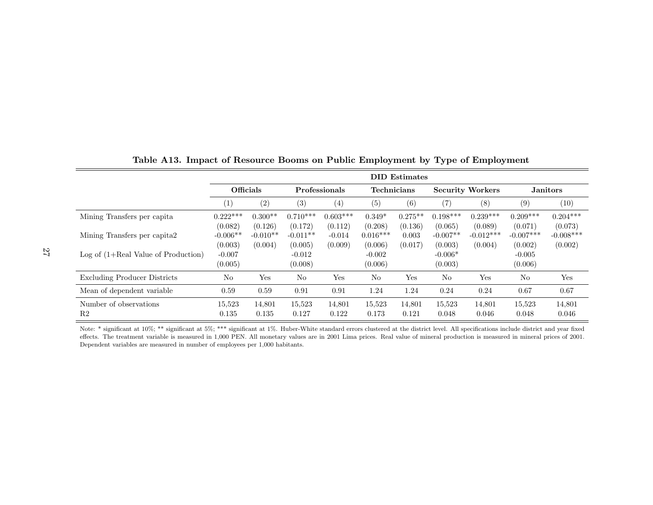|                                          |                       |                       |                       |                       |                       | <b>DID</b> Estimates |                         |                        |                        |                        |
|------------------------------------------|-----------------------|-----------------------|-----------------------|-----------------------|-----------------------|----------------------|-------------------------|------------------------|------------------------|------------------------|
|                                          | Officials             |                       |                       | <b>Professionals</b>  | <b>Technicians</b>    |                      | <b>Security Workers</b> |                        | <b>Janitors</b>        |                        |
|                                          | $\left( 1\right)$     | (2)                   | (3)                   | $\left( 4\right)$     | (5)                   | (6)                  | (7)                     | (8)                    | (9)                    | $\left(10\right)$      |
| Mining Transfers per capita              | $0.222***$<br>(0.082) | $0.300**$<br>(0.126)  | $0.710***$<br>(0.172) | $0.603***$<br>(0.112) | $0.349*$<br>(0.208)   | $0.275**$<br>(0.136) | $0.198***$<br>(0.065)   | $0.239***$<br>(0.089)  | $0.209***$<br>(0.071)  | $0.204***$<br>(0.073)  |
| Mining Transfers per capital.            | $-0.006**$<br>(0.003) | $-0.010**$<br>(0.004) | $-0.011**$<br>(0.005) | $-0.014$<br>(0.009)   | $0.016***$<br>(0.006) | 0.003<br>(0.017)     | $-0.007**$<br>(0.003)   | $-0.012***$<br>(0.004) | $-0.007***$<br>(0.002) | $-0.008***$<br>(0.002) |
| $Log of (1+Real Value of Production)$    | $-0.007$<br>(0.005)   |                       | $-0.012$<br>(0.008)   |                       | $-0.002$<br>(0.006)   |                      | $-0.006*$<br>(0.003)    |                        | $-0.005$<br>(0.006)    |                        |
| Excluding Producer Districts             | No                    | Yes                   | No                    | Yes                   | N <sub>o</sub>        | Yes                  | No                      | Yes                    | No                     | Yes                    |
| Mean of dependent variable.              | 0.59                  | 0.59                  | 0.91                  | 0.91                  | 1.24                  | 1.24                 | 0.24                    | 0.24                   | 0.67                   | 0.67                   |
| Number of observations<br>R <sub>2</sub> | 15,523<br>0.135       | 14,801<br>0.135       | 15,523<br>0.127       | 14,801<br>0.122       | 15,523<br>0.173       | 14,801<br>0.121      | 15,523<br>0.048         | 14,801<br>0.046        | 15,523<br>0.048        | 14,801<br>0.046        |

Table A13. Impact of Resource Booms on Public Employment by Type of Employment

Note: \* significant at 10%; \*\* significant at 5%; \*\*\* significant at 1%. Huber-White standard errors clustered at the district level. All specifications include district and year fixed effects. The treatment variable is measured in 1,000 PEN. All monetary values are in 2001 Lima prices. Real value of mineral production is measured in mineral prices of 2001. Dependent variables are measured in number of employees per 1,000 habitants.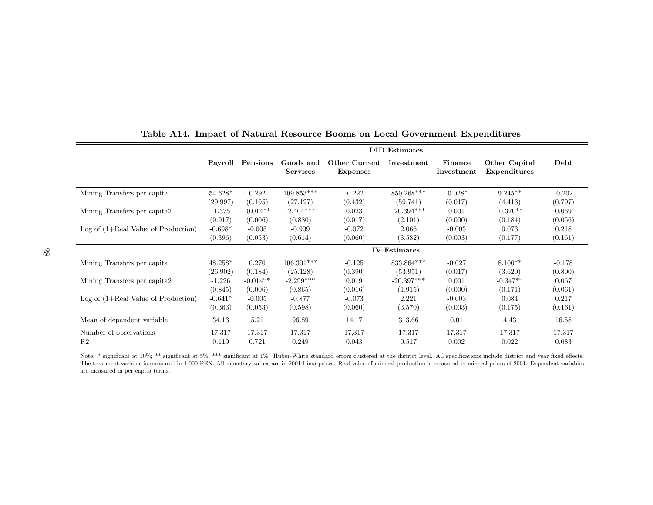|                                       |           |                  |                              |                                  | <b>DID</b> Estimates |                       |                               |          |
|---------------------------------------|-----------|------------------|------------------------------|----------------------------------|----------------------|-----------------------|-------------------------------|----------|
|                                       |           | Payroll Pensions | Goods and<br><b>Services</b> | Other Current<br><b>Expenses</b> | Investment           | Finance<br>Investment | Other Capital<br>Expenditures | Debt     |
| Mining Transfers per capita           | 54.628*   | 0.292            | $109.853***$                 | $-0.222$                         | 850.268***           | $-0.028*$             | $9.245**$                     | $-0.202$ |
|                                       | (29.997)  | (0.195)          | (27.127)                     | (0.432)                          | (59.741)             | (0.017)               | (4.413)                       | (0.797)  |
| Mining Transfers per capita2          | $-1.375$  | $-0.014**$       | $-2.404***$                  | 0.023                            | $-20.394***$         | 0.001                 | $-0.370**$                    | 0.069    |
|                                       | (0.917)   | (0.006)          | (0.880)                      | (0.017)                          | (2.101)              | (0.000)               | (0.184)                       | (0.056)  |
| Log of $(1+Real Value of Production)$ | $-0.698*$ | $-0.005$         | $-0.909$                     | $-0.072$                         | 2.066                | $-0.003$              | 0.073                         | 0.218    |
|                                       | (0.396)   | (0.053)          | (0.614)                      | (0.060)                          | (3.582)              | (0.003)               | (0.177)                       | (0.161)  |
|                                       |           |                  |                              |                                  | <b>IV</b> Estimates  |                       |                               |          |
| Mining Transfers per capita           | $48.258*$ | 0.270            | $106.301***$                 | $-0.125$                         | 833.864***           | $-0.027$              | $8.100**$                     | $-0.178$ |
|                                       | (26.902)  | (0.184)          | (25.128)                     | (0.390)                          | (53.951)             | (0.017)               | (3.620)                       | (0.800)  |
| Mining Transfers per capita2          | $-1.226$  | $-0.014**$       | $-2.299***$                  | 0.019                            | $-20.397***$         | 0.001                 | $-0.347**$                    | 0.067    |
|                                       | (0.845)   | (0.006)          | (0.865)                      | (0.016)                          | (1.915)              | (0.000)               | (0.171)                       | (0.061)  |
| Log of $(1+Real Value of Production)$ | $-0.641*$ | $-0.005$         | $-0.877$                     | $-0.073$                         | 2.221                | $-0.003$              | 0.084                         | 0.217    |
|                                       | (0.363)   | (0.053)          | (0.598)                      | (0.060)                          | (3.570)              | (0.003)               | (0.175)                       | (0.161)  |
| Mean of dependent variable            | 34.13     | 5.21             | 96.89                        | 14.17                            | 313.66               | 0.01                  | 4.43                          | 16.58    |
| Number of observations                | 17,317    | 17,317           | 17,317                       | 17,317                           | 17,317               | 17,317                | 17,317                        | 17,317   |
| R <sub>2</sub>                        | 0.119     | 0.721            | 0.249                        | 0.043                            | 0.517                | 0.002                 | 0.022                         | 0.083    |

## Table A14. Impact of Natural Resource Booms on Local Government Expenditures

Note: \* significant at 10%; \*\* significant at 5%; \*\*\* significant at 1%. Huber-White standard errors clustered at the district level. All specifications include district and year fixed effects. The treatment variable is measured in 1,000 PEN. All monetary values are in 2001 Lima prices. Real value of mineral production is measured in mineral prices of 2001. Dependent variables are measured in per capita terms.